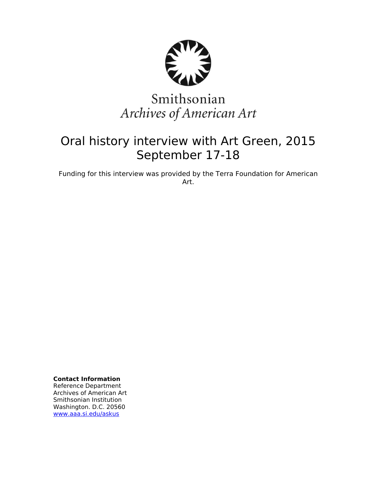

# Smithsonian Archives of American Art

# Oral history interview with Art Green, 2015 September 17-18

Funding for this interview was provided by the Terra Foundation for American Art.

**Contact Information** Reference Department

Archives of American Art Smithsonian Institution Washington. D.C. 20560 [www.aaa.si.edu/askus](http://www.aaa.si.edu/askus)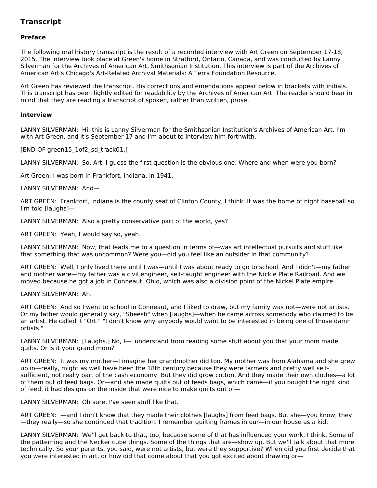# **Transcript**

# **Preface**

The following oral history transcript is the result of a recorded interview with Art Green on September 17-18, 2015. The interview took place at Green's home in Stratford, Ontario, Canada, and was conducted by Lanny Silverman for the Archives of American Art, Smithsonian Institution. This interview is part of the Archives of American Art's Chicago's Art-Related Archival Materials: A Terra Foundation Resource.

Art Green has reviewed the transcript. His corrections and emendations appear below in brackets with initials. This transcript has been lightly edited for readability by the Archives of American Art. The reader should bear in mind that they are reading a transcript of spoken, rather than written, prose.

# **Interview**

LANNY SILVERMAN: Hi, this is Lanny Silverman for the Smithsonian Institution's Archives of American Art. I'm with Art Green, and it's September 17 and I'm about to interview him forthwith.

[END OF green15 1of2 sd track01.]

LANNY SILVERMAN: So, Art, I guess the first question is the obvious one. Where and when were you born?

Art Green: I was born in Frankfort, Indiana, in 1941.

LANNY SILVERMAN: And—

ART GREEN: Frankfort, Indiana is the county seat of Clinton County, I think. It was the home of night baseball so I'm told [laughs]—

LANNY SILVERMAN: Also a pretty conservative part of the world, yes?

ART GREEN: Yeah, I would say so, yeah.

LANNY SILVERMAN: Now, that leads me to a question in terms of—was art intellectual pursuits and stuff like that something that was uncommon? Were you—did you feel like an outsider in that community?

ART GREEN: Well, I only lived there until I was—until I was about ready to go to school. And I didn't—my father and mother were—my father was a civil engineer, self-taught engineer with the Nickle Plate Railroad. And we moved because he got a job in Conneaut, Ohio, which was also a division point of the Nickel Plate empire.

LANNY SILVERMAN: Ah.

ART GREEN: And so I went to school in Conneaut, and I liked to draw, but my family was not—were not artists. Or my father would generally say, "Sheesh" when [laughs]—when he came across somebody who claimed to be an artist. He called it "Ort." "I don't know why anybody would want to be interested in being one of those damn ortists."

LANNY SILVERMAN: [Laughs.] No, I—I understand from reading some stuff about you that your mom made quilts. Or is it your grand mom?

ART GREEN: It was my mother—I imagine her grandmother did too. My mother was from Alabama and she grew up in—really, might as well have been the 18th century because they were farmers and pretty well selfsufficient, not really part of the cash economy. But they did grow cotton. And they made their own clothes—a lot of them out of feed bags. Or—and she made quilts out of feeds bags, which came—if you bought the right kind of feed, it had designs on the inside that were nice to make quilts out of—

LANNY SILVERMAN: Oh sure, I've seen stuff like that.

ART GREEN: —and I don't know that they made their clothes [laughs] from feed bags. But she—you know, they —they really—so she continued that tradition. I remember quilting frames in our—in our house as a kid.

LANNY SILVERMAN: We'll get back to that, too, because some of that has influenced your work, I think. Some of the patterning and the Necker cube things. Some of the things that are—show up. But we'll talk about that more technically. So your parents, you said, were not artists, but were they supportive? When did you first decide that you were interested in art, or how did that come about that you got excited about drawing or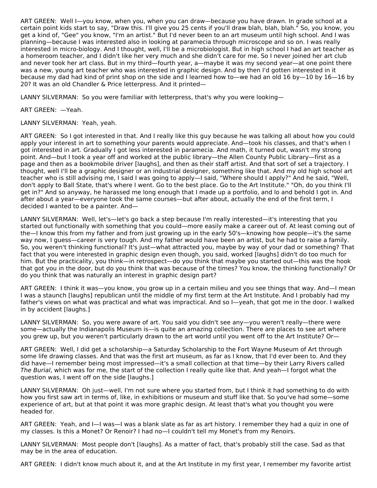ART GREEN: Well I—you know, when you, when you can draw—because you have drawn. In grade school at a certain point kids start to say, "Draw this. I'll give you 25 cents if you'll draw blah, blah, blah." So, you know, you get a kind of, "Gee" you know, "I'm an artist." But I'd never been to an art museum until high school. And I was planning—because I was interested also in looking at paramecia through microscope and so on. I was really interested in micro-biology. And I thought, well, I'll be a microbiologist. But in high school I had an art teacher as a homeroom teacher, and I didn't like her very much and she didn't care for me. So I never joined her art club and never took her art class. But in my third—fourth year, a—maybe it was my second year—at one point there was a new, young art teacher who was interested in graphic design. And by then I'd gotten interested in it because my dad had kind of print shop on the side and I learned how to—we had an old 16 by—10 by 16—16 by 20? It was an old Chandler & Price letterpress. And it printed—

LANNY SILVERMAN: So you were familiar with letterpress, that's why you were looking—

ART GREEN: —Yeah.

LANNY SILVERMAN: Yeah, yeah.

ART GREEN: So I got interested in that. And I really like this guy because he was talking all about how you could apply your interest in art to something your parents would appreciate. And—took his classes, and that's when I got interested in art. Gradually I got less interested in paramecia. And math, it turned out, wasn't my strong point. And—but I took a year off and worked at the public library—the Allen County Public Library—first as a page and then as a bookmobile driver [laughs], and then as their staff artist. And that sort of set a trajectory. I thought, well I'll be a graphic designer or an industrial designer, something like that. And my old high school art teacher who is still advising me, I said I was going to apply—I said, "Where should I apply?" And he said, "Well, don't apply to Ball State, that's where I went. Go to the best place. Go to the Art Institute." "Oh, do you think I'll get in?" And so anyway, he harassed me long enough that I made up a portfolio, and lo and behold I got in. And after about a year—everyone took the same courses—but after about, actually the end of the first term, I decided I wanted to be a painter. And—

LANNY SILVERMAN: Well, let's—let's go back a step because I'm really interested—it's interesting that you started out functionally with something that you could—more easily make a career out of. At least coming out of the—I know this from my father and from just growing up in the early 50's—knowing how people—it's the same way now, I guess—career is very tough. And my father would have been an artist, but he had to raise a family. So, you weren't thinking functional? It's just—what attracted you, maybe by way of your dad or something? That fact that you were interested in graphic design even though, you said, worked [laughs] didn't do too much for him. But the practicality, you think—in retrospect—do you think that maybe you started out—this was the hook that got you in the door, but do you think that was because of the times? You know, the thinking functionally? Or do you think that was naturally an interest in graphic design part?

ART GREEN: I think it was—you know, you grow up in a certain milieu and you see things that way. And—I mean I was a staunch [laughs] republican until the middle of my first term at the Art Institute. And I probably had my father's views on what was practical and what was impractical. And so I—yeah, that got me in the door. I walked in by accident [laughs.]

LANNY SILVERMAN: So, you were aware of art. You said you didn't see any—you weren't really—there were some—actually the Indianapolis Museum is—is quite an amazing collection. There are places to see art where you grew up, but you weren't particularly drawn to the art world until you went off to the Art Institute? Or—

ART GREEN: Well, I did get a scholarship—a Saturday Scholarship to the Fort Wayne Museum of Art through some life drawing classes. And that was the first art museum, as far as I know, that I'd ever been to. And they did have—I remember being most impressed—it's a small collection at that time—by their Larry Rivers called The Burial, which was for me, the start of the collection I really quite like that. And yeah—I forgot what the question was, I went off on the side [laughs.]

LANNY SILVERMAN: Oh just—well, I'm not sure where you started from, but I think it had something to do with how you first saw art in terms of, like, in exhibitions or museum and stuff like that. So you've had some—some experience of art, but at that point it was more graphic design. At least that's what you thought you were headed for.

ART GREEN: Yeah, and I—I was—I was a blank slate as far as art history. I remember they had a quiz in one of my classes. Is this a Monet? Or Renoir? I had no—I couldn't tell my Monet's from my Renoirs.

LANNY SILVERMAN: Most people don't [laughs]. As a matter of fact, that's probably still the case. Sad as that may be in the area of education.

ART GREEN: I didn't know much about it, and at the Art Institute in my first year, I remember my favorite artist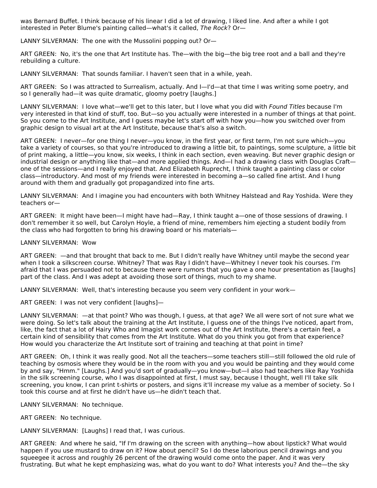was Bernard Buffet. I think because of his linear I did a lot of drawing, I liked line. And after a while I got interested in Peter Blume's painting called—what's it called, The Rock? Or—

LANNY SILVERMAN: The one with the Mussolini popping out? Or—

ART GREEN: No, it's the one that Art Institute has. The—with the big—the big tree root and a ball and they're rebuilding a culture.

LANNY SILVERMAN: That sounds familiar. I haven't seen that in a while, yeah.

ART GREEN: So I was attracted to Surrealism, actually. And I—I'd—at that time I was writing some poetry, and so I generally had—it was quite dramatic, gloomy poetry [laughs.]

LANNY SILVERMAN: I love what—we'll get to this later, but I love what you did with Found Titles because I'm very interested in that kind of stuff, too. But—so you actually were interested in a number of things at that point. So you come to the Art Institute, and I guess maybe let's start off with how you—how you switched over from graphic design to visual art at the Art Institute, because that's also a switch.

ART GREEN: I never—for one thing I never—you know, in the first year, or first term, I'm not sure which—you take a variety of courses, so that you're introduced to drawing a little bit, to paintings, some sculpture, a little bit of print making, a little—you know, six weeks, I think in each section, even weaving. But never graphic design or industrial design or anything like that—and more applied things. And—I had a drawing class with Douglas Craft one of the sessions—and I really enjoyed that. And Elizabeth Ruprecht, I think taught a painting class or color class—introductory. And most of my friends were interested in becoming a—so called fine artist. And I hung around with them and gradually got propagandized into fine arts.

LANNY SILVERMAN: And I imagine you had encounters with both Whitney Halstead and Ray Yoshida. Were they teachers or—

ART GREEN: It might have been—I might have had—Ray, I think taught a—one of those sessions of drawing. I don't remember it so well, but Carolyn Hoyle, a friend of mine, remembers him ejecting a student bodily from the class who had forgotten to bring his drawing board or his materials—

#### LANNY SILVERMAN: Wow

ART GREEN: —and that brought that back to me. But I didn't really have Whitney until maybe the second year when I took a silkscreen course. Whitney? That was Ray I didn't have—Whitney I never took his courses. I'm afraid that I was persuaded not to because there were rumors that you gave a one hour presentation as [laughs] part of the class. And I was adept at avoiding those sort of things, much to my shame.

LANNY SILVERMAN: Well, that's interesting because you seem very confident in your work—

ART GREEN: I was not very confident [laughs]—

LANNY SILVERMAN: —at that point? Who was though, I guess, at that age? We all were sort of not sure what we were doing. So let's talk about the training at the Art Institute, I guess one of the things I've noticed, apart from, like, the fact that a lot of Hairy Who and Imagist work comes out of the Art Institute, there's a certain feel, a certain kind of sensibility that comes from the Art Institute. What do you think you got from that experience? How would you characterize the Art Institute sort of training and teaching at that point in time?

ART GREEN: Oh, I think it was really good. Not all the teachers—some teachers still—still followed the old rule of teaching by osmosis where they would be in the room with you and you would be painting and they would come by and say, "Hmm." [Laughs.] And you'd sort of gradually—you know—but—I also had teachers like Ray Yoshida in the silk screening course, who I was disappointed at first, I must say, because I thought, well I'll take silk screening, you know, I can print t-shirts or posters, and signs it'll increase my value as a member of society. So I took this course and at first he didn't have us—he didn't teach that.

LANNY SILVERMAN: No technique.

ART GREEN: No technique.

LANNY SILVERMAN: [Laughs] I read that, I was curious.

ART GREEN: And where he said, "If I'm drawing on the screen with anything—how about lipstick? What would happen if you use mustard to draw on it? How about pencil? So I do these laborious pencil drawings and you squeegee it across and roughly 26 percent of the drawing would come onto the paper. And it was very frustrating. But what he kept emphasizing was, what do you want to do? What interests you? And the—the sky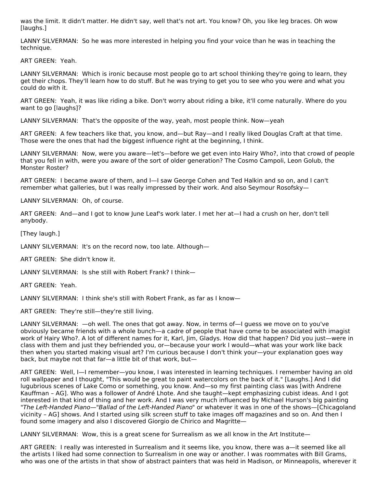was the limit. It didn't matter. He didn't say, well that's not art. You know? Oh, you like leg braces. Oh wow [laughs.]

LANNY SILVERMAN: So he was more interested in helping you find your voice than he was in teaching the technique.

ART GREEN: Yeah.

LANNY SILVERMAN: Which is ironic because most people go to art school thinking they're going to learn, they get their chops. They'll learn how to do stuff. But he was trying to get you to see who you were and what you could do with it.

ART GREEN: Yeah, it was like riding a bike. Don't worry about riding a bike, it'll come naturally. Where do you want to go [laughs]?

LANNY SILVERMAN: That's the opposite of the way, yeah, most people think. Now—yeah

ART GREEN: A few teachers like that, you know, and—but Ray—and I really liked Douglas Craft at that time. Those were the ones that had the biggest influence right at the beginning, I think.

LANNY SILVERMAN: Now, were you aware—let's—before we get even into Hairy Who?, into that crowd of people that you fell in with, were you aware of the sort of older generation? The Cosmo Campoli, Leon Golub, the Monster Roster?

ART GREEN: I became aware of them, and I—I saw George Cohen and Ted Halkin and so on, and I can't remember what galleries, but I was really impressed by their work. And also Seymour Rosofsky—

LANNY SILVERMAN: Oh, of course.

ART GREEN: And—and I got to know June Leaf's work later. I met her at—I had a crush on her, don't tell anybody.

[They laugh.]

LANNY SILVERMAN: It's on the record now, too late. Although—

ART GREEN: She didn't know it.

LANNY SILVERMAN: Is she still with Robert Frank? I think—

ART GREEN: Yeah.

LANNY SILVERMAN: I think she's still with Robert Frank, as far as I know—

ART GREEN: They're still—they're still living.

LANNY SILVERMAN: —oh well. The ones that got away. Now, in terms of—I guess we move on to you've obviously became friends with a whole bunch—a cadre of people that have come to be associated with imagist work of Hairy Who?. A lot of different names for it, Karl, Jim, Gladys. How did that happen? Did you just—were in class with them and just they befriended you, or—because your work I would—what was your work like back then when you started making visual art? I'm curious because I don't think your—your explanation goes way back, but maybe not that far—a little bit of that work, but—

ART GREEN: Well, I—I remember—you know, I was interested in learning techniques. I remember having an old roll wallpaper and I thought, "This would be great to paint watercolors on the back of it." [Laughs.] And I did lugubrious scenes of Lake Como or something, you know. And—so my first painting class was [with Andrene Kauffman – AG]. Who was a follower of André Lhote. And she taught—kept emphasizing cubist ideas. And I got interested in that kind of thing and her work. And I was very much influenced by Michael Hurson's big painting "The Left-Handed Piano—"Ballad of the Left-Handed Piano" or whatever it was in one of the shows—[Chicagoland vicinity – AG] shows. And I started using silk screen stuff to take images off magazines and so on. And then I found some imagery and also I discovered Giorgio de Chirico and Magritte—

LANNY SILVERMAN: Wow, this is a great scene for Surrealism as we all know in the Art Institute—

ART GREEN: I really was interested in Surrealism and it seems like, you know, there was a—it seemed like all the artists I liked had some connection to Surrealism in one way or another. I was roommates with Bill Grams, who was one of the artists in that show of abstract painters that was held in Madison, or Minneapolis, wherever it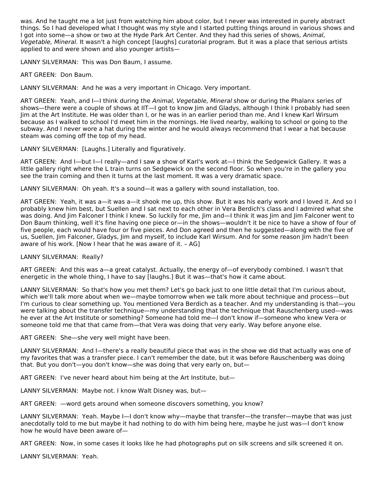was. And he taught me a lot just from watching him about color, but I never was interested in purely abstract things. So I had developed what I thought was my style and I started putting things around in various shows and I got into some—a show or two at the Hyde Park Art Center. And they had this series of shows, Animal, Vegetable, Mineral. It wasn't a high concept [laughs] curatorial program. But it was a place that serious artists applied to and were shown and also younger artists—

LANNY SILVERMAN: This was Don Baum, I assume.

ART GREEN: Don Baum.

LANNY SILVERMAN: And he was a very important in Chicago. Very important.

ART GREEN: Yeah, and I-I think during the Animal, Vegetable, Mineral show or during the Phalanx series of shows—there were a couple of shows at IIT—I got to know Jim and Gladys, although I think I probably had seen Jim at the Art Institute. He was older than I, or he was in an earlier period than me. And I knew Karl Wirsum because as I walked to school I'd meet him in the mornings. He lived nearby, walking to school or going to the subway. And I never wore a hat during the winter and he would always recommend that I wear a hat because steam was coming off the top of my head.

LANNY SILVERMAN: [Laughs.] Literally and figuratively.

ART GREEN: And I—but I—I really—and I saw a show of Karl's work at—I think the Sedgewick Gallery. It was a little gallery right where the L train turns on Sedgewick on the second floor. So when you're in the gallery you see the train coming and then it turns at the last moment. It was a very dramatic space.

LANNY SILVERMAN: Oh yeah. It's a sound—it was a gallery with sound installation, too.

ART GREEN: Yeah, it was a—it was a—it shook me up, this show. But it was his early work and I loved it. And so I probably knew him best, but Suellen and I sat next to each other in Vera Berdich's class and I admired what she was doing. And Jim Falconer I think I knew. So luckily for me, Jim and—I think it was Jim and Jim Falconer went to Don Baum thinking, well it's fine having one piece or—in the shows—wouldn't it be nice to have a show of four of five people, each would have four or five pieces. And Don agreed and then he suggested—along with the five of us, Suellen, Jim Falconer, Gladys, Jim and myself, to include Karl Wirsum. And for some reason Jim hadn't been aware of his work. [Now I hear that he was aware of it. – AG]

LANNY SILVERMAN: Really?

ART GREEN: And this was a—a great catalyst. Actually, the energy of—of everybody combined. I wasn't that energetic in the whole thing, I have to say [laughs.] But it was—that's how it came about.

LANNY SILVERMAN: So that's how you met them? Let's go back just to one little detail that I'm curious about, which we'll talk more about when we—maybe tomorrow when we talk more about technique and process—but I'm curious to clear something up. You mentioned Vera Berdich as a teacher. And my understanding is that—you were talking about the transfer technique—my understanding that the technique that Rauschenberg used—was he ever at the Art Institute or something? Someone had told me—I don't know if—someone who knew Vera or someone told me that that came from—that Vera was doing that very early. Way before anyone else.

ART GREEN: She—she very well might have been.

LANNY SILVERMAN: And I—there's a really beautiful piece that was in the show we did that actually was one of my favorites that was a transfer piece. I can't remember the date, but it was before Rauschenberg was doing that. But you don't—you don't know—she was doing that very early on, but—

ART GREEN: I've never heard about him being at the Art Institute, but—

LANNY SILVERMAN: Maybe not. I know Walt Disney was, but—

ART GREEN: —word gets around when someone discovers something, you know?

LANNY SILVERMAN: Yeah. Maybe I—I don't know why—maybe that transfer—the transfer—maybe that was just anecdotally told to me but maybe it had nothing to do with him being here, maybe he just was—I don't know how he would have been aware of—

ART GREEN: Now, in some cases it looks like he had photographs put on silk screens and silk screened it on.

LANNY SILVERMAN: Yeah.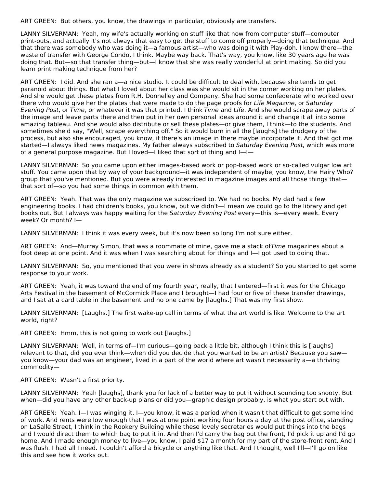ART GREEN: But others, you know, the drawings in particular, obviously are transfers.

LANNY SILVERMAN: Yeah, my wife's actually working on stuff like that now from computer stuff—computer print-outs, and actually it's not always that easy to get the stuff to come off properly—doing that technique. And that there was somebody who was doing it—a famous artist—who was doing it with Play-doh. I know there—the waste of transfer with George Condo, I think. Maybe way back. That's way, you know, like 30 years ago he was doing that. But—so that transfer thing—but—I know that she was really wonderful at print making. So did you learn print making technique from her?

ART GREEN: I did. And she ran a—a nice studio. It could be difficult to deal with, because she tends to get paranoid about things. But what I loved about her class was she would sit in the corner working on her plates. And she would get these plates from R.H. Donnelley and Company. She had some confederate who worked over there who would give her the plates that were made to do the page proofs for Life Magazine, or Saturday Evening Post, or Time, or whatever it was that printed. I think Time and Life. And she would scrape away parts of the image and leave parts there and then put in her own personal ideas around it and change it all into some amazing tableau. And she would also distribute or sell these plates—or give them, I think—to the students. And sometimes she'd say, "Well, scrape everything off." So it would burn in all the [laughs] the drudgery of the process, but also she encouraged, you know, if there's an image in there maybe incorporate it. And that got me started—I always liked news magazines. My father always subscribed to Saturday Evening Post, which was more of a general purpose magazine. But I loved—I liked that sort of thing and I—I—

LANNY SILVERMAN: So you came upon either images-based work or pop-based work or so-called vulgar low art stuff. You came upon that by way of your background—it was independent of maybe, you know, the Hairy Who? group that you've mentioned. But you were already interested in magazine images and all those things that that sort of—so you had some things in common with them.

ART GREEN: Yeah. That was the only magazine we subscribed to. We had no books. My dad had a few engineering books. I had children's books, you know, but we didn't—I mean we could go to the library and get books out. But I always was happy waiting for the Saturday Evening Post every—this is—every week. Every week? Or month? I—

LANNY SILVERMAN: I think it was every week, but it's now been so long I'm not sure either.

ART GREEN: And—Murray Simon, that was a roommate of mine, gave me a stack ofTime magazines about a foot deep at one point. And it was when I was searching about for things and I—I got used to doing that.

LANNY SILVERMAN: So, you mentioned that you were in shows already as a student? So you started to get some response to your work.

ART GREEN: Yeah, it was toward the end of my fourth year, really, that I entered—first it was for the Chicago Arts Festival in the basement of McCormick Place and I brought—I had four or five of these transfer drawings, and I sat at a card table in the basement and no one came by [laughs.] That was my first show.

LANNY SILVERMAN: [Laughs.] The first wake-up call in terms of what the art world is like. Welcome to the art world, right?

ART GREEN: Hmm, this is not going to work out [laughs.]

LANNY SILVERMAN: Well, in terms of—I'm curious—going back a little bit, although I think this is [laughs] relevant to that, did you ever think—when did you decide that you wanted to be an artist? Because you saw you know—your dad was an engineer, lived in a part of the world where art wasn't necessarily a—a thriving commodity—

ART GREEN: Wasn't a first priority.

LANNY SILVERMAN: Yeah [laughs], thank you for lack of a better way to put it without sounding too snooty. But when—did you have any other back-up plans or did you—graphic design probably, is what you start out with.

ART GREEN: Yeah. I—I was winging it. I—you know, it was a period when it wasn't that difficult to get some kind of work. And rents were low enough that I was at one point working four hours a day at the post office, standing on LaSalle Street, I think in the Rookery Building while these lovely secretaries would put things into the bags and I would direct them to which bag to put it in. And then I'd carry the bag out the front, I'd pick it up and I'd go home. And I made enough money to live—you know, I paid \$17 a month for my part of the store-front rent. And I was flush. I had all I need. I couldn't afford a bicycle or anything like that. And I thought, well I'll—I'll go on like this and see how it works out.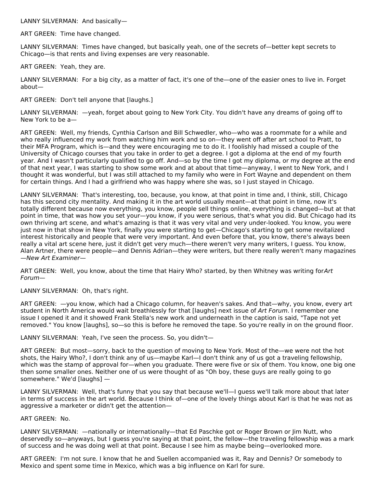LANNY SILVERMAN: And basically—

ART GREEN: Time have changed.

LANNY SILVERMAN: Times have changed, but basically yeah, one of the secrets of—better kept secrets to Chicago—is that rents and living expenses are very reasonable.

ART GREEN: Yeah, they are.

LANNY SILVERMAN: For a big city, as a matter of fact, it's one of the—one of the easier ones to live in. Forget about—

ART GREEN: Don't tell anyone that [laughs.]

LANNY SILVERMAN: —yeah, forget about going to New York City. You didn't have any dreams of going off to New York to be a—

ART GREEN: Well, my friends, Cynthia Carlson and Bill Schwedler, who—who was a roommate for a while and who really influenced my work from watching him work and so on—they went off after art school to Pratt, to their MFA Program, which is—and they were encouraging me to do it. I foolishly had missed a couple of the University of Chicago courses that you take in order to get a degree. I got a diploma at the end of my fourth year. And I wasn't particularly qualified to go off. And—so by the time I got my diploma, or my degree at the end of that next year, I was starting to show some work and at about that time—anyway, I went to New York, and I thought it was wonderful, but I was still attached to my family who were in Fort Wayne and dependent on them for certain things. And I had a girlfriend who was happy where she was, so I just stayed in Chicago.

LANNY SILVERMAN: That's interesting, too, because, you know, at that point in time and, I think, still, Chicago has this second city mentality. And making it in the art world usually meant—at that point in time, now it's totally different because now everything, you know, people sell things online, everything is changed—but at that point in time, that was how you set your—you know, if you were serious, that's what you did. But Chicago had its own thriving art scene, and what's amazing is that it was very vital and very under-looked. You know, you were just now in that show in New York, finally you were starting to get—Chicago's starting to get some revitalized interest historically and people that were very important. And even before that, you know, there's always been really a vital art scene here, just it didn't get very much—there weren't very many writers, I guess. You know, Alan Artner, there were people—and Dennis Adrian—they were writers, but there really weren't many magazines —New Art Examiner—

ART GREEN: Well, you know, about the time that Hairy Who? started, by then Whitney was writing forArt Forum—

LANNY SILVERMAN: Oh, that's right.

ART GREEN: —you know, which had a Chicago column, for heaven's sakes. And that—why, you know, every art student in North America would wait breathlessly for that [laughs] next issue of Art Forum. I remember one issue I opened it and it showed Frank Stella's new work and underneath in the caption is said, "Tape not yet removed." You know [laughs], so—so this is before he removed the tape. So you're really in on the ground floor.

LANNY SILVERMAN: Yeah, I've seen the process. So, you didn't—

ART GREEN: But most—sorry, back to the question of moving to New York. Most of the—we were not the hot shots, the Hairy Who?, I don't think any of us—maybe Karl—I don't think any of us got a traveling fellowship, which was the stamp of approval for—when you graduate. There were five or six of them. You know, one big one then some smaller ones. Neither one of us were thought of as "Oh boy, these guys are really going to go somewhere." We'd [laughs] —

LANNY SILVERMAN: Well, that's funny that you say that because we'll—I guess we'll talk more about that later in terms of success in the art world. Because I think of—one of the lovely things about Karl is that he was not as aggressive a marketer or didn't get the attention—

ART GREEN: No.

LANNY SILVERMAN: —nationally or internationally—that Ed Paschke got or Roger Brown or Jim Nutt, who deservedly so—anyways, but I guess you're saying at that point, the fellow—the traveling fellowship was a mark of success and he was doing well at that point. Because I see him as maybe being—overlooked more.

ART GREEN: I'm not sure. I know that he and Suellen accompanied was it, Ray and Dennis? Or somebody to Mexico and spent some time in Mexico, which was a big influence on Karl for sure.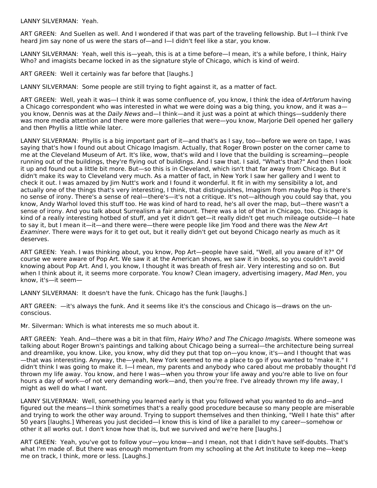LANNY SILVERMAN: Yeah.

ART GREEN: And Suellen as well. And I wondered if that was part of the traveling fellowship. But I—I think I've heard Jim say none of us were the stars of—and I—I didn't feel like a star, you know.

LANNY SILVERMAN: Yeah, well this is—yeah, this is at a time before—I mean, it's a while before, I think, Hairy Who? and imagists became locked in as the signature style of Chicago, which is kind of weird.

ART GREEN: Well it certainly was far before that [laughs.]

LANNY SILVERMAN: Some people are still trying to fight against it, as a matter of fact.

ART GREEN: Well, yeah it was—I think it was some confluence of, you know, I think the idea of Artforum having a Chicago correspondent who was interested in what we were doing was a big thing, you know, and it was a you know, Dennis was at the Daily News and—I think—and it just was a point at which things—suddenly there was more media attention and there were more galleries that were—you know, Marjorie Dell opened her gallery and then Phyllis a little while later.

LANNY SILVERMAN: Phyllis is a big important part of it—and that's as I say, too—before we were on tape, I was saying that's how I found out about Chicago Imagism. Actually, that Roger Brown poster on the corner came to me at the Cleveland Museum of Art. It's like, wow, that's wild and I love that the building is screaming—people running out of the buildings, they're flying out of buildings. And I saw that. I said, "What's that?" And then I look it up and found out a little bit more. But—so this is in Cleveland, which isn't that far away from Chicago. But it didn't make its way to Cleveland very much. As a matter of fact, in New York I saw her gallery and I went to check it out. I was amazed by Jim Nutt's work and I found it wonderful. It fit in with my sensibility a lot, and actually one of the things that's very interesting, I think, that distinguishes, Imagism from maybe Pop is there's no sense of irony. There's a sense of real—there's—it's not a critique. It's not—although you could say that, you know, Andy Warhol loved this stuff too. He was kind of hard to read, he's all over the map, but—there wasn't a sense of irony. And you talk about Surrealism a fair amount. There was a lot of that in Chicago, too. Chicago is kind of a really interesting hotbed of stuff, and yet it didn't get—it really didn't get much mileage outside—I hate to say it, but I mean it—it—and there were—there were people like Jim Yood and there was the New Art Examiner. There were ways for it to get out, but it really didn't get out beyond Chicago nearly as much as it deserves.

ART GREEN: Yeah. I was thinking about, you know, Pop Art—people have said, "Well, all you aware of it?" Of course we were aware of Pop Art. We saw it at the American shows, we saw it in books, so you couldn't avoid knowing about Pop Art. And I, you know, I thought it was breath of fresh air. Very interesting and so on. But when I think about it, it seems more corporate. You know? Clean imagery, advertising imagery, Mad Men, you know, it's—it seem—

LANNY SILVERMAN: It doesn't have the funk. Chicago has the funk [laughs.]

ART GREEN: —it's always the funk. And it seems like it's the conscious and Chicago is—draws on the unconscious.

Mr. Silverman: Which is what interests me so much about it.

ART GREEN: Yeah. And—there was a bit in that film, Hairy Who? and The Chicago Imagists. Where someone was talking about Roger Brown's paintings and talking about Chicago being a surreal—the architecture being surreal and dreamlike, you know. Like, you know, why did they put that top on—you know, it's—and I thought that was —that was interesting. Anyway, the—yeah, New York seemed to me a place to go if you wanted to "make it." I didn't think I was going to make it. I—I mean, my parents and anybody who cared about me probably thought I'd thrown my life away. You know, and here I was—when you throw your life away and you're able to live on four hours a day of work—of not very demanding work—and, then you're free. I've already thrown my life away, I might as well do what I want.

LANNY SILVERMAN: Well, something you learned early is that you followed what you wanted to do and—and figured out the means—I think sometimes that's a really good procedure because so many people are miserable and trying to work the other way around. Trying to support themselves and then thinking, "Well I hate this" after 50 years [laughs.] Whereas you just decided—I know this is kind of like a parallel to my career—somehow or other it all works out. I don't know how that is, but we survived and we're here [laughs.]

ART GREEN: Yeah, you've got to follow your—you know—and I mean, not that I didn't have self-doubts. That's what I'm made of. But there was enough momentum from my schooling at the Art Institute to keep me—keep me on track, I think, more or less. [Laughs.]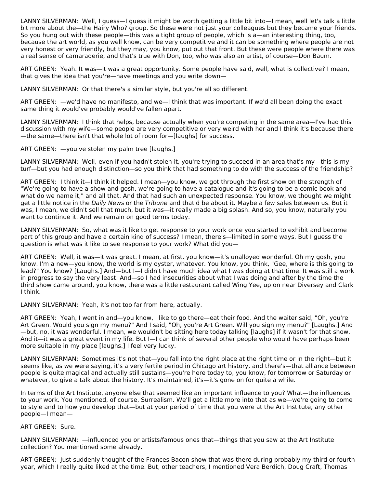LANNY SILVERMAN: Well, I guess—I guess it might be worth getting a little bit into—I mean, well let's talk a little bit more about the—the Hairy Who? group. So these were not just your colleagues but they became your friends. So you hung out with these people—this was a tight group of people, which is a—an interesting thing, too, because the art world, as you well know, can be very competitive and it can be something where people are not very honest or very friendly, but they may, you know, put out that front. But these were people where there was a real sense of camaraderie, and that's true with Don, too, who was also an artist, of course—Don Baum.

ART GREEN: Yeah. It was—it was a great opportunity. Some people have said, well, what is collective? I mean, that gives the idea that you're—have meetings and you write down—

LANNY SILVERMAN: Or that there's a similar style, but you're all so different.

ART GREEN: —we'd have no manifesto, and we—I think that was important. If we'd all been doing the exact same thing it would've probably would've fallen apart.

LANNY SILVERMAN: I think that helps, because actually when you're competing in the same area—I've had this discussion with my wife—some people are very competitive or very weird with her and I think it's because there —the same—there isn't that whole lot of room for—[laughs] for success.

ART GREEN: —you've stolen my palm tree [laughs.]

LANNY SILVERMAN: Well, even if you hadn't stolen it, you're trying to succeed in an area that's my—this is my turf—but you had enough distinction—so you think that had something to do with the success of the friendship?

ART GREEN: I think it—I think it helped. I mean—you know, we got through the first show on the strength of "We're going to have a show and gosh, we're going to have a catalogue and it's going to be a comic book and what do we name it," and all that. And that had such an unexpected response. You know, we thought we might get a little notice in the Daily News or the Tribune and that'd be about it. Maybe a few sales between us. But it was, I mean, we didn't sell that much, but it was—it really made a big splash. And so, you know, naturally you want to continue it. And we remain on good terms today.

LANNY SILVERMAN: So, what was it like to get response to your work once you started to exhibit and become part of this group and have a certain kind of success? I mean, there's—limited in some ways. But I guess the question is what was it like to see response to your work? What did you—

ART GREEN: Well, it was—it was great. I mean, at first, you know—it's unalloyed wonderful. Oh my gosh, you know. I'm a new—you know, the world is my oyster, whatever. You know, you think, "Gee, where is this going to lead?" You know? [Laughs.] And—but I—I didn't have much idea what I was doing at that time. It was still a work in progress to say the very least. And—so I had insecurities about what I was doing and after by the time the third show came around, you know, there was a little restaurant called Wing Yee, up on near Diversey and Clark I think.

LANNY SILVERMAN: Yeah, it's not too far from here, actually.

ART GREEN: Yeah, I went in and—you know, I like to go there—eat their food. And the waiter said, "Oh, you're Art Green. Would you sign my menu?" And I said, "Oh, you're Art Green. Will you sign my menu?" [Laughs.] And —but, no, it was wonderful. I mean, we wouldn't be sitting here today talking [laughs] if it wasn't for that show. And it—it was a great event in my life. But I—I can think of several other people who would have perhaps been more suitable in my place [laughs.] I feel very lucky.

LANNY SILVERMAN: Sometimes it's not that—you fall into the right place at the right time or in the right—but it seems like, as we were saying, it's a very fertile period in Chicago art history, and there's—that alliance between people is quite magical and actually still sustains—you're here today to, you know, for tomorrow or Saturday or whatever, to give a talk about the history. It's maintained, it's—it's gone on for quite a while.

In terms of the Art Institute, anyone else that seemed like an important influence to you? What—the influences to your work. You mentioned, of course, Surrealism. We'll get a little more into that as we—we're going to come to style and to how you develop that—but at your period of time that you were at the Art Institute, any other people—I mean—

# ART GREEN: Sure.

LANNY SILVERMAN: —influenced you or artists/famous ones that—things that you saw at the Art Institute collection? You mentioned some already.

ART GREEN: Just suddenly thought of the Frances Bacon show that was there during probably my third or fourth year, which I really quite liked at the time. But, other teachers, I mentioned Vera Berdich, Doug Craft, Thomas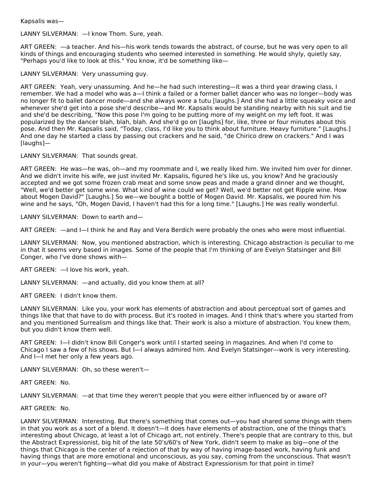Kapsalis was—

LANNY SILVERMAN: —I know Thom. Sure, yeah.

ART GREEN: —a teacher. And his—his work tends towards the abstract, of course, but he was very open to all kinds of things and encouraging students who seemed interested in something. He would shyly, quietly say, "Perhaps you'd like to look at this." You know, it'd be something like—

LANNY SILVERMAN: Very unassuming guy.

ART GREEN: Yeah, very unassuming. And he—he had such interesting—it was a third year drawing class, I remember. We had a model who was a—I think a failed or a former ballet dancer who was no longer—body was no longer fit to ballet dancer mode—and she always wore a tutu [laughs.] And she had a little squeaky voice and whenever she'd get into a pose she'd describe—and Mr. Kapsalis would be standing nearby with his suit and tie and she'd be describing, "Now this pose I'm going to be putting more of my weight on my left foot. It was popularized by the dancer blah, blah, blah. And she'd go on [laughs] for, like, three or four minutes about this pose. And then Mr. Kapsalis said, "Today, class, I'd like you to think about furniture. Heavy furniture." [Laughs.] And one day he started a class by passing out crackers and he said, "de Chirico drew on crackers." And I was [laughs]—

LANNY SILVERMAN: That sounds great.

ART GREEN: He was—he was, oh—and my roommate and I, we really liked him. We invited him over for dinner. And we didn't invite his wife, we just invited Mr. Kapsalis, figured he's like us, you know? And he graciously accepted and we got some frozen crab meat and some snow peas and made a grand dinner and we thought, "Well, we'd better get some wine. What kind of wine could we get? Well, we'd better not get Ripple wine. How about Mogen David?" [Laughs.] So we—we bought a bottle of Mogen David. Mr. Kapsalis, we poured him his wine and he says, "Oh, Mogen David, I haven't had this for a long time." [Laughs.] He was really wonderful.

LANNY SILVERMAN: Down to earth and—

ART GREEN: —and I—I think he and Ray and Vera Berdich were probably the ones who were most influential.

LANNY SILVERMAN: Now, you mentioned abstraction, which is interesting. Chicago abstraction is peculiar to me in that it seems very based in images. Some of the people that I'm thinking of are Evelyn Statsinger and Bill Conger, who I've done shows with—

ART GREEN: —I love his work, yeah.

LANNY SILVERMAN: —and actually, did you know them at all?

ART GREEN: I didn't know them.

LANNY SILVERMAN: Like you, your work has elements of abstraction and about perceptual sort of games and things like that that have to do with process. But it's rooted in images. And I think that's where you started from and you mentioned Surrealism and things like that. Their work is also a mixture of abstraction. You knew them, but you didn't know them well.

ART GREEN: I—I didn't know Bill Conger's work until I started seeing in magazines. And when I'd come to Chicago I saw a few of his shows. But I—I always admired him. And Evelyn Statsinger—work is very interesting. And I—I met her only a few years ago.

LANNY SILVERMAN: Oh, so these weren't—

ART GREEN: No.

LANNY SILVERMAN: —at that time they weren't people that you were either influenced by or aware of?

ART GREEN: No.

LANNY SILVERMAN: Interesting. But there's something that comes out—you had shared some things with them in that you work as a sort of a blend. It doesn't—it does have elements of abstraction, one of the things that's interesting about Chicago, at least a lot of Chicago art, not entirely. There's people that are contrary to this, but the Abstract Expressionist, big hit of the late 50's/60's of New York, didn't seem to make as big—one of the things that Chicago is the center of a rejection of that by way of having image-based work, having funk and having things that are more emotional and unconscious, as you say, coming from the unconscious. That wasn't in your—you weren't fighting—what did you make of Abstract Expressionism for that point in time?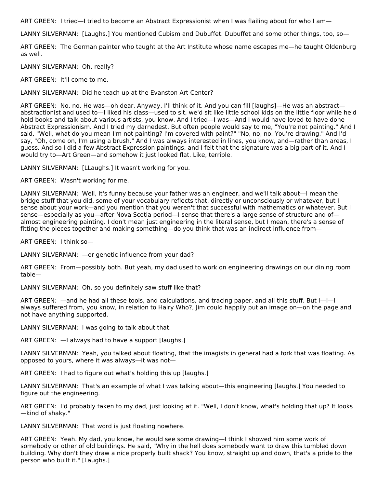ART GREEN: I tried—I tried to become an Abstract Expressionist when I was flailing about for who I am—

LANNY SILVERMAN: [Laughs.] You mentioned Cubism and Dubuffet. Dubuffet and some other things, too, so-

ART GREEN: The German painter who taught at the Art Institute whose name escapes me—he taught Oldenburg as well.

LANNY SILVERMAN: Oh, really?

ART GREEN: It'll come to me.

LANNY SILVERMAN: Did he teach up at the Evanston Art Center?

ART GREEN: No, no. He was—oh dear. Anyway, I'll think of it. And you can fill [laughs]—He was an abstract abstractionist and used to—I liked his class—used to sit, we'd sit like little school kids on the little floor while he'd hold books and talk about various artists, you know. And I tried—I was—And I would have loved to have done Abstract Expressionism. And I tried my darnedest. But often people would say to me, "You're not painting." And I said, "Well, what do you mean I'm not painting? I'm covered with paint?" "No, no, no. You're drawing." And I'd say, "Oh, come on, I'm using a brush." And I was always interested in lines, you know, and—rather than areas, I guess. And so I did a few Abstract Expression paintings, and I felt that the signature was a big part of it. And I would try to—Art Green—and somehow it just looked flat. Like, terrible.

LANNY SILVERMAN: [LLaughs.] It wasn't working for you.

ART GREEN: Wasn't working for me.

LANNY SILVERMAN: Well, it's funny because your father was an engineer, and we'll talk about—I mean the bridge stuff that you did, some of your vocabulary reflects that, directly or unconsciously or whatever, but I sense about your work—and you mention that you weren't that successful with mathematics or whatever. But I sense—especially as you—after Nova Scotia period—I sense that there's a large sense of structure and of almost engineering painting. I don't mean just engineering in the literal sense, but I mean, there's a sense of fitting the pieces together and making something—do you think that was an indirect influence from—

ART GREEN: I think so—

LANNY SILVERMAN: —or genetic influence from your dad?

ART GREEN: From—possibly both. But yeah, my dad used to work on engineering drawings on our dining room table—

LANNY SILVERMAN: Oh, so you definitely saw stuff like that?

ART GREEN: —and he had all these tools, and calculations, and tracing paper, and all this stuff. But I—I—I always suffered from, you know, in relation to Hairy Who?, Jim could happily put an image on—on the page and not have anything supported.

LANNY SILVERMAN: I was going to talk about that.

ART GREEN: —I always had to have a support [laughs.]

LANNY SILVERMAN: Yeah, you talked about floating, that the imagists in general had a fork that was floating. As opposed to yours, where it was always—it was not—

ART GREEN: I had to figure out what's holding this up [laughs.]

LANNY SILVERMAN: That's an example of what I was talking about—this engineering [laughs.] You needed to figure out the engineering.

ART GREEN: I'd probably taken to my dad, just looking at it. "Well, I don't know, what's holding that up? It looks —kind of shaky."

LANNY SILVERMAN: That word is just floating nowhere.

ART GREEN: Yeah. My dad, you know, he would see some drawing—I think I showed him some work of somebody or other of old buildings. He said, "Why in the hell does somebody want to draw this tumbled down building. Why don't they draw a nice properly built shack? You know, straight up and down, that's a pride to the person who built it." [Laughs.]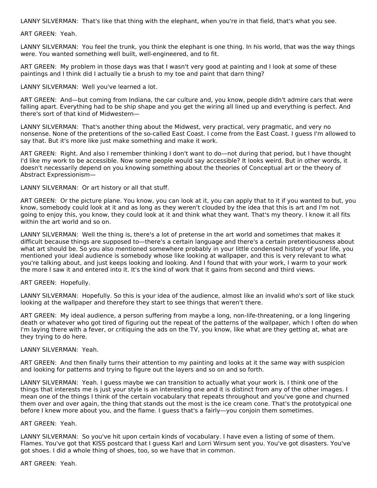LANNY SILVERMAN: That's like that thing with the elephant, when you're in that field, that's what you see.

ART GREEN: Yeah.

LANNY SILVERMAN: You feel the trunk, you think the elephant is one thing. In his world, that was the way things were. You wanted something well built, well-engineered, and to fit.

ART GREEN: My problem in those days was that I wasn't very good at painting and I look at some of these paintings and I think did I actually tie a brush to my toe and paint that darn thing?

#### LANNY SILVERMAN: Well you've learned a lot.

ART GREEN: And—but coming from Indiana, the car culture and, you know, people didn't admire cars that were falling apart. Everything had to be ship shape and you get the wiring all lined up and everything is perfect. And there's sort of that kind of Midwestern—

LANNY SILVERMAN: That's another thing about the Midwest, very practical, very pragmatic, and very no nonsense. None of the pretentions of the so-called East Coast. I come from the East Coast. I guess I'm allowed to say that. But it's more like just make something and make it work.

ART GREEN: Right. And also I remember thinking I don't want to do—not during that period, but I have thought I'd like my work to be accessible. Now some people would say accessible? It looks weird. But in other words, it doesn't necessarily depend on you knowing something about the theories of Conceptual art or the theory of Abstract Expressionism—

LANNY SILVERMAN: Or art history or all that stuff.

ART GREEN: Or the picture plane. You know, you can look at it, you can apply that to it if you wanted to but, you know, somebody could look at it and as long as they weren't clouded by the idea that this is art and I'm not going to enjoy this, you know, they could look at it and think what they want. That's my theory. I know it all fits within the art world and so on.

LANNY SILVERMAN: Well the thing is, there's a lot of pretense in the art world and sometimes that makes it difficult because things are supposed to—there's a certain language and there's a certain pretentiousness about what art should be. So you also mentioned somewhere probably in your little condensed history of your life, you mentioned your ideal audience is somebody whose like looking at wallpaper, and this is very relevant to what you're talking about, and just keeps looking and looking. And I found that with your work, I warm to your work the more I saw it and entered into it. It's the kind of work that it gains from second and third views.

# ART GREEN: Hopefully.

LANNY SILVERMAN: Hopefully. So this is your idea of the audience, almost like an invalid who's sort of like stuck looking at the wallpaper and therefore they start to see things that weren't there.

ART GREEN: My ideal audience, a person suffering from maybe a long, non-life-threatening, or a long lingering death or whatever who got tired of figuring out the repeat of the patterns of the wallpaper, which I often do when I'm laying there with a fever, or critiquing the ads on the TV, you know, like what are they getting at, what are they trying to do here.

#### LANNY SILVERMAN: Yeah.

ART GREEN: And then finally turns their attention to my painting and looks at it the same way with suspicion and looking for patterns and trying to figure out the layers and so on and so forth.

LANNY SILVERMAN: Yeah. I guess maybe we can transition to actually what your work is. I think one of the things that interests me is just your style is an interesting one and it is distinct from any of the other images. I mean one of the things I think of the certain vocabulary that repeats throughout and you've gone and churned them over and over again, the thing that stands out the most is the ice cream cone. That's the prototypical one before I knew more about you, and the flame. I guess that's a fairly—you conjoin them sometimes.

# ART GREEN: Yeah.

LANNY SILVERMAN: So you've hit upon certain kinds of vocabulary. I have even a listing of some of them. Flames. You've got that KISS postcard that I guess Karl and Lorri Wirsum sent you. You've got disasters. You've got shoes. I did a whole thing of shoes, too, so we have that in common.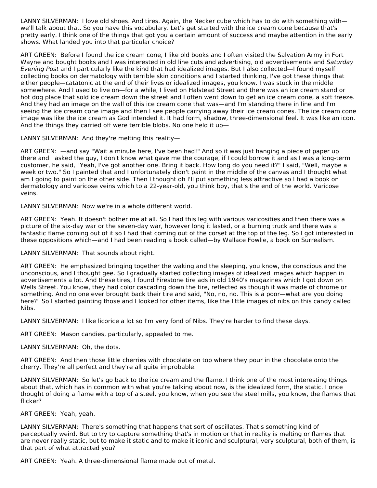LANNY SILVERMAN: I love old shoes. And tires. Again, the Necker cube which has to do with something with we'll talk about that. So you have this vocabulary. Let's get started with the ice cream cone because that's pretty early. I think one of the things that got you a certain amount of success and maybe attention in the early shows. What landed you into that particular choice?

ART GREEN: Before I found the ice cream cone, I like old books and I often visited the Salvation Army in Fort Wayne and bought books and I was interested in old line cuts and advertising, old advertisements and Saturday Evening Post and I particularly like the kind that had idealized images. But I also collected—I found myself collecting books on dermatology with terrible skin conditions and I started thinking, I've got these things that either people—catatonic at the end of their lives or idealized images, you know. I was stuck in the middle somewhere. And I used to live on—for a while, I lived on Halstead Street and there was an ice cream stand or hot dog place that sold ice cream down the street and I often went down to get an ice cream cone, a soft freeze. And they had an image on the wall of this ice cream cone that was—and I'm standing there in line and I'm seeing the ice cream cone image and then I see people carrying away their ice cream cones. The ice cream cone image was like the ice cream as God intended it. It had form, shadow, three-dimensional feel. It was like an icon. And the things they carried off were terrible blobs. No one held it up—

LANNY SILVERMAN: And they're melting this reality—

ART GREEN: —and say "Wait a minute here, I've been had!" And so it was just hanging a piece of paper up there and I asked the guy, I don't know what gave me the courage, if I could borrow it and as I was a long-term customer, he said, "Yeah, I've got another one. Bring it back. How long do you need it?" I said, "Well, maybe a week or two." So I painted that and I unfortunately didn't paint in the middle of the canvas and I thought what am I going to paint on the other side. Then I thought oh I'll put something less attractive so I had a book on dermatology and varicose veins which to a 22-year-old, you think boy, that's the end of the world. Varicose veins.

LANNY SILVERMAN: Now we're in a whole different world.

ART GREEN: Yeah. It doesn't bother me at all. So I had this leg with various varicosities and then there was a picture of the six-day war or the seven-day war, however long it lasted, or a burning truck and there was a fantastic flame coming out of it so I had that coming out of the corset at the top of the leg. So I got interested in these oppositions which—and I had been reading a book called—by Wallace Fowlie, a book on Surrealism.

LANNY SILVERMAN: That sounds about right.

ART GREEN: He emphasized bringing together the waking and the sleeping, you know, the conscious and the unconscious, and I thought gee. So I gradually started collecting images of idealized images which happen in advertisements a lot. And these tires, I found Firestone tire ads in old 1940's magazines which I got down on Wells Street. You know, they had color cascading down the tire, reflected as though it was made of chrome or something. And no one ever brought back their tire and said, "No, no, no. This is a poor—what are you doing here?" So I started painting those and I looked for other items, like the little images of nibs on this candy called Nibs.

LANNY SILVERMAN: I like licorice a lot so I'm very fond of Nibs. They're harder to find these days.

ART GREEN: Mason candies, particularly, appealed to me.

LANNY SILVERMAN: Oh, the dots.

ART GREEN: And then those little cherries with chocolate on top where they pour in the chocolate onto the cherry. They're all perfect and they're all quite improbable.

LANNY SILVERMAN: So let's go back to the ice cream and the flame. I think one of the most interesting things about that, which has in common with what you're talking about now, is the idealized form, the static. I once thought of doing a flame with a top of a steel, you know, when you see the steel mills, you know, the flames that flicker?

ART GREEN: Yeah, yeah.

LANNY SILVERMAN: There's something that happens that sort of oscillates. That's something kind of perceptually weird. But to try to capture something that's in motion or that in reality is melting or flames that are never really static, but to make it static and to make it iconic and sculptural, very sculptural, both of them, is that part of what attracted you?

ART GREEN: Yeah. A three-dimensional flame made out of metal.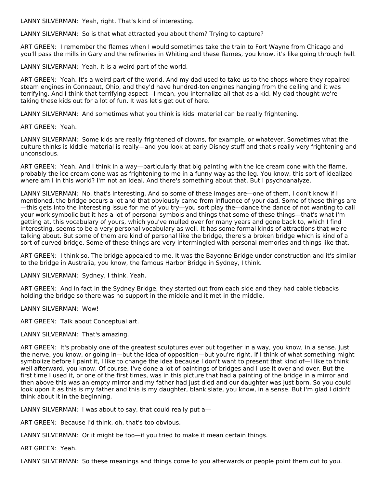LANNY SILVERMAN: Yeah, right. That's kind of interesting.

LANNY SILVERMAN: So is that what attracted you about them? Trying to capture?

ART GREEN: I remember the flames when I would sometimes take the train to Fort Wayne from Chicago and you'll pass the mills in Gary and the refineries in Whiting and these flames, you know, it's like going through hell.

LANNY SILVERMAN: Yeah. It is a weird part of the world.

ART GREEN: Yeah. It's a weird part of the world. And my dad used to take us to the shops where they repaired steam engines in Conneaut, Ohio, and they'd have hundred-ton engines hanging from the ceiling and it was terrifying. And I think that terrifying aspect—I mean, you internalize all that as a kid. My dad thought we're taking these kids out for a lot of fun. It was let's get out of here.

LANNY SILVERMAN: And sometimes what you think is kids' material can be really frightening.

ART GREEN: Yeah.

LANNY SILVERMAN: Some kids are really frightened of clowns, for example, or whatever. Sometimes what the culture thinks is kiddie material is really—and you look at early Disney stuff and that's really very frightening and unconscious.

ART GREEN: Yeah. And I think in a way—particularly that big painting with the ice cream cone with the flame, probably the ice cream cone was as frightening to me in a funny way as the leg. You know, this sort of idealized where am I in this world? I'm not an ideal. And there's something about that. But I psychoanalyze.

LANNY SILVERMAN: No, that's interesting. And so some of these images are—one of them, I don't know if I mentioned, the bridge occurs a lot and that obviously came from influence of your dad. Some of these things are —this gets into the interesting issue for me of you try—you sort play the—dance the dance of not wanting to call your work symbolic but it has a lot of personal symbols and things that some of these things—that's what I'm getting at, this vocabulary of yours, which you've mulled over for many years and gone back to, which I find interesting, seems to be a very personal vocabulary as well. It has some formal kinds of attractions that we're talking about. But some of them are kind of personal like the bridge, there's a broken bridge which is kind of a sort of curved bridge. Some of these things are very intermingled with personal memories and things like that.

ART GREEN: I think so. The bridge appealed to me. It was the Bayonne Bridge under construction and it's similar to the bridge in Australia, you know, the famous Harbor Bridge in Sydney, I think.

LANNY SILVERMAN: Sydney, I think. Yeah.

ART GREEN: And in fact in the Sydney Bridge, they started out from each side and they had cable tiebacks holding the bridge so there was no support in the middle and it met in the middle.

LANNY SILVERMAN: Wow!

ART GREEN: Talk about Conceptual art.

LANNY SILVERMAN: That's amazing.

ART GREEN: It's probably one of the greatest sculptures ever put together in a way, you know, in a sense. Just the nerve, you know, or going in—but the idea of opposition—but you're right. If I think of what something might symbolize before I paint it, I like to change the idea because I don't want to present that kind of—I like to think well afterward, you know. Of course, I've done a lot of paintings of bridges and I use it over and over. But the first time I used it, or one of the first times, was in this picture that had a painting of the bridge in a mirror and then above this was an empty mirror and my father had just died and our daughter was just born. So you could look upon it as this is my father and this is my daughter, blank slate, you know, in a sense. But I'm glad I didn't think about it in the beginning.

LANNY SILVERMAN: I was about to say, that could really put a—

ART GREEN: Because I'd think, oh, that's too obvious.

LANNY SILVERMAN: Or it might be too—if you tried to make it mean certain things.

ART GREEN: Yeah.

LANNY SILVERMAN: So these meanings and things come to you afterwards or people point them out to you.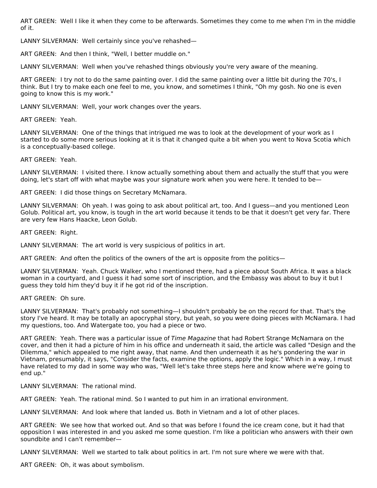ART GREEN: Well I like it when they come to be afterwards. Sometimes they come to me when I'm in the middle of it.

LANNY SILVERMAN: Well certainly since you've rehashed—

ART GREEN: And then I think, "Well, I better muddle on."

LANNY SILVERMAN: Well when you've rehashed things obviously you're very aware of the meaning.

ART GREEN: I try not to do the same painting over. I did the same painting over a little bit during the 70's, I think. But I try to make each one feel to me, you know, and sometimes I think, "Oh my gosh. No one is even going to know this is my work."

LANNY SILVERMAN: Well, your work changes over the years.

ART GREEN: Yeah.

LANNY SILVERMAN: One of the things that intrigued me was to look at the development of your work as I started to do some more serious looking at it is that it changed quite a bit when you went to Nova Scotia which is a conceptually-based college.

ART GREEN: Yeah.

LANNY SILVERMAN: I visited there. I know actually something about them and actually the stuff that you were doing, let's start off with what maybe was your signature work when you were here. It tended to be-

ART GREEN: I did those things on Secretary McNamara.

LANNY SILVERMAN: Oh yeah. I was going to ask about political art, too. And I guess—and you mentioned Leon Golub. Political art, you know, is tough in the art world because it tends to be that it doesn't get very far. There are very few Hans Haacke, Leon Golub.

ART GREEN: Right.

LANNY SILVERMAN: The art world is very suspicious of politics in art.

ART GREEN: And often the politics of the owners of the art is opposite from the politics—

LANNY SILVERMAN: Yeah. Chuck Walker, who I mentioned there, had a piece about South Africa. It was a black woman in a courtyard, and I guess it had some sort of inscription, and the Embassy was about to buy it but I guess they told him they'd buy it if he got rid of the inscription.

ART GREEN: Oh sure.

LANNY SILVERMAN: That's probably not something—I shouldn't probably be on the record for that. That's the story I've heard. It may be totally an apocryphal story, but yeah, so you were doing pieces with McNamara. I had my questions, too. And Watergate too, you had a piece or two.

ART GREEN: Yeah. There was a particular issue of Time Magazine that had Robert Strange McNamara on the cover, and then it had a picture of him in his office and underneath it said, the article was called "Design and the Dilemma," which appealed to me right away, that name. And then underneath it as he's pondering the war in Vietnam, presumably, it says, "Consider the facts, examine the options, apply the logic." Which in a way, I must have related to my dad in some way who was, "Well let's take three steps here and know where we're going to end up."

LANNY SILVERMAN: The rational mind.

ART GREEN: Yeah. The rational mind. So I wanted to put him in an irrational environment.

LANNY SILVERMAN: And look where that landed us. Both in Vietnam and a lot of other places.

ART GREEN: We see how that worked out. And so that was before I found the ice cream cone, but it had that opposition I was interested in and you asked me some question. I'm like a politician who answers with their own soundbite and I can't remember—

LANNY SILVERMAN: Well we started to talk about politics in art. I'm not sure where we were with that.

ART GREEN: Oh, it was about symbolism.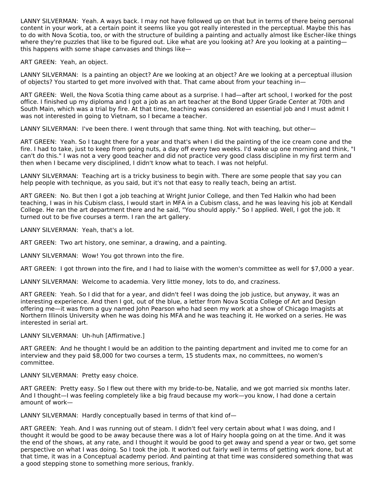LANNY SILVERMAN: Yeah. A ways back. I may not have followed up on that but in terms of there being personal content in your work, at a certain point it seems like you got really interested in the perceptual. Maybe this has to do with Nova Scotia, too, or with the structure of building a painting and actually almost like Escher-like things where they're puzzles that like to be figured out. Like what are you looking at? Are you looking at a painting this happens with some shape canvases and things like—

ART GREEN: Yeah, an object.

LANNY SILVERMAN: Is a painting an object? Are we looking at an object? Are we looking at a perceptual illusion of objects? You started to get more involved with that. That came about from your teaching in—

ART GREEN: Well, the Nova Scotia thing came about as a surprise. I had—after art school, I worked for the post office. I finished up my diploma and I got a job as an art teacher at the Bond Upper Grade Center at 70th and South Main, which was a trial by fire. At that time, teaching was considered an essential job and I must admit I was not interested in going to Vietnam, so I became a teacher.

LANNY SILVERMAN: I've been there. I went through that same thing. Not with teaching, but other—

ART GREEN: Yeah. So I taught there for a year and that's when I did the painting of the ice cream cone and the fire. I had to take, just to keep from going nuts, a day off every two weeks. I'd wake up one morning and think, "I can't do this." I was not a very good teacher and did not practice very good class discipline in my first term and then when I became very disciplined, I didn't know what to teach. I was not helpful.

LANNY SILVERMAN: Teaching art is a tricky business to begin with. There are some people that say you can help people with technique, as you said, but it's not that easy to really teach, being an artist.

ART GREEN: No. But then I got a job teaching at Wright Junior College, and then Ted Halkin who had been teaching, I was in his Cubism class, I would start in MFA in a Cubism class, and he was leaving his job at Kendall College. He ran the art department there and he said, "You should apply." So I applied. Well, I got the job. It turned out to be five courses a term. I ran the art gallery.

LANNY SILVERMAN: Yeah, that's a lot.

ART GREEN: Two art history, one seminar, a drawing, and a painting.

LANNY SILVERMAN: Wow! You got thrown into the fire.

ART GREEN: I got thrown into the fire, and I had to liaise with the women's committee as well for \$7,000 a year.

LANNY SILVERMAN: Welcome to academia. Very little money, lots to do, and craziness.

ART GREEN: Yeah. So I did that for a year, and didn't feel I was doing the job justice, but anyway, it was an interesting experience. And then I got, out of the blue, a letter from Nova Scotia College of Art and Design offering me—it was from a guy named John Pearson who had seen my work at a show of Chicago Imagists at Northern Illinois University when he was doing his MFA and he was teaching it. He worked on a series. He was interested in serial art.

LANNY SILVERMAN: Uh-huh [Affirmative.]

ART GREEN: And he thought I would be an addition to the painting department and invited me to come for an interview and they paid \$8,000 for two courses a term, 15 students max, no committees, no women's committee.

LANNY SILVERMAN: Pretty easy choice.

ART GREEN: Pretty easy. So I flew out there with my bride-to-be, Natalie, and we got married six months later. And I thought—I was feeling completely like a big fraud because my work—you know, I had done a certain amount of work—

LANNY SILVERMAN: Hardly conceptually based in terms of that kind of—

ART GREEN: Yeah. And I was running out of steam. I didn't feel very certain about what I was doing, and I thought it would be good to be away because there was a lot of Hairy hoopla going on at the time. And it was the end of the shows, at any rate, and I thought it would be good to get away and spend a year or two, get some perspective on what I was doing. So I took the job. It worked out fairly well in terms of getting work done, but at that time, it was in a Conceptual academy period. And painting at that time was considered something that was a good stepping stone to something more serious, frankly.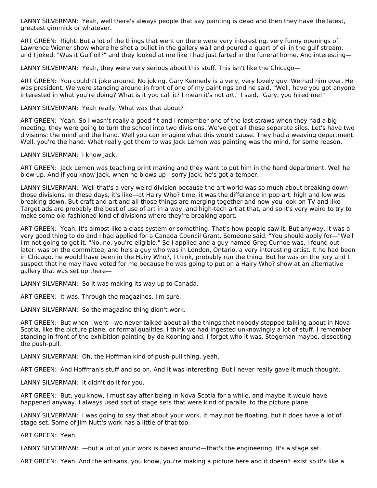LANNY SILVERMAN: Yeah, well there's always people that say painting is dead and then they have the latest, greatest gimmick or whatever.

ART GREEN: Right. But a lot of the things that went on there were very interesting, very funny openings of Lawrence Wiener show where he shot a bullet in the gallery wall and poured a quart of oil in the gulf stream, and I joked, "Was it Gulf oil?" and they looked at me like I had just farted in the funeral home. And interesting—

LANNY SILVERMAN: Yeah, they were very serious about this stuff. This isn't like the Chicago—

ART GREEN: You couldn't joke around. No joking. Gary Kennedy is a very, very lovely guy. We had him over. He was president. We were standing around in front of one of my paintings and he said, "Well, have you got anyone interested in what you're doing? What is it you call it? I mean it's not art." I said, "Gary, you hired me!"

#### LANNY SILVERMAN: Yeah really. What was that about?

ART GREEN: Yeah. So I wasn't really a good fit and I remember one of the last straws when they had a big meeting, they were going to turn the school into two divisions. We've got all these separate silos. Let's have two divisions: the mind and the hand. Well you can imagine what this would cause. They had a weaving department. Well, you're the hand. What really got them to was Jack Lemon was painting was the mind, for some reason.

LANNY SILVERMAN: I know Jack.

ART GREEN: Jack Lemon was teaching print making and they want to put him in the hand department. Well he blew up. And if you know Jack, when he blows up—sorry Jack, he's got a temper.

LANNY SILVERMAN: Well that's a very weird division because the art world was so much about breaking down those divisions. In these days, it's like—at Hairy Who? time, it was the difference in pop art, high and low was breaking down. But craft and art and all those things are merging together and now you look on TV and like Target ads are probably the best of use of art in a way, and high-tech art at that, and so it's very weird to try to make some old-fashioned kind of divisions where they're breaking apart.

ART GREEN: Yeah. It's almost like a class system or something. That's how people saw it. But anyway, it was a very good thing to do and I had applied for a Canada Council Grant. Someone said, "You should apply for—"Well I'm not going to get it. "No, no, you're eligible." So I applied and a guy named Greg Curnoe was, I found out later, was on the committee, and he's a guy who was in London, Ontario, a very interesting artist. It he had been in Chicago, he would have been in the Hairy Who?, I think, probably run the thing. But he was on the jury and I suspect that he may have voted for me because he was going to put on a Hairy Who? show at an alternative gallery that was set up there—

LANNY SILVERMAN: So it was making its way up to Canada.

ART GREEN: It was. Through the magazines, I'm sure.

LANNY SILVERMAN: So the magazine thing didn't work.

ART GREEN: But when I went—we never talked about all the things that nobody stopped talking about in Nova Scotia, like the picture plane, or formal qualities. I think we had ingested unknowingly a lot of stuff. I remember standing in front of the exhibition painting by de Kooning and, I forget who it was, Stegeman maybe, dissecting the push-pull.

LANNY SILVERMAN: Oh, the Hoffman kind of push-pull thing, yeah.

ART GREEN: And Hoffman's stuff and so on. And it was interesting. But I never really gave it much thought.

LANNY SILVERMAN: It didn't do it for you.

ART GREEN: But, you know, I must say after being in Nova Scotia for a while, and maybe it would have happened anyway. I always used sort of stage sets that were kind of parallel to the picture plane.

LANNY SILVERMAN: I was going to say that about your work. It may not be floating, but it does have a lot of stage set. Some of Jim Nutt's work has a little of that too.

ART GREEN: Yeah.

LANNY SILVERMAN: —but a lot of your work is based around—that's the engineering. It's a stage set.

ART GREEN: Yeah. And the artisans, you know, you're making a picture here and it doesn't exist so it's like a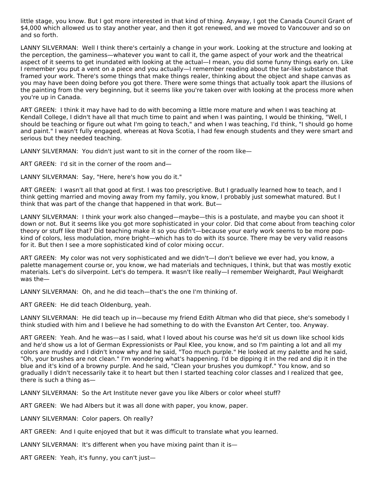little stage, you know. But I got more interested in that kind of thing. Anyway, I got the Canada Council Grant of \$4,000 which allowed us to stay another year, and then it got renewed, and we moved to Vancouver and so on and so forth.

LANNY SILVERMAN: Well I think there's certainly a change in your work. Looking at the structure and looking at the perception, the gaminess—whatever you want to call it, the game aspect of your work and the theatrical aspect of it seems to get inundated with looking at the actual—I mean, you did some funny things early on. Like I remember you put a vent on a piece and you actually—I remember reading about the tar-like substance that framed your work. There's some things that make things realer, thinking about the object and shape canvas as you may have been doing before you got there. There were some things that actually took apart the illusions of the painting from the very beginning, but it seems like you're taken over with looking at the process more when you're up in Canada.

ART GREEN: I think it may have had to do with becoming a little more mature and when I was teaching at Kendall College, I didn't have all that much time to paint and when I was painting, I would be thinking, "Well, I should be teaching or figure out what I'm going to teach," and when I was teaching, I'd think, "I should go home and paint." I wasn't fully engaged, whereas at Nova Scotia, I had few enough students and they were smart and serious but they needed teaching.

LANNY SILVERMAN: You didn't just want to sit in the corner of the room like—

ART GREEN: I'd sit in the corner of the room and—

LANNY SILVERMAN: Say, "Here, here's how you do it."

ART GREEN: I wasn't all that good at first. I was too prescriptive. But I gradually learned how to teach, and I think getting married and moving away from my family, you know, I probably just somewhat matured. But I think that was part of the change that happened in that work. But—

LANNY SILVERMAN: I think your work also changed—maybe—this is a postulate, and maybe you can shoot it down or not. But it seems like you got more sophisticated in your color. Did that come about from teaching color theory or stuff like that? Did teaching make it so you didn't—because your early work seems to be more popkind of colors, less modulation, more bright—which has to do with its source. There may be very valid reasons for it. But then I see a more sophisticated kind of color mixing occur.

ART GREEN: My color was not very sophisticated and we didn't—I don't believe we ever had, you know, a palette management course or, you know, we had materials and techniques, I think, but that was mostly exotic materials. Let's do silverpoint. Let's do tempera. It wasn't like really—I remember Weighardt, Paul Weighardt was the—

LANNY SILVERMAN: Oh, and he did teach—that's the one I'm thinking of.

ART GREEN: He did teach Oldenburg, yeah.

LANNY SILVERMAN: He did teach up in—because my friend Edith Altman who did that piece, she's somebody I think studied with him and I believe he had something to do with the Evanston Art Center, too. Anyway.

ART GREEN: Yeah. And he was—as I said, what I loved about his course was he'd sit us down like school kids and he'd show us a lot of German Expressionists or Paul Klee, you know, and so I'm painting a lot and all my colors are muddy and I didn't know why and he said, "Too much purple." He looked at my palette and he said, "Oh, your brushes are not clean." I'm wondering what's happening. I'd be dipping it in the red and dip it in the blue and it's kind of a browny purple. And he said, "Clean your brushes you dumkopf." You know, and so gradually I didn't necessarily take it to heart but then I started teaching color classes and I realized that gee, there is such a thing as—

LANNY SILVERMAN: So the Art Institute never gave you like Albers or color wheel stuff?

ART GREEN: We had Albers but it was all done with paper, you know, paper.

LANNY SILVERMAN: Color papers. Oh really?

ART GREEN: And I quite enjoyed that but it was difficult to translate what you learned.

LANNY SILVERMAN: It's different when you have mixing paint than it is—

ART GREEN: Yeah, it's funny, you can't just—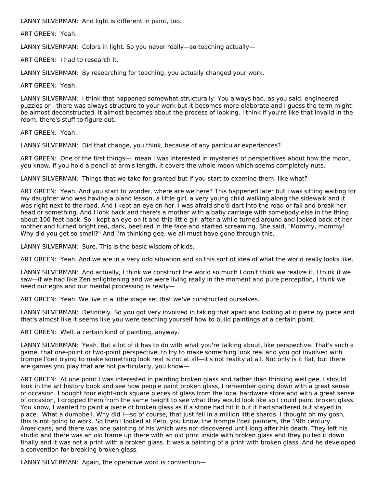LANNY SILVERMAN: And light is different in paint, too.

ART GREEN: Yeah.

LANNY SILVERMAN: Colors in light. So you never really—so teaching actually—

ART GREEN: I had to research it.

LANNY SILVERMAN: By researching for teaching, you actually changed your work.

ART GREEN: Yeah.

LANNY SILVERMAN: I think that happened somewhat structurally. You always had, as you said, engineered puzzles or—there was always structure to your work but it becomes more elaborate and I guess the term might be almost deconstructed. It almost becomes about the process of looking. I think if you're like that invalid in the room, there's stuff to figure out.

ART GREEN: Yeah.

LANNY SILVERMAN: Did that change, you think, because of any particular experiences?

ART GREEN: One of the first things—I mean I was interested in mysteries of perspectives about how the moon, you know, if you hold a pencil at arm's length, it covers the whole moon which seems completely nuts.

LANNY SILVERMAN: Things that we take for granted but if you start to examine them, like what?

ART GREEN: Yeah. And you start to wonder, where are we here? This happened later but I was sitting waiting for my daughter who was having a piano lesson, a little girl, a very young child walking along the sidewalk and it was right next to the road. And I kept an eye on her. I was afraid she'd dart into the road or fall and break her head or something. And I look back and there's a mother with a baby carriage with somebody else in the thing about 100 feet back. So I kept an eye on it and this little girl after a while turned around and looked back at her mother and turned bright red, dark, beet red in the face and started screaming. She said, "Mommy, mommy! Why did you get so small?" And I'm thinking gee, we all must have gone through this.

LANNY SILVERMAN: Sure. This is the basic wisdom of kids.

ART GREEN: Yeah. And we are in a very odd situation and so this sort of idea of what the world really looks like.

LANNY SILVERMAN: And actually, I think we construct the world so much I don't think we realize it. I think if we saw—if we had like Zen enlightening and we were living really in the moment and pure perception, I think we need our egos and our mental processing is really—

ART GREEN: Yeah. We live in a little stage set that we've constructed ourselves.

LANNY SILVERMAN: Definitely. So you got very involved in taking that apart and looking at it piece by piece and that's almost like it seems like you were teaching yourself how to build paintings at a certain point.

ART GREEN: Well, a certain kind of painting, anyway.

LANNY SILVERMAN: Yeah. But a lot of it has to do with what you're talking about, like perspective. That's such a game, that one-point or two-point perspective, to try to make something look real and you got involved with trompe l'oeil trying to make something look real is not at all—it's not reality at all. Not only is it flat, but there are games you play that are not particularly, you know—

ART GREEN: At one point I was interested in painting broken glass and rather than thinking well gee, I should look in the art history book and see how people paint broken glass, I remember going down with a great sense of occasion. I bought four eight-inch square pieces of glass from the local hardware store and with a great sense of occasion, I dropped them from the same height to see what they would look like so I could paint broken glass. You know, I wanted to paint a piece of broken glass as if a stone had hit it but it had shattered but stayed in place. What a dumbbell. Why did I—so of course, that just fell in a million little shards. I thought oh my gosh, this is not going to work. So then I looked at Peto, you know, the trompe l'oeil painters, the 19th century Americans, and there was one painting of his which was not discovered until long after his death. They left his studio and there was an old frame up there with an old print inside with broken glass and they pulled it down finally and it was not a print with a broken glass. It was a painting of a print with broken glass. And he developed a convention for breaking broken glass.

LANNY SILVERMAN: Again, the operative word is convention—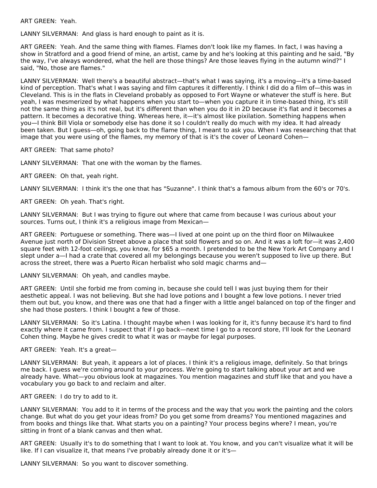ART GREEN: Yeah.

LANNY SILVERMAN: And glass is hard enough to paint as it is.

ART GREEN: Yeah. And the same thing with flames. Flames don't look like my flames. In fact, I was having a show in Stratford and a good friend of mine, an artist, came by and he's looking at this painting and he said, "By the way, I've always wondered, what the hell are those things? Are those leaves flying in the autumn wind?" I said, "No, those are flames."

LANNY SILVERMAN: Well there's a beautiful abstract—that's what I was saying, it's a moving—it's a time-based kind of perception. That's what I was saying and film captures it differently. I think I did do a film of—this was in Cleveland. This is in the flats in Cleveland probably as opposed to Fort Wayne or whatever the stuff is here. But yeah, I was mesmerized by what happens when you start to—when you capture it in time-based thing, it's still not the same thing as it's not real, but it's different than when you do it in 2D because it's flat and it becomes a pattern. It becomes a decorative thing. Whereas here, it—it's almost like pixilation. Something happens when you—I think Bill Viola or somebody else has done it so I couldn't really do much with my idea. It had already been taken. But I guess—oh, going back to the flame thing, I meant to ask you. When I was researching that that image that you were using of the flames, my memory of that is it's the cover of Leonard Cohen—

ART GREEN: That same photo?

LANNY SILVERMAN: That one with the woman by the flames.

ART GREEN: Oh that, yeah right.

LANNY SILVERMAN: I think it's the one that has "Suzanne". I think that's a famous album from the 60's or 70's.

ART GREEN: Oh yeah. That's right.

LANNY SILVERMAN: But I was trying to figure out where that came from because I was curious about your sources. Turns out, I think it's a religious image from Mexican—

ART GREEN: Portuguese or something. There was—I lived at one point up on the third floor on Milwaukee Avenue just north of Division Street above a place that sold flowers and so on. And it was a loft for—it was 2,400 square feet with 12-foot ceilings, you know, for \$65 a month. I pretended to be the New York Art Company and I slept under a—I had a crate that covered all my belongings because you weren't supposed to live up there. But across the street, there was a Puerto Rican herbalist who sold magic charms and—

LANNY SILVERMAN: Oh yeah, and candles maybe.

ART GREEN: Until she forbid me from coming in, because she could tell I was just buying them for their aesthetic appeal. I was not believing. But she had love potions and I bought a few love potions. I never tried them out but, you know, and there was one that had a finger with a little angel balanced on top of the finger and she had those posters. I think I bought a few of those.

LANNY SILVERMAN: So it's Latina. I thought maybe when I was looking for it, it's funny because it's hard to find exactly where it came from. I suspect that if I go back—next time I go to a record store, I'll look for the Leonard Cohen thing. Maybe he gives credit to what it was or maybe for legal purposes.

ART GREEN: Yeah. It's a great—

LANNY SILVERMAN: But yeah, it appears a lot of places. I think it's a religious image, definitely. So that brings me back. I guess we're coming around to your process. We're going to start talking about your art and we already have. What—you obvious look at magazines. You mention magazines and stuff like that and you have a vocabulary you go back to and reclaim and alter.

ART GREEN: I do try to add to it.

LANNY SILVERMAN: You add to it in terms of the process and the way that you work the painting and the colors change. But what do you get your ideas from? Do you get some from dreams? You mentioned magazines and from books and things like that. What starts you on a painting? Your process begins where? I mean, you're sitting in front of a blank canvas and then what.

ART GREEN: Usually it's to do something that I want to look at. You know, and you can't visualize what it will be like. If I can visualize it, that means I've probably already done it or it's—

LANNY SILVERMAN: So you want to discover something.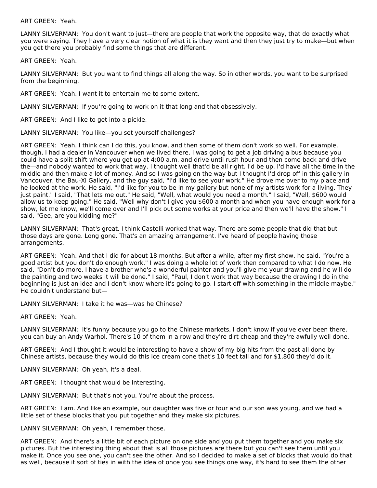ART GREEN: Yeah.

LANNY SILVERMAN: You don't want to just—there are people that work the opposite way, that do exactly what you were saying. They have a very clear notion of what it is they want and then they just try to make—but when you get there you probably find some things that are different.

ART GREEN: Yeah.

LANNY SILVERMAN: But you want to find things all along the way. So in other words, you want to be surprised from the beginning.

ART GREEN: Yeah. I want it to entertain me to some extent.

LANNY SILVERMAN: If you're going to work on it that long and that obsessively.

ART GREEN: And I like to get into a pickle.

LANNY SILVERMAN: You like—you set yourself challenges?

ART GREEN: Yeah. I think can I do this, you know, and then some of them don't work so well. For example, though, I had a dealer in Vancouver when we lived there. I was going to get a job driving a bus because you could have a split shift where you get up at 4:00 a.m. and drive until rush hour and then come back and drive the—and nobody wanted to work that way. I thought well that'd be all right. I'd be up. I'd have all the time in the middle and then make a lot of money. And so I was going on the way but I thought I'd drop off in this gallery in Vancouver, the Bau-Xi Gallery, and the guy said, "I'd like to see your work." He drove me over to my place and he looked at the work. He said, "I'd like for you to be in my gallery but none of my artists work for a living. They just paint." I said, "That lets me out." He said, "Well, what would you need a month." I said, "Well, \$600 would allow us to keep going." He said, "Well why don't I give you \$600 a month and when you have enough work for a show, let me know, we'll come over and I'll pick out some works at your price and then we'll have the show." I said, "Gee, are you kidding me?"

LANNY SILVERMAN: That's great. I think Castelli worked that way. There are some people that did that but those days are gone. Long gone. That's an amazing arrangement. I've heard of people having those arrangements.

ART GREEN: Yeah. And that I did for about 18 months. But after a while, after my first show, he said, "You're a good artist but you don't do enough work." I was doing a whole lot of work then compared to what I do now. He said, "Don't do more. I have a brother who's a wonderful painter and you'll give me your drawing and he will do the painting and two weeks it will be done." I said, "Paul, I don't work that way because the drawing I do in the beginning is just an idea and I don't know where it's going to go. I start off with something in the middle maybe." He couldn't understand but—

LANNY SILVERMAN: I take it he was—was he Chinese?

ART GREEN: Yeah.

LANNY SILVERMAN: It's funny because you go to the Chinese markets, I don't know if you've ever been there, you can buy an Andy Warhol. There's 10 of them in a row and they're dirt cheap and they're awfully well done.

ART GREEN: And I thought it would be interesting to have a show of my big hits from the past all done by Chinese artists, because they would do this ice cream cone that's 10 feet tall and for \$1,800 they'd do it.

LANNY SILVERMAN: Oh yeah, it's a deal.

ART GREEN: I thought that would be interesting.

LANNY SILVERMAN: But that's not you. You're about the process.

ART GREEN: I am. And like an example, our daughter was five or four and our son was young, and we had a little set of these blocks that you put together and they make six pictures.

LANNY SILVERMAN: Oh yeah, I remember those.

ART GREEN: And there's a little bit of each picture on one side and you put them together and you make six pictures. But the interesting thing about that is all those pictures are there but you can't see them until you make it. Once you see one, you can't see the other. And so I decided to make a set of blocks that would do that as well, because it sort of ties in with the idea of once you see things one way, it's hard to see them the other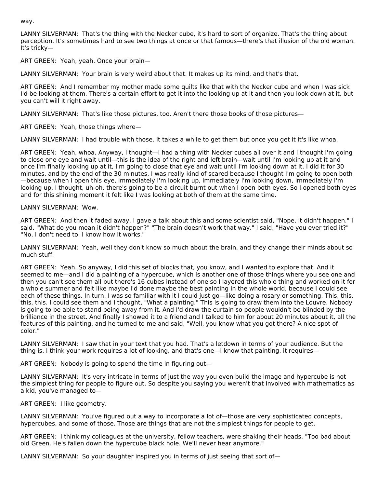way.

LANNY SILVERMAN: That's the thing with the Necker cube, it's hard to sort of organize. That's the thing about perception. It's sometimes hard to see two things at once or that famous—there's that illusion of the old woman. It's tricky—

ART GREEN: Yeah, yeah. Once your brain—

LANNY SILVERMAN: Your brain is very weird about that. It makes up its mind, and that's that.

ART GREEN: And I remember my mother made some quilts like that with the Necker cube and when I was sick I'd be looking at them. There's a certain effort to get it into the looking up at it and then you look down at it, but you can't will it right away.

LANNY SILVERMAN: That's like those pictures, too. Aren't there those books of those pictures—

ART GREEN: Yeah, those things where—

LANNY SILVERMAN: I had trouble with those. It takes a while to get them but once you get it it's like whoa.

ART GREEN: Yeah, whoa. Anyway, I thought—I had a thing with Necker cubes all over it and I thought I'm going to close one eye and wait until—this is the idea of the right and left brain—wait until I'm looking up at it and once I'm finally looking up at it, I'm going to close that eye and wait until I'm looking down at it. I did it for 30 minutes, and by the end of the 30 minutes, I was really kind of scared because I thought I'm going to open both —because when I open this eye, immediately I'm looking up, immediately I'm looking down, immediately I'm looking up. I thought, uh-oh, there's going to be a circuit burnt out when I open both eyes. So I opened both eyes and for this shining moment it felt like I was looking at both of them at the same time.

# LANNY SILVERMAN: Wow.

ART GREEN: And then it faded away. I gave a talk about this and some scientist said, "Nope, it didn't happen." I said, "What do you mean it didn't happen?" "The brain doesn't work that way." I said, "Have you ever tried it?" "No, I don't need to. I know how it works."

LANNY SILVERMAN: Yeah, well they don't know so much about the brain, and they change their minds about so much stuff.

ART GREEN: Yeah. So anyway, I did this set of blocks that, you know, and I wanted to explore that. And it seemed to me—and I did a painting of a hypercube, which is another one of those things where you see one and then you can't see them all but there's 16 cubes instead of one so I layered this whole thing and worked on it for a whole summer and felt like maybe I'd done maybe the best painting in the whole world, because I could see each of these things. In turn, I was so familiar with it I could just go—like doing a rosary or something. This, this, this, this. I could see them and I thought, "What a painting." This is going to draw them into the Louvre. Nobody is going to be able to stand being away from it. And I'd draw the curtain so people wouldn't be blinded by the brilliance in the street. And finally I showed it to a friend and I talked to him for about 20 minutes about it, all the features of this painting, and he turned to me and said, "Well, you know what you got there? A nice spot of color."

LANNY SILVERMAN: I saw that in your text that you had. That's a letdown in terms of your audience. But the thing is, I think your work requires a lot of looking, and that's one—I know that painting, it requires—

ART GREEN: Nobody is going to spend the time in figuring out—

LANNY SILVERMAN: It's very intricate in terms of just the way you even build the image and hypercube is not the simplest thing for people to figure out. So despite you saying you weren't that involved with mathematics as a kid, you've managed to—

ART GREEN: I like geometry.

LANNY SILVERMAN: You've figured out a way to incorporate a lot of—those are very sophisticated concepts, hypercubes, and some of those. Those are things that are not the simplest things for people to get.

ART GREEN: I think my colleagues at the university, fellow teachers, were shaking their heads. "Too bad about old Green. He's fallen down the hypercube black hole. We'll never hear anymore."

LANNY SILVERMAN: So your daughter inspired you in terms of just seeing that sort of-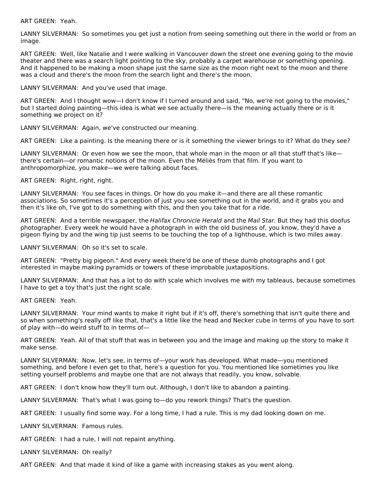ART GREEN: Yeah.

LANNY SILVERMAN: So sometimes you get just a notion from seeing something out there in the world or from an image.

ART GREEN: Well, like Natalie and I were walking in Vancouver down the street one evening going to the movie theater and there was a search light pointing to the sky, probably a carpet warehouse or something opening. And it happened to be making a moon shape just the same size as the moon right next to the moon and there was a cloud and there's the moon from the search light and there's the moon.

LANNY SILVERMAN: And you've used that image.

ART GREEN: And I thought wow—I don't know if I turned around and said, "No, we're not going to the movies," but I started doing painting—this idea is what we see actually there—is the meaning actually there or is it something we project on it?

LANNY SILVERMAN: Again, we've constructed our meaning.

ART GREEN: Like a painting. Is the meaning there or is it something the viewer brings to it? What do they see?

LANNY SILVERMAN: Or even how we see the moon, that whole man in the moon or all that stuff that's likethere's certain—or romantic notions of the moon. Even the Méliès from that film. If you want to anthropomorphize, you make—we were talking about faces.

ART GREEN: Right, right, right.

LANNY SILVERMAN: You see faces in things. Or how do you make it—and there are all these romantic associations. So sometimes it's a perception of just you see something out in the world, and it grabs you and then it's like oh, I've got to do something with this, and then you take that for a ride.

ART GREEN: And a terrible newspaper, the Halifax Chronicle Herald and the Mail Star. But they had this doofus photographer. Every week he would have a photograph in with the old business of, you know, they'd have a pigeon flying by and the wing tip just seems to be touching the top of a lighthouse, which is two miles away.

LANNY SILVERMAN: Oh so it's set to scale.

ART GREEN: "Pretty big pigeon." And every week there'd be one of these dumb photographs and I got interested in maybe making pyramids or towers of these improbable juxtapositions.

LANNY SILVERMAN: And that has a lot to do with scale which involves me with my tableaus, because sometimes I have to get a toy that's just the right scale.

ART GREEN: Yeah.

LANNY SILVERMAN: Your mind wants to make it right but if it's off, there's something that isn't quite there and so when something's really off like that, that's a little like the head and Necker cube in terms of you have to sort of play with—do weird stuff to in terms of—

ART GREEN: Yeah. All of that stuff that was in between you and the image and making up the story to make it make sense.

LANNY SILVERMAN: Now, let's see, in terms of—your work has developed. What made—you mentioned something, and before I even get to that, here's a question for you. You mentioned like sometimes you like setting yourself problems and maybe one that are not always that readily, you know, solvable.

ART GREEN: I don't know how they'll turn out. Although, I don't like to abandon a painting.

LANNY SILVERMAN: That's what I was going to—do you rework things? That's the question.

ART GREEN: I usually find some way. For a long time, I had a rule. This is my dad looking down on me.

LANNY SILVERMAN: Famous rules.

ART GREEN: I had a rule, I will not repaint anything.

LANNY SILVERMAN: Oh really?

ART GREEN: And that made it kind of like a game with increasing stakes as you went along.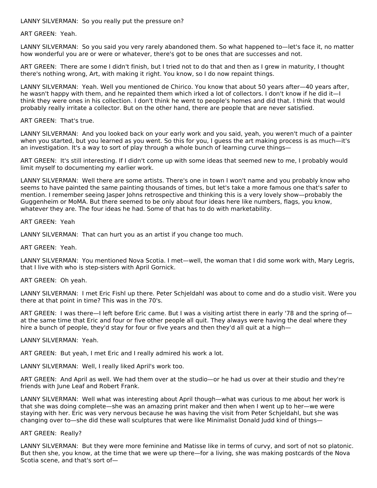LANNY SILVERMAN: So you really put the pressure on?

ART GREEN: Yeah.

LANNY SILVERMAN: So you said you very rarely abandoned them. So what happened to—let's face it, no matter how wonderful you are or were or whatever, there's got to be ones that are successes and not.

ART GREEN: There are some I didn't finish, but I tried not to do that and then as I grew in maturity, I thought there's nothing wrong, Art, with making it right. You know, so I do now repaint things.

LANNY SILVERMAN: Yeah. Well you mentioned de Chirico. You know that about 50 years after—40 years after, he wasn't happy with them, and he repainted them which irked a lot of collectors. I don't know if he did it—I think they were ones in his collection. I don't think he went to people's homes and did that. I think that would probably really irritate a collector. But on the other hand, there are people that are never satisfied.

#### ART GREEN: That's true.

LANNY SILVERMAN: And you looked back on your early work and you said, yeah, you weren't much of a painter when you started, but you learned as you went. So this for you, I guess the art making process is as much—it's an investigation. It's a way to sort of play through a whole bunch of learning curve things—

ART GREEN: It's still interesting. If I didn't come up with some ideas that seemed new to me, I probably would limit myself to documenting my earlier work.

LANNY SILVERMAN: Well there are some artists. There's one in town I won't name and you probably know who seems to have painted the same painting thousands of times, but let's take a more famous one that's safer to mention. I remember seeing Jasper Johns retrospective and thinking this is a very lovely show—probably the Guggenheim or MoMA. But there seemed to be only about four ideas here like numbers, flags, you know, whatever they are. The four ideas he had. Some of that has to do with marketability.

#### ART GREEN: Yeah

LANNY SILVERMAN: That can hurt you as an artist if you change too much.

#### ART GREEN: Yeah.

LANNY SILVERMAN: You mentioned Nova Scotia. I met—well, the woman that I did some work with, Mary Legris, that I live with who is step-sisters with April Gornick.

# ART GREEN: Oh yeah.

LANNY SILVERMAN: I met Eric Fishl up there. Peter Schjeldahl was about to come and do a studio visit. Were you there at that point in time? This was in the 70's.

ART GREEN: I was there—I left before Eric came. But I was a visiting artist there in early '78 and the spring of at the same time that Eric and four or five other people all quit. They always were having the deal where they hire a bunch of people, they'd stay for four or five years and then they'd all quit at a high—

#### LANNY SILVERMAN: Yeah.

ART GREEN: But yeah, I met Eric and I really admired his work a lot.

LANNY SILVERMAN: Well, I really liked April's work too.

ART GREEN: And April as well. We had them over at the studio—or he had us over at their studio and they're friends with June Leaf and Robert Frank.

LANNY SILVERMAN: Well what was interesting about April though—what was curious to me about her work is that she was doing complete—she was an amazing print maker and then when I went up to her—we were staying with her. Eric was very nervous because he was having the visit from Peter Schjeldahl, but she was changing over to—she did these wall sculptures that were like Minimalist Donald Judd kind of things—

#### ART GREEN: Really?

LANNY SILVERMAN: But they were more feminine and Matisse like in terms of curvy, and sort of not so platonic. But then she, you know, at the time that we were up there—for a living, she was making postcards of the Nova Scotia scene, and that's sort of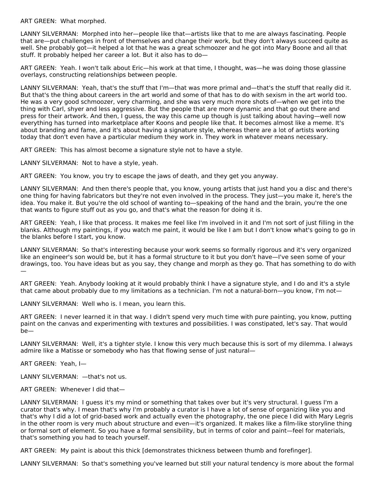ART GREEN: What morphed.

LANNY SILVERMAN: Morphed into her—people like that—artists like that to me are always fascinating. People that are—put challenges in front of themselves and change their work, but they don't always succeed quite as well. She probably got—it helped a lot that he was a great schmoozer and he got into Mary Boone and all that stuff. It probably helped her career a lot. But it also has to do—

ART GREEN: Yeah. I won't talk about Eric—his work at that time, I thought, was—he was doing those glassine overlays, constructing relationships between people.

LANNY SILVERMAN: Yeah, that's the stuff that I'm—that was more primal and—that's the stuff that really did it. But that's the thing about careers in the art world and some of that has to do with sexism in the art world too. He was a very good schmoozer, very charming, and she was very much more shots of—when we get into the thing with Carl, shyer and less aggressive. But the people that are more dynamic and that go out there and press for their artwork. And then, I guess, the way this came up though is just talking about having—well now everything has turned into marketplace after Koons and people like that. It becomes almost like a meme. It's about branding and fame, and it's about having a signature style, whereas there are a lot of artists working today that don't even have a particular medium they work in. They work in whatever means necessary.

ART GREEN: This has almost become a signature style not to have a style.

LANNY SILVERMAN: Not to have a style, yeah.

ART GREEN: You know, you try to escape the jaws of death, and they get you anyway.

LANNY SILVERMAN: And then there's people that, you know, young artists that just hand you a disc and there's one thing for having fabricators but they're not even involved in the process. They just—you make it, here's the idea. You make it. But you're the old school of wanting to—speaking of the hand and the brain, you're the one that wants to figure stuff out as you go, and that's what the reason for doing it is.

ART GREEN: Yeah, I like that process. It makes me feel like I'm involved in it and I'm not sort of just filling in the blanks. Although my paintings, if you watch me paint, it would be like I am but I don't know what's going to go in the blanks before I start, you know.

LANNY SILVERMAN: So that's interesting because your work seems so formally rigorous and it's very organized like an engineer's son would be, but it has a formal structure to it but you don't have—I've seen some of your drawings, too. You have ideas but as you say, they change and morph as they go. That has something to do with —

ART GREEN: Yeah. Anybody looking at it would probably think I have a signature style, and I do and it's a style that came about probably due to my limitations as a technician. I'm not a natural-born—you know, I'm not—

LANNY SILVERMAN: Well who is. I mean, you learn this.

ART GREEN: I never learned it in that way. I didn't spend very much time with pure painting, you know, putting paint on the canvas and experimenting with textures and possibilities. I was constipated, let's say. That would be—

LANNY SILVERMAN: Well, it's a tighter style. I know this very much because this is sort of my dilemma. I always admire like a Matisse or somebody who has that flowing sense of just natural—

ART GREEN: Yeah, I—

LANNY SILVERMAN: —that's not us.

ART GREEN: Whenever I did that—

LANNY SILVERMAN: I guess it's my mind or something that takes over but it's very structural. I guess I'm a curator that's why. I mean that's why I'm probably a curator is I have a lot of sense of organizing like you and that's why I did a lot of grid-based work and actually even the photography, the one piece I did with Mary Legris in the other room is very much about structure and even—it's organized. It makes like a film-like storyline thing or formal sort of element. So you have a formal sensibility, but in terms of color and paint—feel for materials, that's something you had to teach yourself.

ART GREEN: My paint is about this thick [demonstrates thickness between thumb and forefinger].

LANNY SILVERMAN: So that's something you've learned but still your natural tendency is more about the formal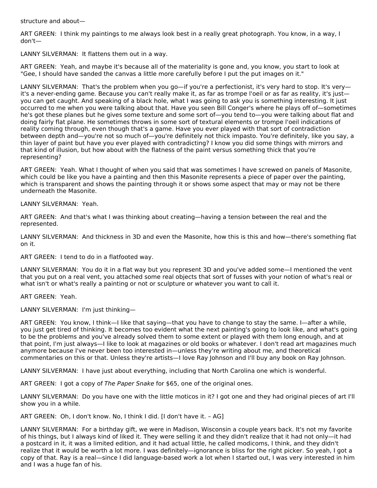structure and about—

ART GREEN: I think my paintings to me always look best in a really great photograph. You know, in a way, I don't—

LANNY SILVERMAN: It flattens them out in a way.

ART GREEN: Yeah, and maybe it's because all of the materiality is gone and, you know, you start to look at "Gee, I should have sanded the canvas a little more carefully before I put the put images on it."

LANNY SILVERMAN: That's the problem when you go—if you're a perfectionist, it's very hard to stop. It's very it's a never-ending game. Because you can't really make it, as far as trompe l'oeil or as far as reality, it's just you can get caught. And speaking of a black hole, what I was going to ask you is something interesting. It just occurred to me when you were talking about that. Have you seen Bill Conger's where he plays off of—sometimes he's got these planes but he gives some texture and some sort of—you tend to—you were talking about flat and doing fairly flat plane. He sometimes throws in some sort of textural elements or trompe l'oeil indications of reality coming through, even though that's a game. Have you ever played with that sort of contradiction between depth and—you're not so much of—you're definitely not thick impasto. You're definitely, like you say, a thin layer of paint but have you ever played with contradicting? I know you did some things with mirrors and that kind of illusion, but how about with the flatness of the paint versus something thick that you're representing?

ART GREEN: Yeah. What I thought of when you said that was sometimes I have screwed on panels of Masonite, which could be like you have a painting and then this Masonite represents a piece of paper over the painting, which is transparent and shows the painting through it or shows some aspect that may or may not be there underneath the Masonite.

LANNY SILVERMAN: Yeah.

ART GREEN: And that's what I was thinking about creating—having a tension between the real and the represented.

LANNY SILVERMAN: And thickness in 3D and even the Masonite, how this is this and how—there's something flat on it.

ART GREEN: I tend to do in a flatfooted way.

LANNY SILVERMAN: You do it in a flat way but you represent 3D and you've added some—I mentioned the vent that you put on a real vent, you attached some real objects that sort of fusses with your notion of what's real or what isn't or what's really a painting or not or sculpture or whatever you want to call it.

ART GREEN: Yeah.

LANNY SILVERMAN: I'm just thinking—

ART GREEN: You know, I think—I like that saying—that you have to change to stay the same. I—after a while, you just get tired of thinking. It becomes too evident what the next painting's going to look like, and what's going to be the problems and you've already solved them to some extent or played with them long enough, and at that point, I'm just always—I like to look at magazines or old books or whatever. I don't read art magazines much anymore because I've never been too interested in—unless they're writing about me, and theoretical commentaries on this or that. Unless they're artists—I love Ray Johnson and I'll buy any book on Ray Johnson.

LANNY SILVERMAN: I have just about everything, including that North Carolina one which is wonderful.

ART GREEN: I got a copy of The Paper Snake for \$65, one of the original ones.

LANNY SILVERMAN: Do you have one with the little moticos in it? I got one and they had original pieces of art I'll show you in a while.

ART GREEN: Oh, I don't know. No, I think I did. [I don't have it. – AG]

LANNY SILVERMAN: For a birthday gift, we were in Madison, Wisconsin a couple years back. It's not my favorite of his things, but I always kind of liked it. They were selling it and they didn't realize that it had not only—it had a postcard in it, it was a limited edition, and it had actual little, he called modicoms, I think, and they didn't realize that it would be worth a lot more. I was definitely—ignorance is bliss for the right picker. So yeah, I got a copy of that. Ray is a real—since I did language-based work a lot when I started out, I was very interested in him and I was a huge fan of his.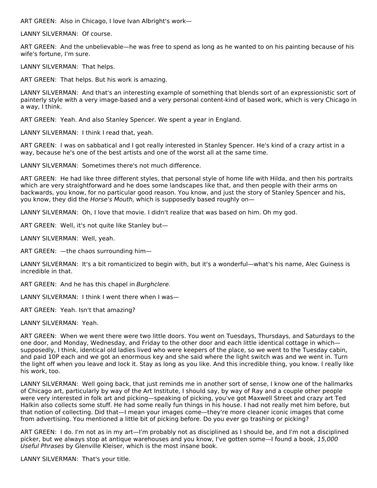ART GREEN: Also in Chicago, I love Ivan Albright's work—

LANNY SILVERMAN: Of course.

ART GREEN: And the unbelievable—he was free to spend as long as he wanted to on his painting because of his wife's fortune, I'm sure.

LANNY SILVERMAN: That helps.

ART GREEN: That helps. But his work is amazing.

LANNY SILVERMAN: And that's an interesting example of something that blends sort of an expressionistic sort of painterly style with a very image-based and a very personal content-kind of based work, which is very Chicago in a way, I think.

ART GREEN: Yeah. And also Stanley Spencer. We spent a year in England.

LANNY SILVERMAN: I think I read that, yeah.

ART GREEN: I was on sabbatical and I got really interested in Stanley Spencer. He's kind of a crazy artist in a way, because he's one of the best artists and one of the worst all at the same time.

LANNY SILVERMAN: Sometimes there's not much difference.

ART GREEN: He had like three different styles, that personal style of home life with Hilda, and then his portraits which are very straightforward and he does some landscapes like that, and then people with their arms on backwards, you know, for no particular good reason. You know, and just the story of Stanley Spencer and his, you know, they did the Horse's Mouth, which is supposedly based roughly on—

LANNY SILVERMAN: Oh, I love that movie. I didn't realize that was based on him. Oh my god.

ART GREEN: Well, it's not quite like Stanley but—

LANNY SILVERMAN: Well, yeah.

ART GREEN: —the chaos surrounding him—

LANNY SILVERMAN: It's a bit romanticized to begin with, but it's a wonderful—what's his name, Alec Guiness is incredible in that.

ART GREEN: And he has this chapel in Burghclere.

LANNY SILVERMAN: I think I went there when I was—

ART GREEN: Yeah. Isn't that amazing?

LANNY SILVERMAN: Yeah.

ART GREEN: When we went there were two little doors. You went on Tuesdays, Thursdays, and Saturdays to the one door, and Monday, Wednesday, and Friday to the other door and each little identical cottage in which supposedly, I think, identical old ladies lived who were keepers of the place, so we went to the Tuesday cabin, and paid 10P each and we got an enormous key and she said where the light switch was and we went in. Turn the light off when you leave and lock it. Stay as long as you like. And this incredible thing, you know. I really like his work, too.

LANNY SILVERMAN: Well going back, that just reminds me in another sort of sense, I know one of the hallmarks of Chicago art, particularly by way of the Art Institute, I should say, by way of Ray and a couple other people were very interested in folk art and picking—speaking of picking, you've got Maxwell Street and crazy art Ted Halkin also collects some stuff. He had some really fun things in his house. I had not really met him before, but that notion of collecting. Did that—I mean your images come—they're more cleaner iconic images that come from advertising. You mentioned a little bit of picking before. Do you ever go trashing or picking?

ART GREEN: I do. I'm not as in my art—I'm probably not as disciplined as I should be, and I'm not a disciplined picker, but we always stop at antique warehouses and you know, I've gotten some—I found a book, 15,000 Useful Phrases by Glenville Kleiser, which is the most insane book.

LANNY SILVERMAN: That's your title.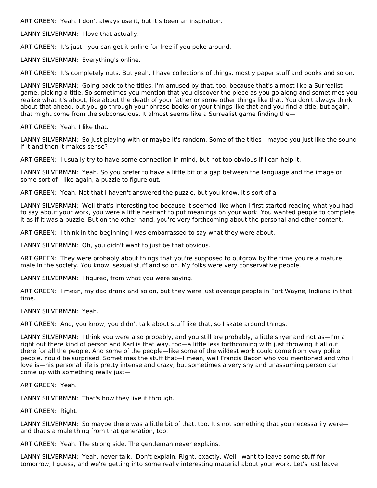ART GREEN: Yeah. I don't always use it, but it's been an inspiration.

LANNY SILVERMAN: I love that actually.

ART GREEN: It's just—you can get it online for free if you poke around.

LANNY SILVERMAN: Everything's online.

ART GREEN: It's completely nuts. But yeah, I have collections of things, mostly paper stuff and books and so on.

LANNY SILVERMAN: Going back to the titles, I'm amused by that, too, because that's almost like a Surrealist game, picking a title. So sometimes you mention that you discover the piece as you go along and sometimes you realize what it's about, like about the death of your father or some other things like that. You don't always think about that ahead, but you go through your phrase books or your things like that and you find a title, but again, that might come from the subconscious. It almost seems like a Surrealist game finding the—

ART GREEN: Yeah. I like that.

LANNY SILVERMAN: So just playing with or maybe it's random. Some of the titles—maybe you just like the sound if it and then it makes sense?

ART GREEN: I usually try to have some connection in mind, but not too obvious if I can help it.

LANNY SILVERMAN: Yeah. So you prefer to have a little bit of a gap between the language and the image or some sort of—like again, a puzzle to figure out.

ART GREEN: Yeah. Not that I haven't answered the puzzle, but you know, it's sort of a-

LANNY SILVERMAN: Well that's interesting too because it seemed like when I first started reading what you had to say about your work, you were a little hesitant to put meanings on your work. You wanted people to complete it as if it was a puzzle. But on the other hand, you're very forthcoming about the personal and other content.

ART GREEN: I think in the beginning I was embarrassed to say what they were about.

LANNY SILVERMAN: Oh, you didn't want to just be that obvious.

ART GREEN: They were probably about things that you're supposed to outgrow by the time you're a mature male in the society. You know, sexual stuff and so on. My folks were very conservative people.

LANNY SILVERMAN: I figured, from what you were saying.

ART GREEN: I mean, my dad drank and so on, but they were just average people in Fort Wayne, Indiana in that time.

LANNY SILVERMAN: Yeah.

ART GREEN: And, you know, you didn't talk about stuff like that, so I skate around things.

LANNY SILVERMAN: I think you were also probably, and you still are probably, a little shyer and not as—I'm a right out there kind of person and Karl is that way, too—a little less forthcoming with just throwing it all out there for all the people. And some of the people—like some of the wildest work could come from very polite people. You'd be surprised. Sometimes the stuff that—I mean, well Francis Bacon who you mentioned and who I love is—his personal life is pretty intense and crazy, but sometimes a very shy and unassuming person can come up with something really just—

ART GREEN: Yeah.

LANNY SILVERMAN: That's how they live it through.

ART GREEN: Right.

LANNY SILVERMAN: So maybe there was a little bit of that, too. It's not something that you necessarily wereand that's a male thing from that generation, too.

ART GREEN: Yeah. The strong side. The gentleman never explains.

LANNY SILVERMAN: Yeah, never talk. Don't explain. Right, exactly. Well I want to leave some stuff for tomorrow, I guess, and we're getting into some really interesting material about your work. Let's just leave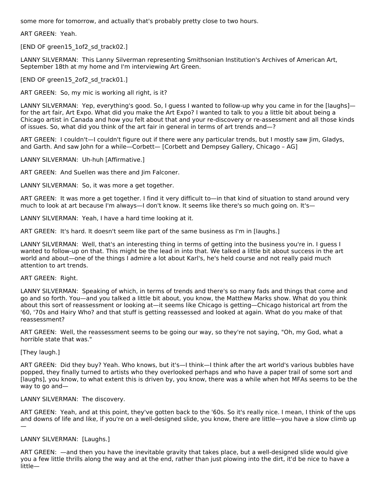some more for tomorrow, and actually that's probably pretty close to two hours.

ART GREEN: Yeah.

[END OF green15 1of2 sd track02.]

LANNY SILVERMAN: This Lanny Silverman representing Smithsonian Institution's Archives of American Art, September 18th at my home and I'm interviewing Art Green.

[END OF green15\_2of2\_sd\_track01.]

ART GREEN: So, my mic is working all right, is it?

LANNY SILVERMAN: Yep, everything's good. So, I guess I wanted to follow-up why you came in for the [laughs] for the art fair, Art Expo. What did you make the Art Expo? I wanted to talk to you a little bit about being a Chicago artist in Canada and how you felt about that and your re-discovery or re-assessment and all those kinds of issues. So, what did you think of the art fair in general in terms of art trends and—?

ART GREEN: I couldn't—I couldn't figure out if there were any particular trends, but I mostly saw Jim, Gladys, and Garth. And saw John for a while—Corbett— [Corbett and Dempsey Gallery, Chicago – AG]

LANNY SILVERMAN: Uh-huh [Affirmative.]

ART GREEN: And Suellen was there and Jim Falconer.

LANNY SILVERMAN: So, it was more a get together.

ART GREEN: It was more a get together. I find it very difficult to—in that kind of situation to stand around very much to look at art because I'm always—I don't know. It seems like there's so much going on. It's—

LANNY SILVERMAN: Yeah, I have a hard time looking at it.

ART GREEN: It's hard. It doesn't seem like part of the same business as I'm in [laughs.]

LANNY SILVERMAN: Well, that's an interesting thing in terms of getting into the business you're in. I guess I wanted to follow-up on that. This might be the lead in into that. We talked a little bit about success in the art world and about—one of the things I admire a lot about Karl's, he's held course and not really paid much attention to art trends.

# ART GREEN: Right.

LANNY SILVERMAN: Speaking of which, in terms of trends and there's so many fads and things that come and go and so forth. You—and you talked a little bit about, you know, the Matthew Marks show. What do you think about this sort of reassessment or looking at—it seems like Chicago is getting—Chicago historical art from the '60, '70s and Hairy Who? and that stuff is getting reassessed and looked at again. What do you make of that reassessment?

ART GREEN: Well, the reassessment seems to be going our way, so they're not saying, "Oh, my God, what a horrible state that was."

[They laugh.]

ART GREEN: Did they buy? Yeah. Who knows, but it's—I think—I think after the art world's various bubbles have popped, they finally turned to artists who they overlooked perhaps and who have a paper trail of some sort and [laughs], you know, to what extent this is driven by, you know, there was a while when hot MFAs seems to be the way to go and—

# LANNY SILVERMAN: The discovery.

ART GREEN: Yeah, and at this point, they've gotten back to the '60s. So it's really nice. I mean, I think of the ups and downs of life and like, if you're on a well-designed slide, you know, there are little—you have a slow climb up —

# LANNY SILVERMAN: [Laughs.]

ART GREEN: —and then you have the inevitable gravity that takes place, but a well-designed slide would give you a few little thrills along the way and at the end, rather than just plowing into the dirt, it'd be nice to have a little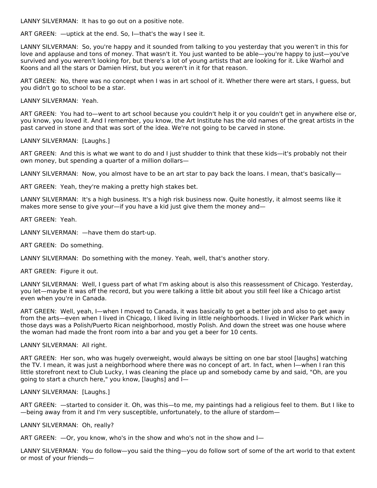LANNY SILVERMAN: It has to go out on a positive note.

ART GREEN: —uptick at the end. So, I—that's the way I see it.

LANNY SILVERMAN: So, you're happy and it sounded from talking to you yesterday that you weren't in this for love and applause and tons of money. That wasn't it. You just wanted to be able—you're happy to just—you've survived and you weren't looking for, but there's a lot of young artists that are looking for it. Like Warhol and Koons and all the stars or Damien Hirst, but you weren't in it for that reason.

ART GREEN: No, there was no concept when I was in art school of it. Whether there were art stars, I guess, but you didn't go to school to be a star.

LANNY SILVERMAN: Yeah.

ART GREEN: You had to—went to art school because you couldn't help it or you couldn't get in anywhere else or, you know, you loved it. And I remember, you know, the Art Institute has the old names of the great artists in the past carved in stone and that was sort of the idea. We're not going to be carved in stone.

LANNY SILVERMAN: [Laughs.]

ART GREEN: And this is what we want to do and I just shudder to think that these kids—it's probably not their own money, but spending a quarter of a million dollars—

LANNY SILVERMAN: Now, you almost have to be an art star to pay back the loans. I mean, that's basically-

ART GREEN: Yeah, they're making a pretty high stakes bet.

LANNY SILVERMAN: It's a high business. It's a high risk business now. Quite honestly, it almost seems like it makes more sense to give your—if you have a kid just give them the money and—

ART GREEN: Yeah.

LANNY SILVERMAN: —have them do start-up.

ART GREEN: Do something.

LANNY SILVERMAN: Do something with the money. Yeah, well, that's another story.

ART GREEN: Figure it out.

LANNY SILVERMAN: Well, I guess part of what I'm asking about is also this reassessment of Chicago. Yesterday, you let—maybe it was off the record, but you were talking a little bit about you still feel like a Chicago artist even when you're in Canada.

ART GREEN: Well, yeah, I—when I moved to Canada, it was basically to get a better job and also to get away from the arts—even when I lived in Chicago, I liked living in little neighborhoods. I lived in Wicker Park which in those days was a Polish/Puerto Rican neighborhood, mostly Polish. And down the street was one house where the woman had made the front room into a bar and you get a beer for 10 cents.

LANNY SILVERMAN: All right.

ART GREEN: Her son, who was hugely overweight, would always be sitting on one bar stool [laughs] watching the TV. I mean, it was just a neighborhood where there was no concept of art. In fact, when I—when I ran this little storefront next to Club Lucky, I was cleaning the place up and somebody came by and said, "Oh, are you going to start a church here," you know, [laughs] and I—

LANNY SILVERMAN: [Laughs.]

ART GREEN: —started to consider it. Oh, was this—to me, my paintings had a religious feel to them. But I like to —being away from it and I'm very susceptible, unfortunately, to the allure of stardom—

LANNY SILVERMAN: Oh, really?

ART GREEN: —Or, you know, who's in the show and who's not in the show and I—

LANNY SILVERMAN: You do follow—you said the thing—you do follow sort of some of the art world to that extent or most of your friends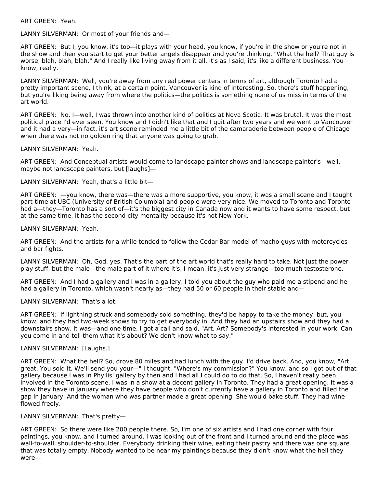ART GREEN: Yeah.

LANNY SILVERMAN: Or most of your friends and—

ART GREEN: But I, you know, it's too—it plays with your head, you know, if you're in the show or you're not in the show and then you start to get your better angels disappear and you're thinking, "What the hell? That guy is worse, blah, blah, blah." And I really like living away from it all. It's as I said, it's like a different business. You know, really.

LANNY SILVERMAN: Well, you're away from any real power centers in terms of art, although Toronto had a pretty important scene, I think, at a certain point. Vancouver is kind of interesting. So, there's stuff happening, but you're liking being away from where the politics—the politics is something none of us miss in terms of the art world.

ART GREEN: No, I—well, I was thrown into another kind of politics at Nova Scotia. It was brutal. It was the most political place I'd ever seen. You know and I didn't like that and I quit after two years and we went to Vancouver and it had a very—in fact, it's art scene reminded me a little bit of the camaraderie between people of Chicago when there was not no golden ring that anyone was going to grab.

# LANNY SILVERMAN: Yeah.

ART GREEN: And Conceptual artists would come to landscape painter shows and landscape painter's—well, maybe not landscape painters, but [laughs]—

LANNY SILVERMAN: Yeah, that's a little bit—

ART GREEN: —you know, there was—there was a more supportive, you know, it was a small scene and I taught part-time at UBC (University of British Columbia) and people were very nice. We moved to Toronto and Toronto had a—they—Toronto has a sort of—it's the biggest city in Canada now and it wants to have some respect, but at the same time, it has the second city mentality because it's not New York.

#### LANNY SILVERMAN: Yeah.

ART GREEN: And the artists for a while tended to follow the Cedar Bar model of macho guys with motorcycles and bar fights.

LANNY SILVERMAN: Oh, God, yes. That's the part of the art world that's really hard to take. Not just the power play stuff, but the male—the male part of it where it's, I mean, it's just very strange—too much testosterone.

ART GREEN: And I had a gallery and I was in a gallery, I told you about the guy who paid me a stipend and he had a gallery in Toronto, which wasn't nearly as—they had 50 or 60 people in their stable and—

# LANNY SILVERMAN: That's a lot.

ART GREEN: If lightning struck and somebody sold something, they'd be happy to take the money, but, you know, and they had two-week shows to try to get everybody in. And they had an upstairs show and they had a downstairs show. It was—and one time, I got a call and said, "Art, Art? Somebody's interested in your work. Can you come in and tell them what it's about? We don't know what to say."

# LANNY SILVERMAN: [Laughs.]

ART GREEN: What the hell? So, drove 80 miles and had lunch with the guy. I'd drive back. And, you know, "Art, great. You sold it. We'll send you your—" I thought, "Where's my commission?" You know, and so I got out of that gallery because I was in Phyllis' gallery by then and I had all I could do to do that. So, I haven't really been involved in the Toronto scene. I was in a show at a decent gallery in Toronto. They had a great opening. It was a show they have in January where they have people who don't currently have a gallery in Toronto and filled the gap in January. And the woman who was partner made a great opening. She would bake stuff. They had wine flowed freely.

# LANNY SILVERMAN: That's pretty—

ART GREEN: So there were like 200 people there. So, I'm one of six artists and I had one corner with four paintings, you know, and I turned around. I was looking out of the front and I turned around and the place was wall-to-wall, shoulder-to-shoulder. Everybody drinking their wine, eating their pastry and there was one square that was totally empty. Nobody wanted to be near my paintings because they didn't know what the hell they were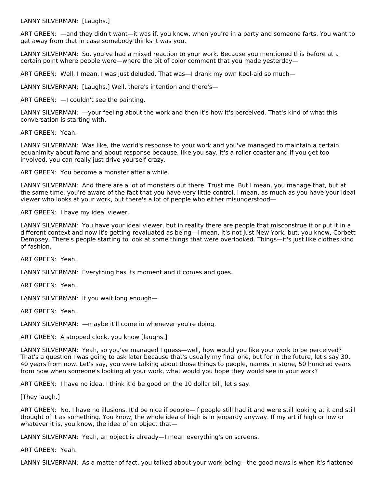LANNY SILVERMAN: [Laughs.]

ART GREEN: —and they didn't want—it was if, you know, when you're in a party and someone farts. You want to get away from that in case somebody thinks it was you.

LANNY SILVERMAN: So, you've had a mixed reaction to your work. Because you mentioned this before at a certain point where people were—where the bit of color comment that you made yesterday—

ART GREEN: Well, I mean, I was just deluded. That was—I drank my own Kool-aid so much—

LANNY SILVERMAN: [Laughs.] Well, there's intention and there's—

ART GREEN: —I couldn't see the painting.

LANNY SILVERMAN: —your feeling about the work and then it's how it's perceived. That's kind of what this conversation is starting with.

ART GREEN: Yeah.

LANNY SILVERMAN: Was like, the world's response to your work and you've managed to maintain a certain equanimity about fame and about response because, like you say, it's a roller coaster and if you get too involved, you can really just drive yourself crazy.

ART GREEN: You become a monster after a while.

LANNY SILVERMAN: And there are a lot of monsters out there. Trust me. But I mean, you manage that, but at the same time, you're aware of the fact that you have very little control. I mean, as much as you have your ideal viewer who looks at your work, but there's a lot of people who either misunderstood—

ART GREEN: I have my ideal viewer.

LANNY SILVERMAN: You have your ideal viewer, but in reality there are people that misconstrue it or put it in a different context and now it's getting revaluated as being—I mean, it's not just New York, but, you know, Corbett Dempsey. There's people starting to look at some things that were overlooked. Things—it's just like clothes kind of fashion.

ART GREEN: Yeah.

LANNY SILVERMAN: Everything has its moment and it comes and goes.

ART GREEN: Yeah.

LANNY SILVERMAN: If you wait long enough—

ART GREEN: Yeah.

LANNY SILVERMAN: —maybe it'll come in whenever you're doing.

ART GREEN: A stopped clock, you know [laughs.]

LANNY SILVERMAN: Yeah, so you've managed I guess—well, how would you like your work to be perceived? That's a question I was going to ask later because that's usually my final one, but for in the future, let's say 30, 40 years from now. Let's say, you were talking about those things to people, names in stone, 50 hundred years from now when someone's looking at your work, what would you hope they would see in your work?

ART GREEN: I have no idea. I think it'd be good on the 10 dollar bill, let's say.

[They laugh.]

ART GREEN: No, I have no illusions. It'd be nice if people—if people still had it and were still looking at it and still thought of it as something. You know, the whole idea of high is in jeopardy anyway. If my art if high or low or whatever it is, you know, the idea of an object that—

LANNY SILVERMAN: Yeah, an object is already—I mean everything's on screens.

ART GREEN: Yeah.

LANNY SILVERMAN: As a matter of fact, you talked about your work being—the good news is when it's flattened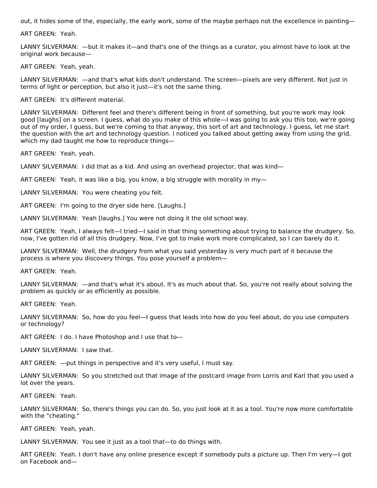out, it hides some of the, especially, the early work, some of the maybe perhaps not the excellence in painting—

ART GREEN: Yeah.

LANNY SILVERMAN: —but it makes it—and that's one of the things as a curator, you almost have to look at the original work because—

ART GREEN: Yeah, yeah.

LANNY SILVERMAN: —and that's what kids don't understand. The screen—pixels are very different. Not just in terms of light or perception, but also it just—it's not the same thing.

ART GREEN: It's different material.

LANNY SILVERMAN: Different feel and there's different being in front of something, but you're work may look good [laughs] on a screen. I guess, what do you make of this whole—I was going to ask you this too, we're going out of my order, I guess, but we're coming to that anyway, this sort of art and technology. I guess, let me start the question with the art and technology question. I noticed you talked about getting away from using the grid, which my dad taught me how to reproduce things—

ART GREEN: Yeah, yeah.

LANNY SILVERMAN: I did that as a kid. And using an overhead projector, that was kind—

ART GREEN: Yeah, it was like a big, you know, a big struggle with morality in my-

LANNY SILVERMAN: You were cheating you felt.

ART GREEN: I'm going to the dryer side here. [Laughs.]

LANNY SILVERMAN: Yeah [laughs.] You were not doing it the old school way.

ART GREEN: Yeah, I always felt—I tried—I said in that thing something about trying to balance the drudgery. So, now, I've gotten rid of all this drudgery. Now, I've got to make work more complicated, so I can barely do it.

LANNY SILVERMAN: Well, the drudgery from what you said yesterday is very much part of it because the process is where you discovery things. You pose yourself a problem—

ART GREEN: Yeah.

LANNY SILVERMAN: —and that's what it's about. It's as much about that. So, you're not really about solving the problem as quickly or as efficiently as possible.

ART GREEN: Yeah.

LANNY SILVERMAN: So, how do you feel—I guess that leads into how do you feel about, do you use computers or technology?

ART GREEN: I do. I have Photoshop and I use that to—

LANNY SILVERMAN: I saw that.

ART GREEN: —put things in perspective and it's very useful, I must say.

LANNY SILVERMAN: So you stretched out that image of the postcard image from Lorris and Karl that you used a lot over the years.

ART GREEN: Yeah.

LANNY SILVERMAN: So, there's things you can do. So, you just look at it as a tool. You're now more comfortable with the "cheating."

ART GREEN: Yeah, yeah.

LANNY SILVERMAN: You see it just as a tool that—to do things with.

ART GREEN: Yeah. I don't have any online presence except if somebody puts a picture up. Then I'm very—I got on Facebook and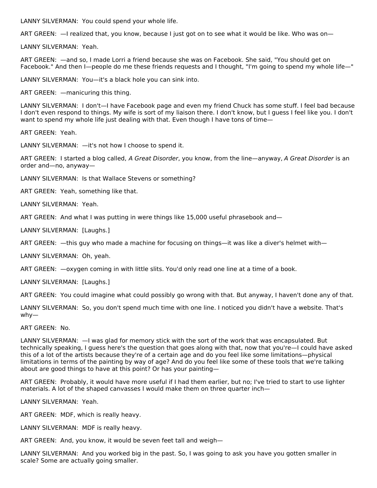LANNY SILVERMAN: You could spend your whole life.

ART GREEN: —I realized that, you know, because I just got on to see what it would be like. Who was on—

LANNY SILVERMAN: Yeah.

ART GREEN: —and so, I made Lorri a friend because she was on Facebook. She said, "You should get on Facebook." And then I—people do me these friends requests and I thought, "I'm going to spend my whole life—"

LANNY SILVERMAN: You—it's a black hole you can sink into.

ART GREEN: —manicuring this thing.

LANNY SILVERMAN: I don't—I have Facebook page and even my friend Chuck has some stuff. I feel bad because I don't even respond to things. My wife is sort of my liaison there. I don't know, but I guess I feel like you. I don't want to spend my whole life just dealing with that. Even though I have tons of time—

ART GREEN: Yeah.

LANNY SILVERMAN: —it's not how I choose to spend it.

ART GREEN: I started a blog called, A Great Disorder, you know, from the line—anyway, A Great Disorder is an order and—no, anyway—

LANNY SILVERMAN: Is that Wallace Stevens or something?

ART GREEN: Yeah, something like that.

LANNY SILVERMAN: Yeah.

ART GREEN: And what I was putting in were things like 15,000 useful phrasebook and—

LANNY SILVERMAN: [Laughs.]

ART GREEN: —this guy who made a machine for focusing on things—it was like a diver's helmet with—

LANNY SILVERMAN: Oh, yeah.

ART GREEN: —oxygen coming in with little slits. You'd only read one line at a time of a book.

LANNY SILVERMAN: [Laughs.]

ART GREEN: You could imagine what could possibly go wrong with that. But anyway, I haven't done any of that.

LANNY SILVERMAN: So, you don't spend much time with one line. I noticed you didn't have a website. That's why—

ART GREEN: No.

LANNY SILVERMAN: —I was glad for memory stick with the sort of the work that was encapsulated. But technically speaking, I guess here's the question that goes along with that, now that you're—I could have asked this of a lot of the artists because they're of a certain age and do you feel like some limitations—physical limitations in terms of the painting by way of age? And do you feel like some of these tools that we're talking about are good things to have at this point? Or has your painting—

ART GREEN: Probably, it would have more useful if I had them earlier, but no; I've tried to start to use lighter materials. A lot of the shaped canvasses I would make them on three quarter inch—

LANNY SILVERMAN: Yeah.

ART GREEN: MDF, which is really heavy.

LANNY SILVERMAN: MDF is really heavy.

ART GREEN: And, you know, it would be seven feet tall and weigh—

LANNY SILVERMAN: And you worked big in the past. So, I was going to ask you have you gotten smaller in scale? Some are actually going smaller.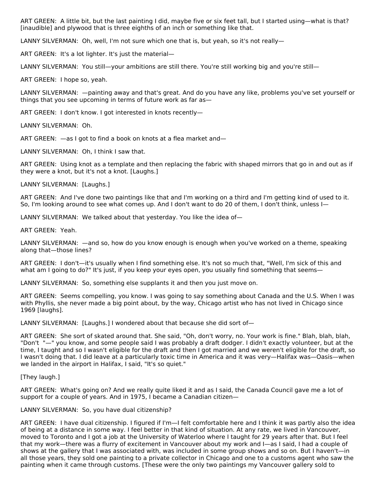ART GREEN: A little bit, but the last painting I did, maybe five or six feet tall, but I started using—what is that? [inaudible] and plywood that is three eighths of an inch or something like that.

LANNY SILVERMAN: Oh, well, I'm not sure which one that is, but yeah, so it's not really-

ART GREEN: It's a lot lighter. It's just the material—

LANNY SILVERMAN: You still—your ambitions are still there. You're still working big and you're still—

ART GREEN: I hope so, yeah.

LANNY SILVERMAN: —painting away and that's great. And do you have any like, problems you've set yourself or things that you see upcoming in terms of future work as far as—

ART GREEN: I don't know. I got interested in knots recently—

LANNY SILVERMAN: Oh.

ART GREEN: —as I got to find a book on knots at a flea market and—

LANNY SILVERMAN: Oh, I think I saw that.

ART GREEN: Using knot as a template and then replacing the fabric with shaped mirrors that go in and out as if they were a knot, but it's not a knot. [Laughs.]

LANNY SILVERMAN: [Laughs.]

ART GREEN: And I've done two paintings like that and I'm working on a third and I'm getting kind of used to it. So, I'm looking around to see what comes up. And I don't want to do 20 of them, I don't think, unless I—

LANNY SILVERMAN: We talked about that yesterday. You like the idea of—

ART GREEN: Yeah.

LANNY SILVERMAN: —and so, how do you know enough is enough when you've worked on a theme, speaking along that—those lines?

ART GREEN: I don't—it's usually when I find something else. It's not so much that, "Well, I'm sick of this and what am I going to do?" It's just, if you keep your eyes open, you usually find something that seems—

LANNY SILVERMAN: So, something else supplants it and then you just move on.

ART GREEN: Seems compelling, you know. I was going to say something about Canada and the U.S. When I was with Phyllis, she never made a big point about, by the way, Chicago artist who has not lived in Chicago since 1969 [laughs].

LANNY SILVERMAN: [Laughs.] I wondered about that because she did sort of—

ART GREEN: She sort of skated around that. She said, "Oh, don't worry, no. Your work is fine." Blah, blah, blah, "Don't "—" you know, and some people said I was probably a draft dodger. I didn't exactly volunteer, but at the time, I taught and so I wasn't eligible for the draft and then I got married and we weren't eligible for the draft, so I wasn't doing that. I did leave at a particularly toxic time in America and it was very—Halifax was—Oasis—when we landed in the airport in Halifax, I said, "It's so quiet."

[They laugh.]

ART GREEN: What's going on? And we really quite liked it and as I said, the Canada Council gave me a lot of support for a couple of years. And in 1975, I became a Canadian citizen—

# LANNY SILVERMAN: So, you have dual citizenship?

ART GREEN: I have dual citizenship. I figured if I'm—I felt comfortable here and I think it was partly also the idea of being at a distance in some way. I feel better in that kind of situation. At any rate, we lived in Vancouver, moved to Toronto and I got a job at the University of Waterloo where I taught for 29 years after that. But I feel that my work—there was a flurry of excitement in Vancouver about my work and I—as I said, I had a couple of shows at the gallery that I was associated with, was included in some group shows and so on. But I haven't—in all those years, they sold one painting to a private collector in Chicago and one to a customs agent who saw the painting when it came through customs. [These were the only two paintings my Vancouver gallery sold to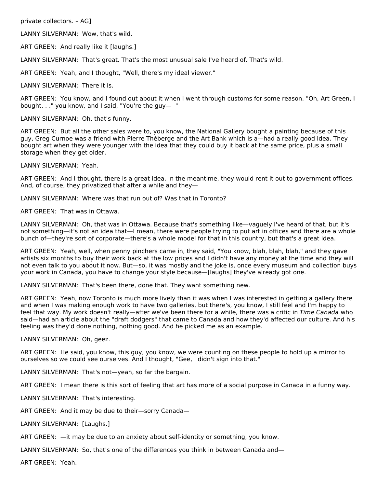private collectors. – AG]

LANNY SILVERMAN: Wow, that's wild.

ART GREEN: And really like it [laughs.]

LANNY SILVERMAN: That's great. That's the most unusual sale I've heard of. That's wild.

ART GREEN: Yeah, and I thought, "Well, there's my ideal viewer."

LANNY SILVERMAN: There it is.

ART GREEN: You know, and I found out about it when I went through customs for some reason. "Oh, Art Green, I bought. . ." you know, and I said, "You're the guy— "

LANNY SILVERMAN: Oh, that's funny.

ART GREEN: But all the other sales were to, you know, the National Gallery bought a painting because of this guy, Greg Curnoe was a friend with Pierre Théberge and the Art Bank which is a—had a really good idea. They bought art when they were younger with the idea that they could buy it back at the same price, plus a small storage when they get older.

LANNY SILVERMAN: Yeah.

ART GREEN: And I thought, there is a great idea. In the meantime, they would rent it out to government offices. And, of course, they privatized that after a while and they—

LANNY SILVERMAN: Where was that run out of? Was that in Toronto?

ART GREEN: That was in Ottawa.

LANNY SILVERMAN: Oh, that was in Ottawa. Because that's something like—vaguely I've heard of that, but it's not something—it's not an idea that—I mean, there were people trying to put art in offices and there are a whole bunch of—they're sort of corporate—there's a whole model for that in this country, but that's a great idea.

ART GREEN: Yeah, well, when penny pinchers came in, they said, "You know, blah, blah, blah," and they gave artists six months to buy their work back at the low prices and I didn't have any money at the time and they will not even talk to you about it now. But—so, it was mostly and the joke is, once every museum and collection buys your work in Canada, you have to change your style because—[laughs] they've already got one.

LANNY SILVERMAN: That's been there, done that. They want something new.

ART GREEN: Yeah, now Toronto is much more lively than it was when I was interested in getting a gallery there and when I was making enough work to have two galleries, but there's, you know, I still feel and I'm happy to feel that way. My work doesn't really—after we've been there for a while, there was a critic in Time Canada who said—had an article about the "draft dodgers" that came to Canada and how they'd affected our culture. And his feeling was they'd done nothing, nothing good. And he picked me as an example.

LANNY SILVERMAN: Oh, geez.

ART GREEN: He said, you know, this guy, you know, we were counting on these people to hold up a mirror to ourselves so we could see ourselves. And I thought, "Gee, I didn't sign into that."

LANNY SILVERMAN: That's not—yeah, so far the bargain.

ART GREEN: I mean there is this sort of feeling that art has more of a social purpose in Canada in a funny way.

LANNY SILVERMAN: That's interesting.

ART GREEN: And it may be due to their—sorry Canada—

LANNY SILVERMAN: [Laughs.]

ART GREEN: —it may be due to an anxiety about self-identity or something, you know.

LANNY SILVERMAN: So, that's one of the differences you think in between Canada and—

ART GREEN: Yeah.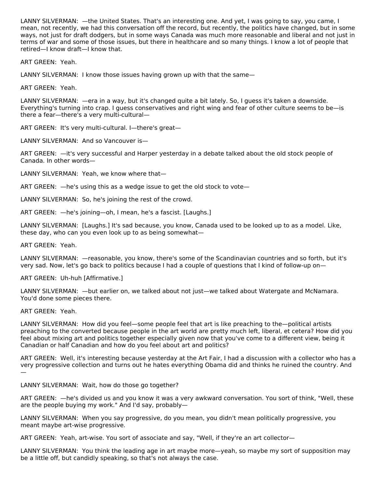LANNY SILVERMAN: —the United States. That's an interesting one. And yet, I was going to say, you came, I mean, not recently, we had this conversation off the record, but recently, the politics have changed, but in some ways, not just for draft dodgers, but in some ways Canada was much more reasonable and liberal and not just in terms of war and some of those issues, but there in healthcare and so many things. I know a lot of people that retired—I know draft—I know that.

ART GREEN: Yeah.

LANNY SILVERMAN: I know those issues having grown up with that the same—

ART GREEN: Yeah.

LANNY SILVERMAN: —era in a way, but it's changed quite a bit lately. So, I guess it's taken a downside. Everything's turning into crap. I guess conservatives and right wing and fear of other culture seems to be—is there a fear—there's a very multi-cultural—

ART GREEN: It's very multi-cultural. I—there's great—

LANNY SILVERMAN: And so Vancouver is—

ART GREEN: —it's very successful and Harper yesterday in a debate talked about the old stock people of Canada. In other words—

LANNY SILVERMAN: Yeah, we know where that—

ART GREEN: —he's using this as a wedge issue to get the old stock to vote—

LANNY SILVERMAN: So, he's joining the rest of the crowd.

ART GREEN: —he's joining—oh, I mean, he's a fascist. [Laughs.]

LANNY SILVERMAN: [Laughs.] It's sad because, you know, Canada used to be looked up to as a model. Like, these day, who can you even look up to as being somewhat—

ART GREEN: Yeah.

LANNY SILVERMAN: —reasonable, you know, there's some of the Scandinavian countries and so forth, but it's very sad. Now, let's go back to politics because I had a couple of questions that I kind of follow-up on—

ART GREEN: Uh-huh [Affirmative.]

LANNY SILVERMAN: —but earlier on, we talked about not just—we talked about Watergate and McNamara. You'd done some pieces there.

ART GREEN: Yeah.

LANNY SILVERMAN: How did you feel—some people feel that art is like preaching to the—political artists preaching to the converted because people in the art world are pretty much left, liberal, et cetera? How did you feel about mixing art and politics together especially given now that you've come to a different view, being it Canadian or half Canadian and how do you feel about art and politics?

ART GREEN: Well, it's interesting because yesterday at the Art Fair, I had a discussion with a collector who has a very progressive collection and turns out he hates everything Obama did and thinks he ruined the country. And —

LANNY SILVERMAN: Wait, how do those go together?

ART GREEN: —he's divided us and you know it was a very awkward conversation. You sort of think, "Well, these are the people buying my work." And I'd say, probably—

LANNY SILVERMAN: When you say progressive, do you mean, you didn't mean politically progressive, you meant maybe art-wise progressive.

ART GREEN: Yeah, art-wise. You sort of associate and say, "Well, if they're an art collector—

LANNY SILVERMAN: You think the leading age in art maybe more—yeah, so maybe my sort of supposition may be a little off, but candidly speaking, so that's not always the case.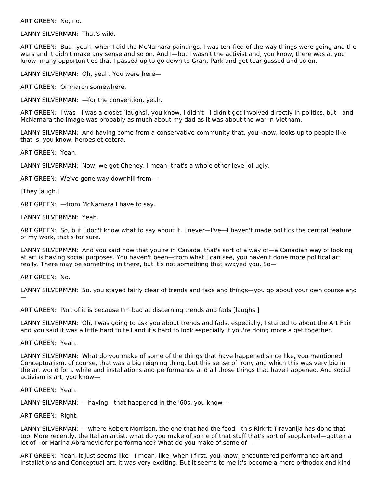ART GREEN: No, no.

LANNY SILVERMAN: That's wild.

ART GREEN: But—yeah, when I did the McNamara paintings, I was terrified of the way things were going and the wars and it didn't make any sense and so on. And I—but I wasn't the activist and, you know, there was a, you know, many opportunities that I passed up to go down to Grant Park and get tear gassed and so on.

LANNY SILVERMAN: Oh, yeah. You were here—

ART GREEN: Or march somewhere.

LANNY SILVERMAN: —for the convention, yeah.

ART GREEN: I was—I was a closet [laughs], you know, I didn't—I didn't get involved directly in politics, but—and McNamara the image was probably as much about my dad as it was about the war in Vietnam.

LANNY SILVERMAN: And having come from a conservative community that, you know, looks up to people like that is, you know, heroes et cetera.

ART GREEN: Yeah.

LANNY SILVERMAN: Now, we got Cheney. I mean, that's a whole other level of ugly.

ART GREEN: We've gone way downhill from—

[They laugh.]

ART GREEN: —from McNamara I have to say.

LANNY SILVERMAN: Yeah.

ART GREEN: So, but I don't know what to say about it. I never—I've—I haven't made politics the central feature of my work, that's for sure.

LANNY SILVERMAN: And you said now that you're in Canada, that's sort of a way of—a Canadian way of looking at art is having social purposes. You haven't been—from what I can see, you haven't done more political art really. There may be something in there, but it's not something that swayed you. So—

ART GREEN: No.

LANNY SILVERMAN: So, you stayed fairly clear of trends and fads and things—you go about your own course and —

ART GREEN: Part of it is because I'm bad at discerning trends and fads [laughs.]

LANNY SILVERMAN: Oh, I was going to ask you about trends and fads, especially, I started to about the Art Fair and you said it was a little hard to tell and it's hard to look especially if you're doing more a get together.

ART GREEN: Yeah.

LANNY SILVERMAN: What do you make of some of the things that have happened since like, you mentioned Conceptualism, of course, that was a big reigning thing, but this sense of irony and which this was very big in the art world for a while and installations and performance and all those things that have happened. And social activism is art, you know—

ART GREEN: Yeah.

LANNY SILVERMAN: —having—that happened in the '60s, you know—

ART GREEN: Right.

LANNY SILVERMAN: —where Robert Morrison, the one that had the food—this Rirkrit Tiravanija has done that too. More recently, the Italian artist, what do you make of some of that stuff that's sort of supplanted—gotten a lot of—or Marina Abramović for performance? What do you make of some of—

ART GREEN: Yeah, it just seems like—I mean, like, when I first, you know, encountered performance art and installations and Conceptual art, it was very exciting. But it seems to me it's become a more orthodox and kind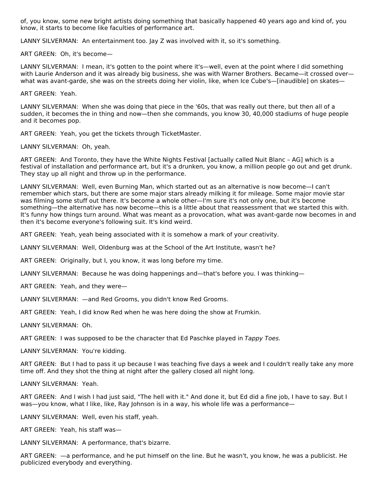of, you know, some new bright artists doing something that basically happened 40 years ago and kind of, you know, it starts to become like faculties of performance art.

LANNY SILVERMAN: An entertainment too. Jay Z was involved with it, so it's something.

ART GREEN: Oh, it's become—

LANNY SILVERMAN: I mean, it's gotten to the point where it's—well, even at the point where I did something with Laurie Anderson and it was already big business, she was with Warner Brothers. Became—it crossed over what was avant-garde, she was on the streets doing her violin, like, when Ice Cube's—[inaudible] on skates—

ART GREEN: Yeah.

LANNY SILVERMAN: When she was doing that piece in the '60s, that was really out there, but then all of a sudden, it becomes the in thing and now—then she commands, you know 30, 40,000 stadiums of huge people and it becomes pop.

ART GREEN: Yeah, you get the tickets through TicketMaster.

LANNY SILVERMAN: Oh, yeah.

ART GREEN: And Toronto, they have the White Nights Festival [actually called Nuit Blanc – AG] which is a festival of installation and performance art, but it's a drunken, you know, a million people go out and get drunk. They stay up all night and throw up in the performance.

LANNY SILVERMAN: Well, even Burning Man, which started out as an alternative is now become—I can't remember which stars, but there are some major stars already milking it for mileage. Some major movie star was filming some stuff out there. It's become a whole other—I'm sure it's not only one, but it's become something—the alternative has now become—this is a little about that reassessment that we started this with. It's funny how things turn around. What was meant as a provocation, what was avant-garde now becomes in and then it's become everyone's following suit. It's kind weird.

ART GREEN: Yeah, yeah being associated with it is somehow a mark of your creativity.

LANNY SILVERMAN: Well, Oldenburg was at the School of the Art Institute, wasn't he?

ART GREEN: Originally, but I, you know, it was long before my time.

LANNY SILVERMAN: Because he was doing happenings and—that's before you. I was thinking—

ART GREEN: Yeah, and they were—

LANNY SILVERMAN: —and Red Grooms, you didn't know Red Grooms.

ART GREEN: Yeah, I did know Red when he was here doing the show at Frumkin.

LANNY SILVERMAN: Oh.

ART GREEN: I was supposed to be the character that Ed Paschke played in Tappy Toes.

LANNY SILVERMAN: You're kidding.

ART GREEN: But I had to pass it up because I was teaching five days a week and I couldn't really take any more time off. And they shot the thing at night after the gallery closed all night long.

LANNY SILVERMAN: Yeah.

ART GREEN: And I wish I had just said, "The hell with it." And done it, but Ed did a fine job, I have to say. But I was—you know, what I like, like, Ray Johnson is in a way, his whole life was a performance—

LANNY SILVERMAN: Well, even his staff, yeah.

ART GREEN: Yeah, his staff was—

LANNY SILVERMAN: A performance, that's bizarre.

ART GREEN: —a performance, and he put himself on the line. But he wasn't, you know, he was a publicist. He publicized everybody and everything.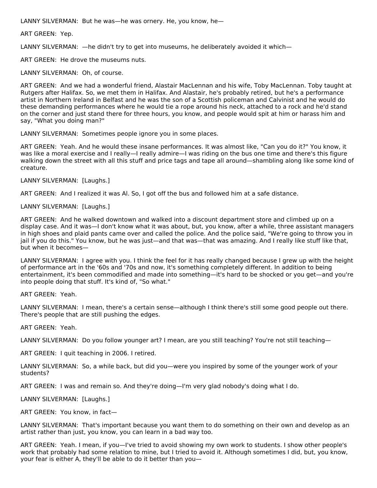LANNY SILVERMAN: But he was—he was ornery. He, you know, he—

ART GREEN: Yep.

LANNY SILVERMAN: —he didn't try to get into museums, he deliberately avoided it which—

ART GREEN: He drove the museums nuts.

LANNY SILVERMAN: Oh, of course.

ART GREEN: And we had a wonderful friend, Alastair MacLennan and his wife, Toby MacLennan. Toby taught at Rutgers after Halifax. So, we met them in Halifax. And Alastair, he's probably retired, but he's a performance artist in Northern Ireland in Belfast and he was the son of a Scottish policeman and Calvinist and he would do these demanding performances where he would tie a rope around his neck, attached to a rock and he'd stand on the corner and just stand there for three hours, you know, and people would spit at him or harass him and say, "What you doing man?"

LANNY SILVERMAN: Sometimes people ignore you in some places.

ART GREEN: Yeah. And he would these insane performances. It was almost like, "Can you do it?" You know, it was like a moral exercise and I really—I really admire—I was riding on the bus one time and there's this figure walking down the street with all this stuff and price tags and tape all around—shambling along like some kind of creature.

LANNY SILVERMAN: [Laughs.]

ART GREEN: And I realized it was Al. So, I got off the bus and followed him at a safe distance.

LANNY SILVERMAN: [Laughs.]

ART GREEN: And he walked downtown and walked into a discount department store and climbed up on a display case. And it was—I don't know what it was about, but, you know, after a while, three assistant managers in high shoes and plaid pants came over and called the police. And the police said, "We're going to throw you in jail if you do this." You know, but he was just—and that was—that was amazing. And I really like stuff like that, but when it becomes—

LANNY SILVERMAN: I agree with you. I think the feel for it has really changed because I grew up with the height of performance art in the '60s and '70s and now, it's something completely different. In addition to being entertainment, it's been commodified and made into something—it's hard to be shocked or you get—and you're into people doing that stuff. It's kind of, "So what."

ART GREEN: Yeah.

LANNY SILVERMAN: I mean, there's a certain sense—although I think there's still some good people out there. There's people that are still pushing the edges.

ART GREEN: Yeah.

LANNY SILVERMAN: Do you follow younger art? I mean, are you still teaching? You're not still teaching—

ART GREEN: I quit teaching in 2006. I retired.

LANNY SILVERMAN: So, a while back, but did you—were you inspired by some of the younger work of your students?

ART GREEN: I was and remain so. And they're doing—I'm very glad nobody's doing what I do.

LANNY SILVERMAN: [Laughs.]

ART GREEN: You know, in fact—

LANNY SILVERMAN: That's important because you want them to do something on their own and develop as an artist rather than just, you know, you can learn in a bad way too.

ART GREEN: Yeah. I mean, if you—I've tried to avoid showing my own work to students. I show other people's work that probably had some relation to mine, but I tried to avoid it. Although sometimes I did, but, you know, your fear is either A, they'll be able to do it better than you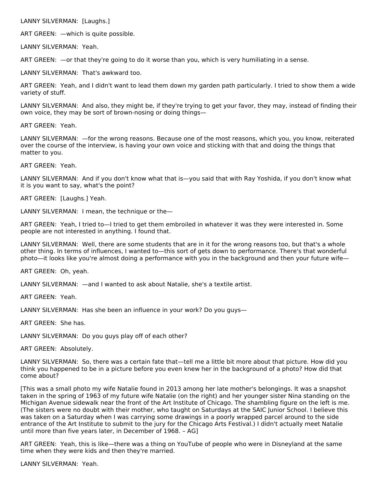LANNY SILVERMAN: [Laughs.]

ART GREEN: —which is quite possible.

LANNY SILVERMAN: Yeah.

ART GREEN: —or that they're going to do it worse than you, which is very humiliating in a sense.

LANNY SILVERMAN: That's awkward too.

ART GREEN: Yeah, and I didn't want to lead them down my garden path particularly. I tried to show them a wide variety of stuff.

LANNY SILVERMAN: And also, they might be, if they're trying to get your favor, they may, instead of finding their own voice, they may be sort of brown-nosing or doing things—

ART GREEN: Yeah.

LANNY SILVERMAN: —for the wrong reasons. Because one of the most reasons, which you, you know, reiterated over the course of the interview, is having your own voice and sticking with that and doing the things that matter to you.

ART GREEN: Yeah.

LANNY SILVERMAN: And if you don't know what that is—you said that with Ray Yoshida, if you don't know what it is you want to say, what's the point?

ART GREEN: [Laughs.] Yeah.

LANNY SILVERMAN: I mean, the technique or the—

ART GREEN: Yeah, I tried to—I tried to get them embroiled in whatever it was they were interested in. Some people are not interested in anything. I found that.

LANNY SILVERMAN: Well, there are some students that are in it for the wrong reasons too, but that's a whole other thing. In terms of influences, I wanted to—this sort of gets down to performance. There's that wonderful photo—it looks like you're almost doing a performance with you in the background and then your future wife—

ART GREEN: Oh, yeah.

LANNY SILVERMAN: —and I wanted to ask about Natalie, she's a textile artist.

ART GREEN: Yeah.

LANNY SILVERMAN: Has she been an influence in your work? Do you guys—

ART GREEN: She has.

LANNY SILVERMAN: Do you guys play off of each other?

ART GREEN: Absolutely.

LANNY SILVERMAN: So, there was a certain fate that—tell me a little bit more about that picture. How did you think you happened to be in a picture before you even knew her in the background of a photo? How did that come about?

[This was a small photo my wife Natalie found in 2013 among her late mother's belongings. It was a snapshot taken in the spring of 1963 of my future wife Natalie (on the right) and her younger sister Nina standing on the Michigan Avenue sidewalk near the front of the Art Institute of Chicago. The shambling figure on the left is me. (The sisters were no doubt with their mother, who taught on Saturdays at the SAIC Junior School. I believe this was taken on a Saturday when I was carrying some drawings in a poorly wrapped parcel around to the side entrance of the Art Institute to submit to the jury for the Chicago Arts Festival.) I didn't actually meet Natalie until more than five years later, in December of 1968. – AG]

ART GREEN: Yeah, this is like—there was a thing on YouTube of people who were in Disneyland at the same time when they were kids and then they're married.

LANNY SILVERMAN: Yeah.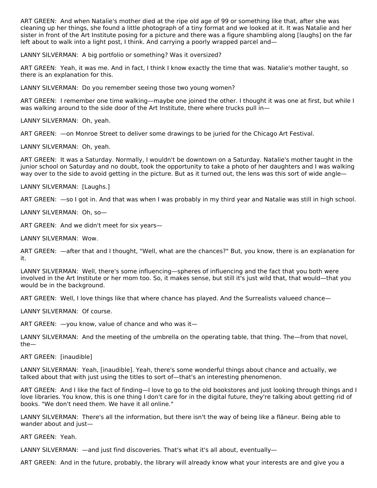ART GREEN: And when Natalie's mother died at the ripe old age of 99 or something like that, after she was cleaning up her things, she found a little photograph of a tiny format and we looked at it. It was Natalie and her sister in front of the Art Institute posing for a picture and there was a figure shambling along [laughs] on the far left about to walk into a light post, I think. And carrying a poorly wrapped parcel and—

LANNY SILVERMAN: A big portfolio or something? Was it oversized?

ART GREEN: Yeah, it was me. And in fact, I think I know exactly the time that was. Natalie's mother taught, so there is an explanation for this.

LANNY SILVERMAN: Do you remember seeing those two young women?

ART GREEN: I remember one time walking—maybe one joined the other. I thought it was one at first, but while I was walking around to the side door of the Art Institute, there where trucks pull in-

LANNY SILVERMAN: Oh, yeah.

ART GREEN: —on Monroe Street to deliver some drawings to be juried for the Chicago Art Festival.

LANNY SILVERMAN: Oh, yeah.

ART GREEN: It was a Saturday. Normally, I wouldn't be downtown on a Saturday. Natalie's mother taught in the junior school on Saturday and no doubt, took the opportunity to take a photo of her daughters and I was walking way over to the side to avoid getting in the picture. But as it turned out, the lens was this sort of wide angle—

LANNY SILVERMAN: [Laughs.]

ART GREEN: —so I got in. And that was when I was probably in my third year and Natalie was still in high school.

LANNY SILVERMAN: Oh, so—

ART GREEN: And we didn't meet for six years—

LANNY SILVERMAN: Wow.

ART GREEN: —after that and I thought, "Well, what are the chances?" But, you know, there is an explanation for it.

LANNY SILVERMAN: Well, there's some influencing—spheres of influencing and the fact that you both were involved in the Art Institute or her mom too. So, it makes sense, but still it's just wild that, that would—that you would be in the background.

ART GREEN: Well, I love things like that where chance has played. And the Surrealists valueed chance—

LANNY SILVERMAN: Of course.

ART GREEN: —you know, value of chance and who was it—

LANNY SILVERMAN: And the meeting of the umbrella on the operating table, that thing. The—from that novel, the—

ART GREEN: [inaudible]

LANNY SILVERMAN: Yeah, [inaudible]. Yeah, there's some wonderful things about chance and actually, we talked about that with just using the titles to sort of—that's an interesting phenomenon.

ART GREEN: And I like the fact of finding—I love to go to the old bookstores and just looking through things and I love libraries. You know, this is one thing I don't care for in the digital future, they're talking about getting rid of books. "We don't need them. We have it all online."

LANNY SILVERMAN: There's all the information, but there isn't the way of being like a flâneur. Being able to wander about and just—

ART GREEN: Yeah.

LANNY SILVERMAN: —and just find discoveries. That's what it's all about, eventually—

ART GREEN: And in the future, probably, the library will already know what your interests are and give you a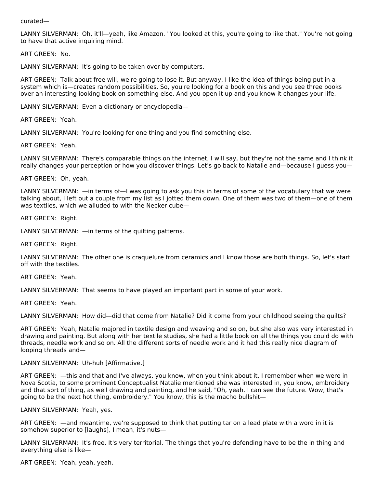curated—

LANNY SILVERMAN: Oh, it'll—yeah, like Amazon. "You looked at this, you're going to like that." You're not going to have that active inquiring mind.

ART GREEN: No.

LANNY SILVERMAN: It's going to be taken over by computers.

ART GREEN: Talk about free will, we're going to lose it. But anyway, I like the idea of things being put in a system which is—creates random possibilities. So, you're looking for a book on this and you see three books over an interesting looking book on something else. And you open it up and you know it changes your life.

LANNY SILVERMAN: Even a dictionary or encyclopedia—

ART GREEN: Yeah.

LANNY SILVERMAN: You're looking for one thing and you find something else.

ART GREEN: Yeah.

LANNY SILVERMAN: There's comparable things on the internet, I will say, but they're not the same and I think it really changes your perception or how you discover things. Let's go back to Natalie and—because I guess you—

ART GREEN: Oh, yeah.

LANNY SILVERMAN: —in terms of—I was going to ask you this in terms of some of the vocabulary that we were talking about, I left out a couple from my list as I jotted them down. One of them was two of them—one of them was textiles, which we alluded to with the Necker cube—

ART GREEN: Right.

LANNY SILVERMAN: —in terms of the quilting patterns.

ART GREEN: Right.

LANNY SILVERMAN: The other one is craquelure from ceramics and I know those are both things. So, let's start off with the textiles.

ART GREEN: Yeah.

LANNY SILVERMAN: That seems to have played an important part in some of your work.

ART GREEN: Yeah.

LANNY SILVERMAN: How did—did that come from Natalie? Did it come from your childhood seeing the quilts?

ART GREEN: Yeah, Natalie majored in textile design and weaving and so on, but she also was very interested in drawing and painting. But along with her textile studies, she had a little book on all the things you could do with threads, needle work and so on. All the different sorts of needle work and it had this really nice diagram of looping threads and—

LANNY SILVERMAN: Uh-huh [Affirmative.]

ART GREEN: —this and that and I've always, you know, when you think about it, I remember when we were in Nova Scotia, to some prominent Conceptualist Natalie mentioned she was interested in, you know, embroidery and that sort of thing, as well drawing and painting, and he said, "Oh, yeah. I can see the future. Wow, that's going to be the next hot thing, embroidery." You know, this is the macho bullshit—

LANNY SILVERMAN: Yeah, yes.

ART GREEN: —and meantime, we're supposed to think that putting tar on a lead plate with a word in it is somehow superior to [laughs], I mean, it's nuts-

LANNY SILVERMAN: It's free. It's very territorial. The things that you're defending have to be the in thing and everything else is like—

ART GREEN: Yeah, yeah, yeah.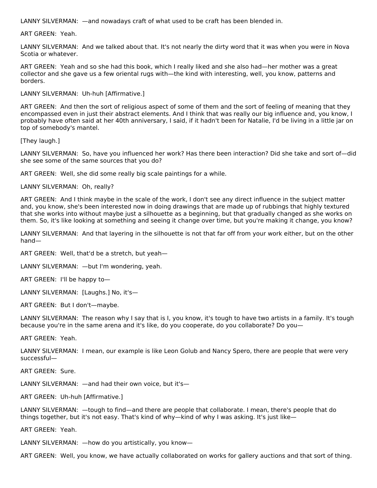LANNY SILVERMAN: —and nowadays craft of what used to be craft has been blended in.

ART GREEN: Yeah.

LANNY SILVERMAN: And we talked about that. It's not nearly the dirty word that it was when you were in Nova Scotia or whatever.

ART GREEN: Yeah and so she had this book, which I really liked and she also had—her mother was a great collector and she gave us a few oriental rugs with—the kind with interesting, well, you know, patterns and borders.

LANNY SILVERMAN: Uh-huh [Affirmative.]

ART GREEN: And then the sort of religious aspect of some of them and the sort of feeling of meaning that they encompassed even in just their abstract elements. And I think that was really our big influence and, you know, I probably have often said at her 40th anniversary, I said, if it hadn't been for Natalie, I'd be living in a little jar on top of somebody's mantel.

[They laugh.]

LANNY SILVERMAN: So, have you influenced her work? Has there been interaction? Did she take and sort of—did she see some of the same sources that you do?

ART GREEN: Well, she did some really big scale paintings for a while.

LANNY SILVERMAN: Oh, really?

ART GREEN: And I think maybe in the scale of the work, I don't see any direct influence in the subject matter and, you know, she's been interested now in doing drawings that are made up of rubbings that highly textured that she works into without maybe just a silhouette as a beginning, but that gradually changed as she works on them. So, it's like looking at something and seeing it change over time, but you're making it change, you know?

LANNY SILVERMAN: And that layering in the silhouette is not that far off from your work either, but on the other hand—

ART GREEN: Well, that'd be a stretch, but yeah—

LANNY SILVERMAN: —but I'm wondering, yeah.

ART GREEN: I'll be happy to—

LANNY SILVERMAN: [Laughs.] No, it's—

ART GREEN: But I don't—maybe.

LANNY SILVERMAN: The reason why I say that is I, you know, it's tough to have two artists in a family. It's tough because you're in the same arena and it's like, do you cooperate, do you collaborate? Do you—

ART GREEN: Yeah.

LANNY SILVERMAN: I mean, our example is like Leon Golub and Nancy Spero, there are people that were very successful—

ART GREEN: Sure.

LANNY SILVERMAN: —and had their own voice, but it's—

ART GREEN: Uh-huh [Affirmative.]

LANNY SILVERMAN: —tough to find—and there are people that collaborate. I mean, there's people that do things together, but it's not easy. That's kind of why—kind of why I was asking. It's just like—

ART GREEN: Yeah.

LANNY SILVERMAN: —how do you artistically, you know—

ART GREEN: Well, you know, we have actually collaborated on works for gallery auctions and that sort of thing.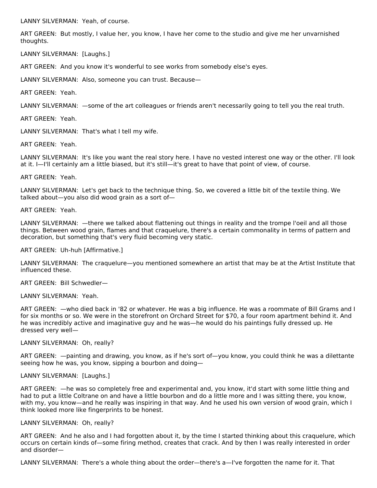LANNY SILVERMAN: Yeah, of course.

ART GREEN: But mostly, I value her, you know, I have her come to the studio and give me her unvarnished thoughts.

LANNY SILVERMAN: [Laughs.]

ART GREEN: And you know it's wonderful to see works from somebody else's eyes.

LANNY SILVERMAN: Also, someone you can trust. Because—

ART GREEN: Yeah.

LANNY SILVERMAN: —some of the art colleagues or friends aren't necessarily going to tell you the real truth.

ART GREEN: Yeah.

LANNY SILVERMAN: That's what I tell my wife.

ART GREEN: Yeah.

LANNY SILVERMAN: It's like you want the real story here. I have no vested interest one way or the other. I'll look at it. I—I'll certainly am a little biased, but it's still—it's great to have that point of view, of course.

#### ART GREEN: Yeah.

LANNY SILVERMAN: Let's get back to the technique thing. So, we covered a little bit of the textile thing. We talked about—you also did wood grain as a sort of—

ART GREEN: Yeah.

LANNY SILVERMAN: —there we talked about flattening out things in reality and the trompe l'oeil and all those things. Between wood grain, flames and that craquelure, there's a certain commonality in terms of pattern and decoration, but something that's very fluid becoming very static.

ART GREEN: Uh-huh [Affirmative.]

LANNY SILVERMAN: The craquelure—you mentioned somewhere an artist that may be at the Artist Institute that influenced these.

ART GREEN: Bill Schwedler—

LANNY SILVERMAN: Yeah.

ART GREEN: —who died back in '82 or whatever. He was a big influence. He was a roommate of Bill Grams and I for six months or so. We were in the storefront on Orchard Street for \$70, a four room apartment behind it. And he was incredibly active and imaginative guy and he was—he would do his paintings fully dressed up. He dressed very well—

#### LANNY SILVERMAN: Oh, really?

ART GREEN: —painting and drawing, you know, as if he's sort of—you know, you could think he was a dilettante seeing how he was, you know, sipping a bourbon and doing—

# LANNY SILVERMAN: [Laughs.]

ART GREEN: —he was so completely free and experimental and, you know, it'd start with some little thing and had to put a little Coltrane on and have a little bourbon and do a little more and I was sitting there, you know, with my, you know—and he really was inspiring in that way. And he used his own version of wood grain, which I think looked more like fingerprints to be honest.

#### LANNY SILVERMAN: Oh, really?

ART GREEN: And he also and I had forgotten about it, by the time I started thinking about this craquelure, which occurs on certain kinds of—some firing method, creates that crack. And by then I was really interested in order and disorder—

LANNY SILVERMAN: There's a whole thing about the order—there's a—I've forgotten the name for it. That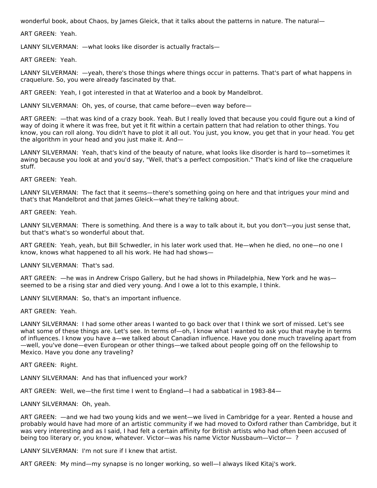wonderful book, about Chaos, by James Gleick, that it talks about the patterns in nature. The natural—

ART GREEN: Yeah.

LANNY SILVERMAN: —what looks like disorder is actually fractals—

ART GREEN: Yeah.

LANNY SILVERMAN: —yeah, there's those things where things occur in patterns. That's part of what happens in craquelure. So, you were already fascinated by that.

ART GREEN: Yeah, I got interested in that at Waterloo and a book by Mandelbrot.

LANNY SILVERMAN: Oh, yes, of course, that came before—even way before—

ART GREEN: —that was kind of a crazy book. Yeah. But I really loved that because you could figure out a kind of way of doing it where it was free, but yet it fit within a certain pattern that had relation to other things. You know, you can roll along. You didn't have to plot it all out. You just, you know, you get that in your head. You get the algorithm in your head and you just make it. And—

LANNY SILVERMAN: Yeah, that's kind of the beauty of nature, what looks like disorder is hard to—sometimes it awing because you look at and you'd say, "Well, that's a perfect composition." That's kind of like the craquelure stuff.

ART GREEN: Yeah.

LANNY SILVERMAN: The fact that it seems—there's something going on here and that intrigues your mind and that's that Mandelbrot and that James Gleick—what they're talking about.

ART GREEN: Yeah.

LANNY SILVERMAN: There is something. And there is a way to talk about it, but you don't—you just sense that, but that's what's so wonderful about that.

ART GREEN: Yeah, yeah, but Bill Schwedler, in his later work used that. He—when he died, no one—no one I know, knows what happened to all his work. He had had shows—

LANNY SILVERMAN: That's sad.

ART GREEN: —he was in Andrew Crispo Gallery, but he had shows in Philadelphia, New York and he was seemed to be a rising star and died very young. And I owe a lot to this example, I think.

LANNY SILVERMAN: So, that's an important influence.

ART GREEN: Yeah.

LANNY SILVERMAN: I had some other areas I wanted to go back over that I think we sort of missed. Let's see what some of these things are. Let's see. In terms of—oh, I know what I wanted to ask you that maybe in terms of influences. I know you have a—we talked about Canadian influence. Have you done much traveling apart from —well, you've done—even European or other things—we talked about people going off on the fellowship to Mexico. Have you done any traveling?

ART GREEN: Right.

LANNY SILVERMAN: And has that influenced your work?

ART GREEN: Well, we—the first time I went to England—I had a sabbatical in 1983-84—

LANNY SILVERMAN: Oh, yeah.

ART GREEN: —and we had two young kids and we went—we lived in Cambridge for a year. Rented a house and probably would have had more of an artistic community if we had moved to Oxford rather than Cambridge, but it was very interesting and as I said, I had felt a certain affinity for British artists who had often been accused of being too literary or, you know, whatever. Victor—was his name Victor Nussbaum—Victor—?

LANNY SILVERMAN: I'm not sure if I knew that artist.

ART GREEN: My mind—my synapse is no longer working, so well—I always liked Kitaj's work.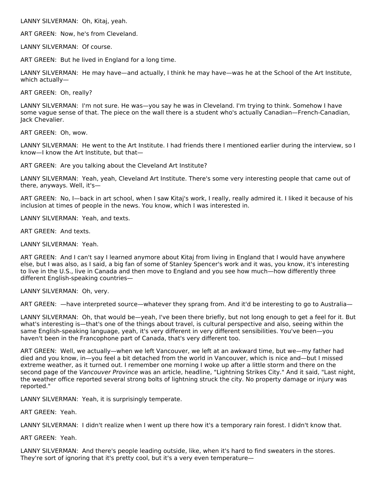LANNY SILVERMAN: Oh, Kitaj, yeah.

ART GREEN: Now, he's from Cleveland.

LANNY SILVERMAN: Of course.

ART GREEN: But he lived in England for a long time.

LANNY SILVERMAN: He may have—and actually, I think he may have—was he at the School of the Art Institute, which actually—

ART GREEN: Oh, really?

LANNY SILVERMAN: I'm not sure. He was—you say he was in Cleveland. I'm trying to think. Somehow I have some vague sense of that. The piece on the wall there is a student who's actually Canadian—French-Canadian, Jack Chevalier.

ART GREEN: Oh, wow.

LANNY SILVERMAN: He went to the Art Institute. I had friends there I mentioned earlier during the interview, so I know—I know the Art Institute, but that—

ART GREEN: Are you talking about the Cleveland Art Institute?

LANNY SILVERMAN: Yeah, yeah, Cleveland Art Institute. There's some very interesting people that came out of there, anyways. Well, it's—

ART GREEN: No, I—back in art school, when I saw Kitaj's work, I really, really admired it. I liked it because of his inclusion at times of people in the news. You know, which I was interested in.

LANNY SILVERMAN: Yeah, and texts.

ART GREEN: And texts.

LANNY SILVERMAN: Yeah.

ART GREEN: And I can't say I learned anymore about Kitaj from living in England that I would have anywhere else, but I was also, as I said, a big fan of some of Stanley Spencer's work and it was, you know, it's interesting to live in the U.S., live in Canada and then move to England and you see how much—how differently three different English-speaking countries—

LANNY SILVERMAN: Oh, very.

ART GREEN: —have interpreted source—whatever they sprang from. And it'd be interesting to go to Australia—

LANNY SILVERMAN: Oh, that would be—yeah, I've been there briefly, but not long enough to get a feel for it. But what's interesting is—that's one of the things about travel, is cultural perspective and also, seeing within the same English-speaking language, yeah, it's very different in very different sensibilities. You've been—you haven't been in the Francophone part of Canada, that's very different too.

ART GREEN: Well, we actually—when we left Vancouver, we left at an awkward time, but we—my father had died and you know, in—you feel a bit detached from the world in Vancouver, which is nice and—but I missed extreme weather, as it turned out. I remember one morning I woke up after a little storm and there on the second page of the Vancouver Province was an article, headline, "Lightning Strikes City." And it said, "Last night, the weather office reported several strong bolts of lightning struck the city. No property damage or injury was reported."

LANNY SILVERMAN: Yeah, it is surprisingly temperate.

ART GREEN: Yeah.

LANNY SILVERMAN: I didn't realize when I went up there how it's a temporary rain forest. I didn't know that.

ART GREEN: Yeah.

LANNY SILVERMAN: And there's people leading outside, like, when it's hard to find sweaters in the stores. They're sort of ignoring that it's pretty cool, but it's a very even temperature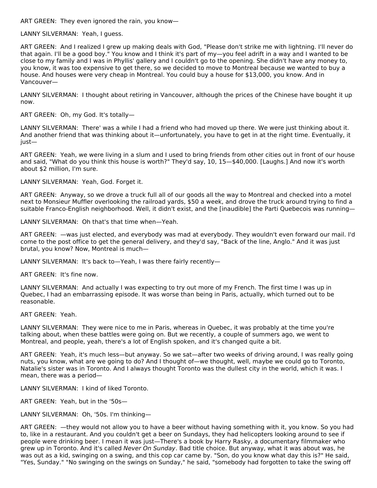ART GREEN: They even ignored the rain, you know—

LANNY SILVERMAN: Yeah, I guess.

ART GREEN: And I realized I grew up making deals with God, "Please don't strike me with lightning. I'll never do that again. I'll be a good boy." You know and I think it's part of my—you feel adrift in a way and I wanted to be close to my family and I was in Phyllis' gallery and I couldn't go to the opening. She didn't have any money to, you know, it was too expensive to get there, so we decided to move to Montreal because we wanted to buy a house. And houses were very cheap in Montreal. You could buy a house for \$13,000, you know. And in Vancouver—

LANNY SILVERMAN: I thought about retiring in Vancouver, although the prices of the Chinese have bought it up now.

ART GREEN: Oh, my God. It's totally—

LANNY SILVERMAN: There' was a while I had a friend who had moved up there. We were just thinking about it. And another friend that was thinking about it—unfortunately, you have to get in at the right time. Eventually, it just—

ART GREEN: Yeah, we were living in a slum and I used to bring friends from other cities out in front of our house and said, "What do you think this house is worth?" They'd say, 10, 15—\$40,000. [Laughs.] And now it's worth about \$2 million, I'm sure.

LANNY SILVERMAN: Yeah, God. Forget it.

ART GREEN: Anyway, so we drove a truck full all of our goods all the way to Montreal and checked into a motel next to Monsieur Muffler overlooking the railroad yards, \$50 a week, and drove the truck around trying to find a suitable Franco-English neighborhood. Well, it didn't exist, and the [inaudible] the Parti Quebecois was running—

LANNY SILVERMAN: Oh that's that time when—Yeah.

ART GREEN: —was just elected, and everybody was mad at everybody. They wouldn't even forward our mail. I'd come to the post office to get the general delivery, and they'd say, "Back of the line, Anglo." And it was just brutal, you know? Now, Montreal is much—

LANNY SILVERMAN: It's back to—Yeah, I was there fairly recently—

ART GREEN: It's fine now.

LANNY SILVERMAN: And actually I was expecting to try out more of my French. The first time I was up in Quebec, I had an embarrassing episode. It was worse than being in Paris, actually, which turned out to be reasonable.

ART GREEN: Yeah.

LANNY SILVERMAN: They were nice to me in Paris, whereas in Quebec, it was probably at the time you're talking about, when these battles were going on. But we recently, a couple of summers ago, we went to Montreal, and people, yeah, there's a lot of English spoken, and it's changed quite a bit.

ART GREEN: Yeah, it's much less—but anyway. So we sat—after two weeks of driving around, I was really going nuts, you know, what are we going to do? And I thought of—we thought, well, maybe we could go to Toronto, Natalie's sister was in Toronto. And I always thought Toronto was the dullest city in the world, which it was. I mean, there was a period—

LANNY SILVERMAN: I kind of liked Toronto.

ART GREEN: Yeah, but in the '50s—

LANNY SILVERMAN: Oh, '50s. I'm thinking—

ART GREEN: —they would not allow you to have a beer without having something with it, you know. So you had to, like in a restaurant. And you couldn't get a beer on Sundays, they had helicopters looking around to see if people were drinking beer. I mean it was just—There's a book by Harry Rasky, a documentary filmmaker who grew up in Toronto. And it's called Never On Sunday. Bad title choice. But anyway, what it was about was, he was out as a kid, swinging on a swing, and this cop car came by. "Son, do you know what day this is?" He said, "Yes, Sunday." "No swinging on the swings on Sunday," he said, "somebody had forgotten to take the swing off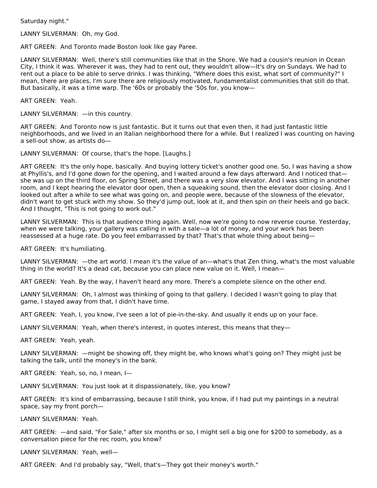Saturday night."

LANNY SILVERMAN: Oh, my God.

ART GREEN: And Toronto made Boston look like gay Paree.

LANNY SILVERMAN: Well, there's still communities like that in the Shore. We had a cousin's reunion in Ocean City, I think it was. Wherever it was, they had to rent out, they wouldn't allow—It's dry on Sundays. We had to rent out a place to be able to serve drinks. I was thinking, "Where does this exist, what sort of community?" I mean, there are places, I'm sure there are religiously motivated, fundamentalist communities that still do that. But basically, it was a time warp. The '60s or probably the '50s for, you know—

ART GREEN: Yeah.

LANNY SILVERMAN:  $-$  in this country.

ART GREEN: And Toronto now is just fantastic. But it turns out that even then, it had just fantastic little neighborhoods, and we lived in an Italian neighborhood there for a while. But I realized I was counting on having a sell-out show, as artists do—

LANNY SILVERMAN: Of course, that's the hope. [Laughs.]

ART GREEN: It's the only hope, basically. And buying lottery ticket's another good one. So, I was having a show at Phyllis's, and I'd gone down for the opening, and I waited around a few days afterward. And I noticed that she was up on the third floor, on Spring Street, and there was a very slow elevator. And I was sitting in another room, and I kept hearing the elevator door open, then a squeaking sound, then the elevator door closing. And I looked out after a while to see what was going on, and people were, because of the slowness of the elevator, didn't want to get stuck with my show. So they'd jump out, look at it, and then spin on their heels and go back. And I thought, "This is not going to work out."

LANNY SILVERMAN: This is that audience thing again. Well, now we're going to now reverse course. Yesterday, when we were talking, your gallery was calling in with a sale—a lot of money, and your work has been reassessed at a huge rate. Do you feel embarrassed by that? That's that whole thing about being—

ART GREEN: It's humiliating.

LANNY SILVERMAN: —the art world. I mean it's the value of an—what's that Zen thing, what's the most valuable thing in the world? It's a dead cat, because you can place new value on it. Well, I mean—

ART GREEN: Yeah. By the way, I haven't heard any more. There's a complete silence on the other end.

LANNY SILVERMAN: Oh, I almost was thinking of going to that gallery. I decided I wasn't going to play that game, I stayed away from that, I didn't have time.

ART GREEN: Yeah, I, you know, I've seen a lot of pie-in-the-sky. And usually it ends up on your face.

LANNY SILVERMAN: Yeah, when there's interest, in quotes interest, this means that they—

ART GREEN: Yeah, yeah.

LANNY SILVERMAN: —might be showing off, they might be, who knows what's going on? They might just be talking the talk, until the money's in the bank.

ART GREEN: Yeah, so, no, I mean, I—

LANNY SILVERMAN: You just look at it dispassionately, like, you know?

ART GREEN: It's kind of embarrassing, because I still think, you know, if I had put my paintings in a neutral space, say my front porch—

LANNY SILVERMAN: Yeah.

ART GREEN: —and said, "For Sale," after six months or so, I might sell a big one for \$200 to somebody, as a conversation piece for the rec room, you know?

LANNY SILVERMAN: Yeah, well—

ART GREEN: And I'd probably say, "Well, that's—They got their money's worth."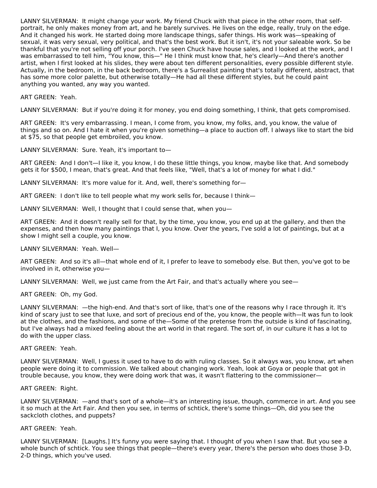LANNY SILVERMAN: It might change your work. My friend Chuck with that piece in the other room, that selfportrait, he only makes money from art, and he barely survives. He lives on the edge, really, truly on the edge. And it changed his work. He started doing more landscape things, safer things. His work was—speaking of sexual, it was very sexual, very political, and that's the best work. But it isn't, it's not your saleable work. So be thankful that you're not selling off your porch. I've seen Chuck have house sales, and I looked at the work, and I was embarrassed to tell him, "You know, this—" He I think must know that, he's clearly—And there's another artist, when I first looked at his slides, they were about ten different personalities, every possible different style. Actually, in the bedroom, in the back bedroom, there's a Surrealist painting that's totally different, abstract, that has some more color palette, but otherwise totally—He had all these different styles, but he could paint anything you wanted, any way you wanted.

#### ART GREEN: Yeah.

LANNY SILVERMAN: But if you're doing it for money, you end doing something, I think, that gets compromised.

ART GREEN: It's very embarrassing. I mean, I come from, you know, my folks, and, you know, the value of things and so on. And I hate it when you're given something—a place to auction off. I always like to start the bid at \$75, so that people get embroiled, you know.

LANNY SILVERMAN: Sure. Yeah, it's important to—

ART GREEN: And I don't—I like it, you know, I do these little things, you know, maybe like that. And somebody gets it for \$500, I mean, that's great. And that feels like, "Well, that's a lot of money for what I did."

LANNY SILVERMAN: It's more value for it. And, well, there's something for-

ART GREEN: I don't like to tell people what my work sells for, because I think—

LANNY SILVERMAN: Well, I thought that I could sense that, when you—

ART GREEN: And it doesn't really sell for that, by the time, you know, you end up at the gallery, and then the expenses, and then how many paintings that I, you know. Over the years, I've sold a lot of paintings, but at a show I might sell a couple, you know.

#### LANNY SILVERMAN: Yeah. Well—

ART GREEN: And so it's all—that whole end of it, I prefer to leave to somebody else. But then, you've got to be involved in it, otherwise you—

LANNY SILVERMAN: Well, we just came from the Art Fair, and that's actually where you see—

ART GREEN: Oh, my God.

LANNY SILVERMAN: —the high-end. And that's sort of like, that's one of the reasons why I race through it. It's kind of scary just to see that luxe, and sort of precious end of the, you know, the people with—It was fun to look at the clothes, and the fashions, and some of the—Some of the pretense from the outside is kind of fascinating, but I've always had a mixed feeling about the art world in that regard. The sort of, in our culture it has a lot to do with the upper class.

#### ART GREEN: Yeah.

LANNY SILVERMAN: Well, I guess it used to have to do with ruling classes. So it always was, you know, art when people were doing it to commission. We talked about changing work. Yeah, look at Goya or people that got in trouble because, you know, they were doing work that was, it wasn't flattering to the commissioner—

#### ART GREEN: Right.

LANNY SILVERMAN: —and that's sort of a whole—it's an interesting issue, though, commerce in art. And you see it so much at the Art Fair. And then you see, in terms of schtick, there's some things—Oh, did you see the sackcloth clothes, and puppets?

# ART GREEN: Yeah.

LANNY SILVERMAN: [Laughs.] It's funny you were saying that. I thought of you when I saw that. But you see a whole bunch of schtick. You see things that people—there's every year, there's the person who does those 3-D, 2-D things, which you've used.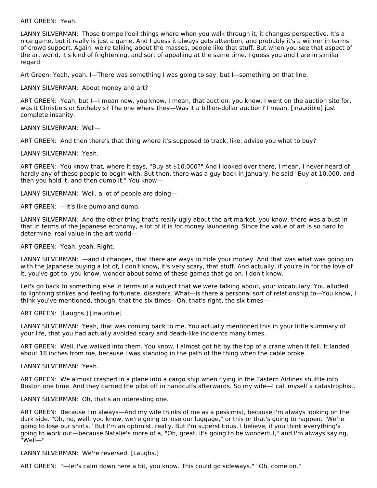ART GREEN: Yeah.

LANNY SILVERMAN: Those trompe l'oeil things where when you walk through it, it changes perspective. It's a nice game, but it really is just a game. And I guess it always gets attention, and probably it's a winner in terms of crowd support. Again, we're talking about the masses, people like that stuff. But when you see that aspect of the art world, it's kind of frightening, and sort of appalling at the same time. I guess you and I are in similar regard.

Art Green: Yeah, yeah. I—There was something I was going to say, but I—something on that line.

LANNY SILVERMAN: About money and art?

ART GREEN: Yeah, but I—I mean now, you know, I mean, that auction, you know, I went on the auction site for, was it Christie's or Sotheby's? The one where they—Was it a billion-dollar auction? I mean, [inaudible] just complete insanity.

LANNY SILVERMAN: Well—

ART GREEN: And then there's that thing where it's supposed to track, like, advise you what to buy?

LANNY SILVERMAN: Yeah.

ART GREEN: You know that, where it says, "Buy at \$10,000?" And I looked over there, I mean, I never heard of hardly any of these people to begin with. But then, there was a guy back in January, he said "Buy at 10,000, and then you hold it, and then dump it." You know—

LANNY SILVERMAN: Well, a lot of people are doing—

ART GREEN: —it's like pump and dump.

LANNY SILVERMAN: And the other thing that's really ugly about the art market, you know, there was a bust in that in terms of the Japanese economy, a lot of it is for money laundering. Since the value of art is so hard to determine, real value in the art world—

ART GREEN: Yeah, yeah. Right.

LANNY SILVERMAN: —and it changes, that there are ways to hide your money. And that was what was going on with the Japanese buying a lot of, I don't know, it's very scary, that stuff. And actually, if you're in for the love of it, you've got to, you know, wonder about some of these games that go on. I don't know.

Let's go back to something else in terms of a subject that we were talking about, your vocabulary. You alluded to lightning strikes and feeling fortunate, disasters. What—is there a personal sort of relationship to—You know, I think you've mentioned, though, that the six times—Oh, that's right, the six times—

ART GREEN: [Laughs.] [inaudible]

LANNY SILVERMAN: Yeah, that was coming back to me. You actually mentioned this in your little summary of your life, that you had actually avoided scary and death-like incidents many times.

ART GREEN: Well, I've walked into them. You know, I almost got hit by the top of a crane when it fell. It landed about 18 inches from me, because I was standing in the path of the thing when the cable broke.

LANNY SILVERMAN: Yeah.

ART GREEN: We almost crashed in a plane into a cargo ship when flying in the Eastern Airlines shuttle into Boston one time. And they carried the pilot off in handcuffs afterwards. So my wife—I call myself a catastrophist.

LANNY SILVERMAN: Oh, that's an interesting one.

ART GREEN: Because I'm always—And my wife thinks of me as a pessimist, because I'm always looking on the dark side. "Oh, no, well, you know, we're going to lose our luggage," or this or that's going to happen. "We're going to lose our shirts." But I'm an optimist, really. But I'm superstitious. I believe, if you think everything's going to work out—because Natalie's more of a, "Oh, great, it's going to be wonderful," and I'm always saying, "Well—"

LANNY SILVERMAN: We're reversed. [Laughs.]

ART GREEN: "—let's calm down here a bit, you know. This could go sideways." "Oh, come on."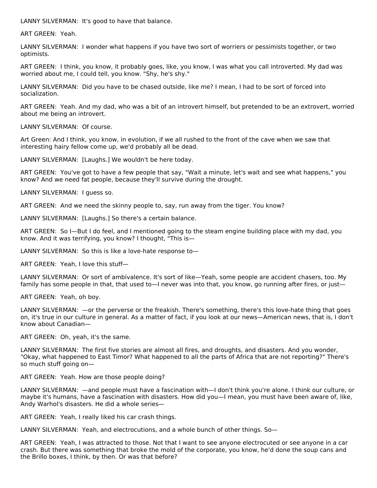LANNY SILVERMAN: It's good to have that balance.

ART GREEN: Yeah.

LANNY SILVERMAN: I wonder what happens if you have two sort of worriers or pessimists together, or two optimists.

ART GREEN: I think, you know, it probably goes, like, you know, I was what you call introverted. My dad was worried about me, I could tell, you know. "Shy, he's shy."

LANNY SILVERMAN: Did you have to be chased outside, like me? I mean, I had to be sort of forced into socialization.

ART GREEN: Yeah. And my dad, who was a bit of an introvert himself, but pretended to be an extrovert, worried about me being an introvert.

LANNY SILVERMAN: Of course.

Art Green: And I think, you know, in evolution, if we all rushed to the front of the cave when we saw that interesting hairy fellow come up, we'd probably all be dead.

LANNY SILVERMAN: [Laughs.] We wouldn't be here today.

ART GREEN: You've got to have a few people that say, "Wait a minute, let's wait and see what happens," you know? And we need fat people, because they'll survive during the drought.

LANNY SILVERMAN: I guess so.

ART GREEN: And we need the skinny people to, say, run away from the tiger. You know?

LANNY SILVERMAN: [Laughs.] So there's a certain balance.

ART GREEN: So I—But I do feel, and I mentioned going to the steam engine building place with my dad, you know. And it was terrifying, you know? I thought, "This is—

LANNY SILVERMAN: So this is like a love-hate response to—

ART GREEN: Yeah, I love this stuff—

LANNY SILVERMAN: Or sort of ambivalence. It's sort of like—Yeah, some people are accident chasers, too. My family has some people in that, that used to—I never was into that, you know, go running after fires, or just—

ART GREEN: Yeah, oh boy.

LANNY SILVERMAN: —or the perverse or the freakish. There's something, there's this love-hate thing that goes on, it's true in our culture in general. As a matter of fact, if you look at our news—American news, that is, I don't know about Canadian—

ART GREEN: Oh, yeah, it's the same.

LANNY SILVERMAN: The first five stories are almost all fires, and droughts, and disasters. And you wonder, "Okay, what happened to East Timor? What happened to all the parts of Africa that are not reporting?" There's so much stuff going on—

ART GREEN: Yeah. How are those people doing?

LANNY SILVERMAN: —and people must have a fascination with—I don't think you're alone. I think our culture, or maybe it's humans, have a fascination with disasters. How did you—I mean, you must have been aware of, like, Andy Warhol's disasters. He did a whole series—

ART GREEN: Yeah, I really liked his car crash things.

LANNY SILVERMAN: Yeah, and electrocutions, and a whole bunch of other things. So—

ART GREEN: Yeah, I was attracted to those. Not that I want to see anyone electrocuted or see anyone in a car crash. But there was something that broke the mold of the corporate, you know, he'd done the soup cans and the Brillo boxes, I think, by then. Or was that before?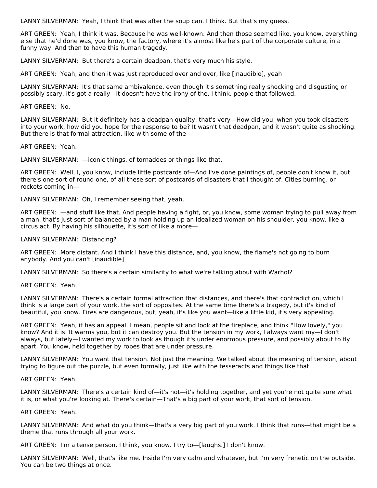LANNY SILVERMAN: Yeah, I think that was after the soup can. I think. But that's my guess.

ART GREEN: Yeah, I think it was. Because he was well-known. And then those seemed like, you know, everything else that he'd done was, you know, the factory, where it's almost like he's part of the corporate culture, in a funny way. And then to have this human tragedy.

LANNY SILVERMAN: But there's a certain deadpan, that's very much his style.

ART GREEN: Yeah, and then it was just reproduced over and over, like [inaudible], yeah

LANNY SILVERMAN: It's that same ambivalence, even though it's something really shocking and disgusting or possibly scary. It's got a really—it doesn't have the irony of the, I think, people that followed.

#### ART GREEN: No.

LANNY SILVERMAN: But it definitely has a deadpan quality, that's very—How did you, when you took disasters into your work, how did you hope for the response to be? It wasn't that deadpan, and it wasn't quite as shocking. But there is that formal attraction, like with some of the—

ART GREEN: Yeah.

LANNY SILVERMAN: —iconic things, of tornadoes or things like that.

ART GREEN: Well, I, you know, include little postcards of—And I've done paintings of, people don't know it, but there's one sort of round one, of all these sort of postcards of disasters that I thought of. Cities burning, or rockets coming in—

LANNY SILVERMAN: Oh, I remember seeing that, yeah.

ART GREEN: —and stuff like that. And people having a fight, or, you know, some woman trying to pull away from a man, that's just sort of balanced by a man holding up an idealized woman on his shoulder, you know, like a circus act. By having his silhouette, it's sort of like a more—

LANNY SILVERMAN: Distancing?

ART GREEN: More distant. And I think I have this distance, and, you know, the flame's not going to burn anybody. And you can't [inaudible]

LANNY SILVERMAN: So there's a certain similarity to what we're talking about with Warhol?

ART GREEN: Yeah.

LANNY SILVERMAN: There's a certain formal attraction that distances, and there's that contradiction, which I think is a large part of your work, the sort of opposites. At the same time there's a tragedy, but it's kind of beautiful, you know. Fires are dangerous, but, yeah, it's like you want—like a little kid, it's very appealing.

ART GREEN: Yeah, it has an appeal. I mean, people sit and look at the fireplace, and think "How lovely," you know? And it is. It warms you, but it can destroy you. But the tension in my work, I always want my—I don't always, but lately—I wanted my work to look as though it's under enormous pressure, and possibly about to fly apart. You know, held together by ropes that are under pressure.

LANNY SILVERMAN: You want that tension. Not just the meaning. We talked about the meaning of tension, about trying to figure out the puzzle, but even formally, just like with the tesseracts and things like that.

# ART GREEN: Yeah.

LANNY SILVERMAN: There's a certain kind of—it's not—it's holding together, and yet you're not quite sure what it is, or what you're looking at. There's certain—That's a big part of your work, that sort of tension.

#### ART GREEN: Yeah.

LANNY SILVERMAN: And what do you think—that's a very big part of you work. I think that runs—that might be a theme that runs through all your work.

ART GREEN: I'm a tense person, I think, you know. I try to—[laughs.] I don't know.

LANNY SILVERMAN: Well, that's like me. Inside I'm very calm and whatever, but I'm very frenetic on the outside. You can be two things at once.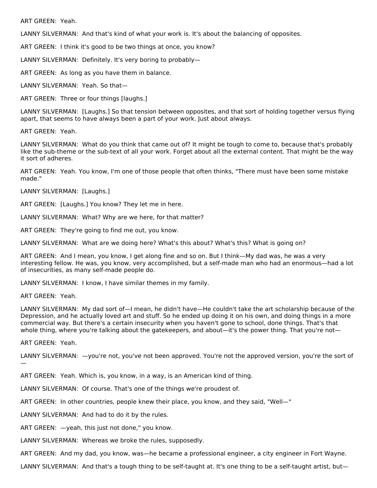ART GREEN: Yeah.

LANNY SILVERMAN: And that's kind of what your work is. It's about the balancing of opposites.

ART GREEN: I think it's good to be two things at once, you know?

LANNY SILVERMAN: Definitely. It's very boring to probably—

ART GREEN: As long as you have them in balance.

LANNY SILVERMAN: Yeah. So that—

ART GREEN: Three or four things [laughs.]

LANNY SILVERMAN: [Laughs.] So that tension between opposites, and that sort of holding together versus flying apart, that seems to have always been a part of your work. Just about always.

ART GREEN: Yeah.

LANNY SILVERMAN: What do you think that came out of? It might be tough to come to, because that's probably like the sub-theme or the sub-text of all your work. Forget about all the external content. That might be the way it sort of adheres.

ART GREEN: Yeah. You know, I'm one of those people that often thinks, "There must have been some mistake made."

LANNY SILVERMAN: [Laughs.]

ART GREEN: [Laughs.] You know? They let me in here.

LANNY SILVERMAN: What? Why are we here, for that matter?

ART GREEN: They're going to find me out, you know.

LANNY SILVERMAN: What are we doing here? What's this about? What's this? What is going on?

ART GREEN: And I mean, you know, I get along fine and so on. But I think—My dad was, he was a very interesting fellow. He was, you know, very accomplished, but a self-made man who had an enormous—had a lot of insecurities, as many self-made people do.

LANNY SILVERMAN: I know, I have similar themes in my family.

ART GREEN: Yeah.

LANNY SILVERMAN: My dad sort of—I mean, he didn't have—He couldn't take the art scholarship because of the Depression, and he actually loved art and stuff. So he ended up doing it on his own, and doing things in a more commercial way. But there's a certain insecurity when you haven't gone to school, done things. That's that whole thing, where you're talking about the gatekeepers, and about—it's the power thing. That you're not—

ART GREEN: Yeah.

LANNY SILVERMAN: - you're not, you've not been approved. You're not the approved version, you're the sort of —

ART GREEN: Yeah. Which is, you know, in a way, is an American kind of thing.

LANNY SILVERMAN: Of course. That's one of the things we're proudest of.

ART GREEN: In other countries, people knew their place, you know, and they said, "Well—"

LANNY SILVERMAN: And had to do it by the rules.

ART GREEN: —yeah, this just not done," you know.

LANNY SILVERMAN: Whereas we broke the rules, supposedly.

ART GREEN: And my dad, you know, was—he became a professional engineer, a city engineer in Fort Wayne.

LANNY SILVERMAN: And that's a tough thing to be self-taught at. It's one thing to be a self-taught artist, but—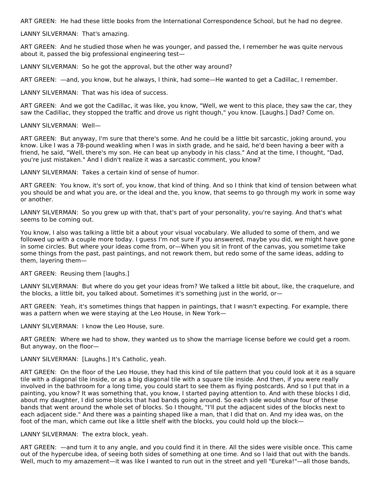ART GREEN: He had these little books from the International Correspondence School, but he had no degree.

# LANNY SILVERMAN: That's amazing.

ART GREEN: And he studied those when he was younger, and passed the, I remember he was quite nervous about it, passed the big professional engineering test—

LANNY SILVERMAN: So he got the approval, but the other way around?

ART GREEN: —and, you know, but he always, I think, had some—He wanted to get a Cadillac, I remember.

LANNY SILVERMAN: That was his idea of success.

ART GREEN: And we got the Cadillac, it was like, you know, "Well, we went to this place, they saw the car, they saw the Cadillac, they stopped the traffic and drove us right though," you know. [Laughs.] Dad? Come on.

#### LANNY SILVERMAN: Well—

ART GREEN: But anyway, I'm sure that there's some. And he could be a little bit sarcastic, joking around, you know. Like I was a 78-pound weakling when I was in sixth grade, and he said, he'd been having a beer with a friend, he said, "Well, there's my son. He can beat up anybody in his class." And at the time, I thought, "Dad, you're just mistaken." And I didn't realize it was a sarcastic comment, you know?

LANNY SILVERMAN: Takes a certain kind of sense of humor.

ART GREEN: You know, it's sort of, you know, that kind of thing. And so I think that kind of tension between what you should be and what you are, or the ideal and the, you know, that seems to go through my work in some way or another.

LANNY SILVERMAN: So you grew up with that, that's part of your personality, you're saying. And that's what seems to be coming out.

You know, I also was talking a little bit a about your visual vocabulary. We alluded to some of them, and we followed up with a couple more today. I guess I'm not sure if you answered, maybe you did, we might have gone in some circles. But where your ideas come from, or—When you sit in front of the canvas, you sometime take some things from the past, past paintings, and not rework them, but redo some of the same ideas, adding to them, layering them—

ART GREEN: Reusing them [laughs.]

LANNY SILVERMAN: But where do you get your ideas from? We talked a little bit about, like, the craquelure, and the blocks, a little bit, you talked about. Sometimes it's something just in the world, or—

ART GREEN: Yeah, it's sometimes things that happen in paintings, that I wasn't expecting. For example, there was a pattern when we were staying at the Leo House, in New York—

LANNY SILVERMAN: I know the Leo House, sure.

ART GREEN: Where we had to show, they wanted us to show the marriage license before we could get a room. But anyway, on the floor—

LANNY SILVERMAN: [Laughs.] It's Catholic, yeah.

ART GREEN: On the floor of the Leo House, they had this kind of tile pattern that you could look at it as a square tile with a diagonal tile inside, or as a big diagonal tile with a square tile inside. And then, if you were really involved in the bathroom for a long time, you could start to see them as flying postcards. And so I put that in a painting, you know? It was something that, you know, I started paying attention to. And with these blocks I did, about my daughter, I did some blocks that had bands going around. So each side would show four of these bands that went around the whole set of blocks. So I thought, "I'll put the adjacent sides of the blocks next to each adjacent side." And there was a painting shaped like a man, that I did that on. And my idea was, on the foot of the man, which came out like a little shelf with the blocks, you could hold up the block—

# LANNY SILVERMAN: The extra block, yeah.

ART GREEN: —and turn it to any angle, and you could find it in there. All the sides were visible once. This came out of the hypercube idea, of seeing both sides of something at one time. And so I laid that out with the bands. Well, much to my amazement—it was like I wanted to run out in the street and yell "Eureka!"—all those bands,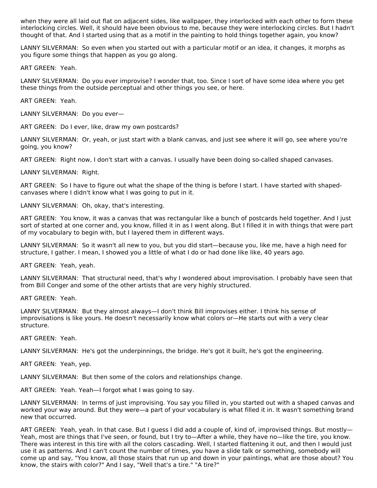when they were all laid out flat on adjacent sides, like wallpaper, they interlocked with each other to form these interlocking circles. Well, it should have been obvious to me, because they were interlocking circles. But I hadn't thought of that. And I started using that as a motif in the painting to hold things together again, you know?

LANNY SILVERMAN: So even when you started out with a particular motif or an idea, it changes, it morphs as you figure some things that happen as you go along.

ART GREEN: Yeah.

LANNY SILVERMAN: Do you ever improvise? I wonder that, too. Since I sort of have some idea where you get these things from the outside perceptual and other things you see, or here.

ART GREEN: Yeah.

LANNY SILVERMAN: Do you ever—

ART GREEN: Do I ever, like, draw my own postcards?

LANNY SILVERMAN: Or, yeah, or just start with a blank canvas, and just see where it will go, see where you're going, you know?

ART GREEN: Right now, I don't start with a canvas. I usually have been doing so-called shaped canvases.

LANNY SILVERMAN: Right.

ART GREEN: So I have to figure out what the shape of the thing is before I start. I have started with shapedcanvases where I didn't know what I was going to put in it.

LANNY SILVERMAN: Oh, okay, that's interesting.

ART GREEN: You know, it was a canvas that was rectangular like a bunch of postcards held together. And I just sort of started at one corner and, you know, filled it in as I went along. But I filled it in with things that were part of my vocabulary to begin with, but I layered them in different ways.

LANNY SILVERMAN: So it wasn't all new to you, but you did start—because you, like me, have a high need for structure, I gather. I mean, I showed you a little of what I do or had done like like, 40 years ago.

ART GREEN: Yeah, yeah.

LANNY SILVERMAN: That structural need, that's why I wondered about improvisation. I probably have seen that from Bill Conger and some of the other artists that are very highly structured.

ART GREEN: Yeah.

LANNY SILVERMAN: But they almost always—I don't think Bill improvises either. I think his sense of improvisations is like yours. He doesn't necessarily know what colors or—He starts out with a very clear structure.

ART GREEN: Yeah.

LANNY SILVERMAN: He's got the underpinnings, the bridge. He's got it built, he's got the engineering.

ART GREEN: Yeah, yep.

LANNY SILVERMAN: But then some of the colors and relationships change.

ART GREEN: Yeah. Yeah—I forgot what I was going to say.

LANNY SILVERMAN: In terms of just improvising. You say you filled in, you started out with a shaped canvas and worked your way around. But they were—a part of your vocabulary is what filled it in. It wasn't something brand new that occurred.

ART GREEN: Yeah, yeah. In that case. But I guess I did add a couple of, kind of, improvised things. But mostly— Yeah, most are things that I've seen, or found, but I try to—After a while, they have no—like the tire, you know. There was interest in this tire with all the colors cascading. Well, I started flattening it out, and then I would just use it as patterns. And I can't count the number of times, you have a slide talk or something, somebody will come up and say, "You know, all those stairs that run up and down in your paintings, what are those about? You know, the stairs with color?" And I say, "Well that's a tire." "A tire?"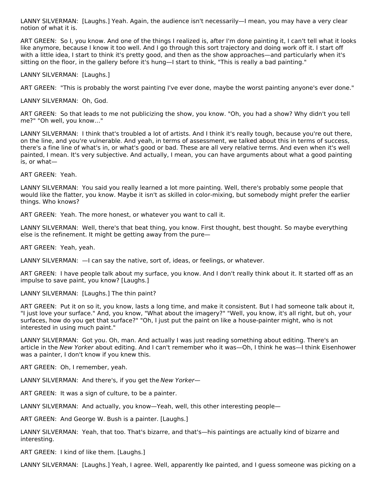LANNY SILVERMAN: [Laughs.] Yeah. Again, the audience isn't necessarily—I mean, you may have a very clear notion of what it is.

ART GREEN: So I, you know. And one of the things I realized is, after I'm done painting it, I can't tell what it looks like anymore, because I know it too well. And I go through this sort trajectory and doing work off it. I start off with a little idea, I start to think it's pretty good, and then as the show approaches—and particularly when it's sitting on the floor, in the gallery before it's hung—I start to think, "This is really a bad painting."

LANNY SILVERMAN: [Laughs.]

ART GREEN: "This is probably the worst painting I've ever done, maybe the worst painting anyone's ever done."

LANNY SILVERMAN: Oh, God.

ART GREEN: So that leads to me not publicizing the show, you know. "Oh, you had a show? Why didn't you tell me?" "Oh well, you know…"

LANNY SILVERMAN: I think that's troubled a lot of artists. And I think it's really tough, because you're out there, on the line, and you're vulnerable. And yeah, in terms of assessment, we talked about this in terms of success, there's a fine line of what's in, or what's good or bad. These are all very relative terms. And even when it's well painted, I mean. It's very subjective. And actually, I mean, you can have arguments about what a good painting is, or what—

ART GREEN: Yeah.

LANNY SILVERMAN: You said you really learned a lot more painting. Well, there's probably some people that would like the flatter, you know. Maybe it isn't as skilled in color-mixing, but somebody might prefer the earlier things. Who knows?

ART GREEN: Yeah. The more honest, or whatever you want to call it.

LANNY SILVERMAN: Well, there's that beat thing, you know. First thought, best thought. So maybe everything else is the refinement. It might be getting away from the pure—

ART GREEN: Yeah, yeah.

LANNY SILVERMAN:  $-$ I can say the native, sort of, ideas, or feelings, or whatever.

ART GREEN: I have people talk about my surface, you know. And I don't really think about it. It started off as an impulse to save paint, you know? [Laughs.]

LANNY SILVERMAN: [Laughs.] The thin paint?

ART GREEN: Put it on so it, you know, lasts a long time, and make it consistent. But I had someone talk about it, "I just love your surface." And, you know, "What about the imagery?" "Well, you know, it's all right, but oh, your surfaces, how do you get that surface?" "Oh, I just put the paint on like a house-painter might, who is not interested in using much paint."

LANNY SILVERMAN: Got you. Oh, man. And actually I was just reading something about editing. There's an article in the New Yorker about editing. And I can't remember who it was—Oh, I think he was—I think Eisenhower was a painter, I don't know if you knew this.

ART GREEN: Oh, I remember, yeah.

LANNY SILVERMAN: And there's, if you get the New Yorker—

ART GREEN: It was a sign of culture, to be a painter.

LANNY SILVERMAN: And actually, you know—Yeah, well, this other interesting people—

ART GREEN: And George W. Bush is a painter. [Laughs.]

LANNY SILVERMAN: Yeah, that too. That's bizarre, and that's—his paintings are actually kind of bizarre and interesting.

ART GREEN: I kind of like them. [Laughs.]

LANNY SILVERMAN: [Laughs.] Yeah, I agree. Well, apparently Ike painted, and I guess someone was picking on a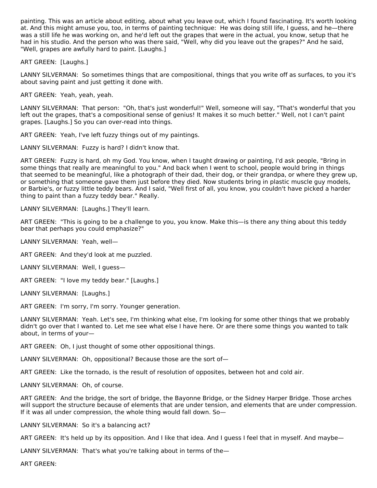painting. This was an article about editing, about what you leave out, which I found fascinating. It's worth looking at. And this might amuse you, too, in terms of painting technique: He was doing still life, I guess, and he—there was a still life he was working on, and he'd left out the grapes that were in the actual, you know, setup that he had in his studio. And the person who was there said, "Well, why did you leave out the grapes?" And he said, "Well, grapes are awfully hard to paint. [Laughs.]

ART GREEN: [Laughs.]

LANNY SILVERMAN: So sometimes things that are compositional, things that you write off as surfaces, to you it's about saving paint and just getting it done with.

ART GREEN: Yeah, yeah, yeah.

LANNY SILVERMAN: That person: "Oh, that's just wonderful!" Well, someone will say, "That's wonderful that you left out the grapes, that's a compositional sense of genius! It makes it so much better." Well, not I can't paint grapes. [Laughs.] So you can over-read into things.

ART GREEN: Yeah, I've left fuzzy things out of my paintings.

LANNY SILVERMAN: Fuzzy is hard? I didn't know that.

ART GREEN: Fuzzy is hard, oh my God. You know, when I taught drawing or painting, I'd ask people, "Bring in some things that really are meaningful to you." And back when I went to school, people would bring in things that seemed to be meaningful, like a photograph of their dad, their dog, or their grandpa, or where they grew up, or something that someone gave them just before they died. Now students bring in plastic muscle guy models, or Barbie's, or fuzzy little teddy bears. And I said, "Well first of all, you know, you couldn't have picked a harder thing to paint than a fuzzy teddy bear." Really.

LANNY SILVERMAN: [Laughs.] They'll learn.

ART GREEN: "This is going to be a challenge to you, you know. Make this—is there any thing about this teddy bear that perhaps you could emphasize?"

LANNY SILVERMAN: Yeah, well—

ART GREEN: And they'd look at me puzzled.

LANNY SILVERMAN: Well, I guess—

ART GREEN: "I love my teddy bear." [Laughs.]

LANNY SILVERMAN: [Laughs.]

ART GREEN: I'm sorry, I'm sorry. Younger generation.

LANNY SILVERMAN: Yeah. Let's see, I'm thinking what else, I'm looking for some other things that we probably didn't go over that I wanted to. Let me see what else I have here. Or are there some things you wanted to talk about, in terms of your—

ART GREEN: Oh, I just thought of some other oppositional things.

LANNY SILVERMAN: Oh, oppositional? Because those are the sort of—

ART GREEN: Like the tornado, is the result of resolution of opposites, between hot and cold air.

LANNY SILVERMAN: Oh, of course.

ART GREEN: And the bridge, the sort of bridge, the Bayonne Bridge, or the Sidney Harper Bridge. Those arches will support the structure because of elements that are under tension, and elements that are under compression. If it was all under compression, the whole thing would fall down. So—

LANNY SILVERMAN: So it's a balancing act?

ART GREEN: It's held up by its opposition. And I like that idea. And I guess I feel that in myself. And maybe—

LANNY SILVERMAN: That's what you're talking about in terms of the—

ART GREEN: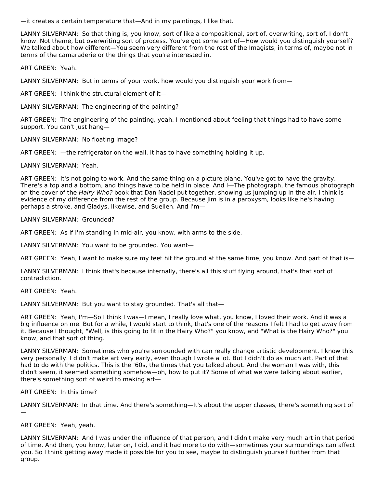—it creates a certain temperature that—And in my paintings, I like that.

LANNY SILVERMAN: So that thing is, you know, sort of like a compositional, sort of, overwriting, sort of, I don't know. Not theme, but overwriting sort of process. You've got some sort of—How would you distinguish yourself? We talked about how different—You seem very different from the rest of the Imagists, in terms of, maybe not in terms of the camaraderie or the things that you're interested in.

ART GREEN: Yeah.

LANNY SILVERMAN: But in terms of your work, how would you distinguish your work from—

ART GREEN: I think the structural element of it—

LANNY SILVERMAN: The engineering of the painting?

ART GREEN: The engineering of the painting, yeah. I mentioned about feeling that things had to have some support. You can't just hang—

LANNY SILVERMAN: No floating image?

ART GREEN: —the refrigerator on the wall. It has to have something holding it up.

LANNY SILVERMAN: Yeah.

ART GREEN: It's not going to work. And the same thing on a picture plane. You've got to have the gravity. There's a top and a bottom, and things have to be held in place. And I—The photograph, the famous photograph on the cover of the Hairy Who? book that Dan Nadel put together, showing us jumping up in the air, I think is evidence of my difference from the rest of the group. Because Jim is in a paroxysm, looks like he's having perhaps a stroke, and Gladys, likewise, and Suellen. And I'm—

LANNY SILVERMAN: Grounded?

ART GREEN: As if I'm standing in mid-air, you know, with arms to the side.

LANNY SILVERMAN: You want to be grounded. You want—

ART GREEN: Yeah, I want to make sure my feet hit the ground at the same time, you know. And part of that is—

LANNY SILVERMAN: I think that's because internally, there's all this stuff flying around, that's that sort of contradiction.

ART GREEN: Yeah.

LANNY SILVERMAN: But you want to stay grounded. That's all that—

ART GREEN: Yeah, I'm—So I think I was—I mean, I really love what, you know, I loved their work. And it was a big influence on me. But for a while, I would start to think, that's one of the reasons I felt I had to get away from it. Because I thought, "Well, is this going to fit in the Hairy Who?" you know, and "What is the Hairy Who?" you know, and that sort of thing.

LANNY SILVERMAN: Sometimes who you're surrounded with can really change artistic development. I know this very personally. I didn't make art very early, even though I wrote a lot. But I didn't do as much art. Part of that had to do with the politics. This is the '60s, the times that you talked about. And the woman I was with, this didn't seem, it seemed something somehow—oh, how to put it? Some of what we were talking about earlier, there's something sort of weird to making art—

ART GREEN: In this time?

LANNY SILVERMAN: In that time. And there's something—It's about the upper classes, there's something sort of —

ART GREEN: Yeah, yeah.

LANNY SILVERMAN: And I was under the influence of that person, and I didn't make very much art in that period of time. And then, you know, later on, I did, and it had more to do with—sometimes your surroundings can affect you. So I think getting away made it possible for you to see, maybe to distinguish yourself further from that group.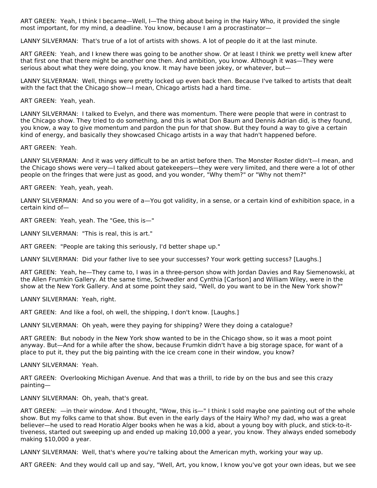ART GREEN: Yeah, I think I became—Well, I—The thing about being in the Hairy Who, it provided the single most important, for my mind, a deadline. You know, because I am a procrastinator—

LANNY SILVERMAN: That's true of a lot of artists with shows. A lot of people do it at the last minute.

ART GREEN: Yeah, and I knew there was going to be another show. Or at least I think we pretty well knew after that first one that there might be another one then. And ambition, you know. Although it was—They were serious about what they were doing, you know. It may have been jokey, or whatever, but—

LANNY SILVERMAN: Well, things were pretty locked up even back then. Because I've talked to artists that dealt with the fact that the Chicago show—I mean, Chicago artists had a hard time.

ART GREEN: Yeah, yeah.

LANNY SILVERMAN: I talked to Evelyn, and there was momentum. There were people that were in contrast to the Chicago show. They tried to do something, and this is what Don Baum and Dennis Adrian did, is they found, you know, a way to give momentum and pardon the pun for that show. But they found a way to give a certain kind of energy, and basically they showcased Chicago artists in a way that hadn't happened before.

ART GREEN: Yeah.

LANNY SILVERMAN: And it was very difficult to be an artist before then. The Monster Roster didn't—I mean, and the Chicago shows were very—I talked about gatekeepers—they were very limited, and there were a lot of other people on the fringes that were just as good, and you wonder, "Why them?" or "Why not them?"

ART GREEN: Yeah, yeah, yeah.

LANNY SILVERMAN: And so you were of a-You got validity, in a sense, or a certain kind of exhibition space, in a certain kind of—

ART GREEN: Yeah, yeah. The "Gee, this is—"

LANNY SILVERMAN: "This is real, this is art."

ART GREEN: "People are taking this seriously, I'd better shape up."

LANNY SILVERMAN: Did your father live to see your successes? Your work getting success? [Laughs.]

ART GREEN: Yeah, he—They came to, I was in a three-person show with Jordan Davies and Ray Siemenowski, at the Allen Frumkin Gallery. At the same time, Schwedler and Cynthia [Carlson] and William Wiley, were in the show at the New York Gallery. And at some point they said, "Well, do you want to be in the New York show?"

LANNY SILVERMAN: Yeah, right.

ART GREEN: And like a fool, oh well, the shipping, I don't know. [Laughs.]

LANNY SILVERMAN: Oh yeah, were they paying for shipping? Were they doing a catalogue?

ART GREEN: But nobody in the New York show wanted to be in the Chicago show, so it was a moot point anyway. But—And for a while after the show, because Frumkin didn't have a big storage space, for want of a place to put it, they put the big painting with the ice cream cone in their window, you know?

LANNY SILVERMAN: Yeah.

ART GREEN: Overlooking Michigan Avenue. And that was a thrill, to ride by on the bus and see this crazy painting—

LANNY SILVERMAN: Oh, yeah, that's great.

ART GREEN: —in their window. And I thought, "Wow, this is—" I think I sold maybe one painting out of the whole show. But my folks came to that show. But even in the early days of the Hairy Who? my dad, who was a great believer—he used to read Horatio Alger books when he was a kid, about a young boy with pluck, and stick-to-ittiveness, started out sweeping up and ended up making 10,000 a year, you know. They always ended somebody making \$10,000 a year.

LANNY SILVERMAN: Well, that's where you're talking about the American myth, working your way up.

ART GREEN: And they would call up and say, "Well, Art, you know, I know you've got your own ideas, but we see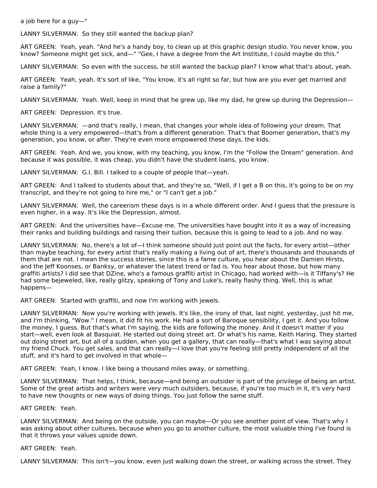a job here for a guy—"

LANNY SILVERMAN: So they still wanted the backup plan?

ART GREEN: Yeah, yeah. "And he's a handy boy, to clean up at this graphic design studio. You never know, you know? Someone might get sick, and—" "Gee, I have a degree from the Art Institute, I could maybe do this."

LANNY SILVERMAN: So even with the success, he still wanted the backup plan? I know what that's about, yeah.

ART GREEN: Yeah, yeah. It's sort of like, "You know, it's all right so far, but how are you ever get married and raise a family?"

LANNY SILVERMAN: Yeah. Well, keep in mind that he grew up, like my dad, he grew up during the Depression—

ART GREEN: Depression. It's true.

LANNY SILVERMAN: —and that's really, I mean, that changes your whole idea of following your dream. That whole thing is a very empowered—that's from a different generation. That's that Boomer generation, that's my generation, you know, or after. They're even more empowered these days, the kids.

ART GREEN: Yeah. And we, you know, with my teaching, you know, I'm the "Follow the Dream" generation. And because it was possible, it was cheap, you didn't have the student loans, you know.

LANNY SILVERMAN: G.I. Bill. I talked to a couple of people that—yeah.

ART GREEN: And I talked to students about that, and they're so, "Well, if I get a B on this, it's going to be on my transcript, and they're not going to hire me," or "I can't get a job."

LANNY SILVERMAN: Well, the careerism these days is in a whole different order. And I guess that the pressure is even higher, in a way. It's like the Depression, almost.

ART GREEN: And the universities have—Excuse me. The universities have bought into it as a way of increasing their ranks and building buildings and raising their tuition, because this is going to lead to a job. And no way.

LANNY SILVERMAN: No, there's a lot of—I think someone should just point out the facts, for every artist—other than maybe teaching, for every artist that's really making a living out of art, there's thousands and thousands of them that are not. I mean the success stories, since this is a fame culture, you hear about the Damien Hirsts, and the Jeff Koonses, or Banksy, or whatever the latest trend or fad is. You hear about those, but how many graffiti artists? I did see that DZine, who's a famous graffiti artist in Chicago, had worked with—is it Tiffany's? He had some bejeweled, like, really glitzy, speaking of Tony and Luke's, really flashy thing. Well, this is what happens—

ART GREEN: Started with graffiti, and now I'm working with jewels.

LANNY SILVERMAN: Now you're working with jewels. It's like, the irony of that, last night, yesterday, just hit me, and I'm thinking, "Wow." I mean, it did fit his work. He had a sort of Baroque sensibility, I get it. And you follow the money, I guess. But that's what I'm saying, the kids are following the money. And it doesn't matter if you start—well, even look at Basquiat. He started out doing street art. Or what's his name, Keith Haring. They started out doing street art, but all of a sudden, when you get a gallery, that can really—that's what I was saying about my friend Chuck. You get sales, and that can really—I love that you're feeling still pretty independent of all the stuff, and it's hard to get involved in that whole—

ART GREEN: Yeah, I know. I like being a thousand miles away, or something.

LANNY SILVERMAN: That helps, I think, because—and being an outsider is part of the privilege of being an artist. Some of the great artists and writers were very much outsiders, because, if you're too much in it, it's very hard to have new thoughts or new ways of doing things. You just follow the same stuff.

ART GREEN: Yeah.

LANNY SILVERMAN: And being on the outside, you can maybe—Or you see another point of view. That's why I was asking about other cultures, because when you go to another culture, the most valuable thing I've found is that it throws your values upside down.

ART GREEN: Yeah.

LANNY SILVERMAN: This isn't—you know, even just walking down the street, or walking across the street. They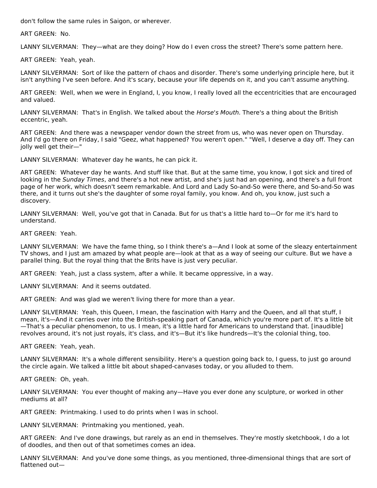don't follow the same rules in Saigon, or wherever.

ART GREEN: No.

LANNY SILVERMAN: They—what are they doing? How do I even cross the street? There's some pattern here.

ART GREEN: Yeah, yeah.

LANNY SILVERMAN: Sort of like the pattern of chaos and disorder. There's some underlying principle here, but it isn't anything I've seen before. And it's scary, because your life depends on it, and you can't assume anything.

ART GREEN: Well, when we were in England, I, you know, I really loved all the eccentricities that are encouraged and valued.

LANNY SILVERMAN: That's in English. We talked about the *Horse's Mouth*. There's a thing about the British eccentric, yeah.

ART GREEN: And there was a newspaper vendor down the street from us, who was never open on Thursday. And I'd go there on Friday, I said "Geez, what happened? You weren't open." "Well, I deserve a day off. They can jolly well get their—"

LANNY SILVERMAN: Whatever day he wants, he can pick it.

ART GREEN: Whatever day he wants. And stuff like that. But at the same time, you know, I got sick and tired of looking in the Sunday Times, and there's a hot new artist, and she's just had an opening, and there's a full front page of her work, which doesn't seem remarkable. And Lord and Lady So-and-So were there, and So-and-So was there, and it turns out she's the daughter of some royal family, you know. And oh, you know, just such a discovery.

LANNY SILVERMAN: Well, you've got that in Canada. But for us that's a little hard to—Or for me it's hard to understand.

ART GREEN: Yeah.

LANNY SILVERMAN: We have the fame thing, so I think there's a—And I look at some of the sleazy entertainment TV shows, and I just am amazed by what people are—look at that as a way of seeing our culture. But we have a parallel thing. But the royal thing that the Brits have is just very peculiar.

ART GREEN: Yeah, just a class system, after a while. It became oppressive, in a way.

LANNY SILVERMAN: And it seems outdated.

ART GREEN: And was glad we weren't living there for more than a year.

LANNY SILVERMAN: Yeah, this Queen, I mean, the fascination with Harry and the Queen, and all that stuff, I mean, it's—And it carries over into the British-speaking part of Canada, which you're more part of. It's a little bit —That's a peculiar phenomenon, to us. I mean, it's a little hard for Americans to understand that. [inaudible] revolves around, it's not just royals, it's class, and it's—But it's like hundreds—It's the colonial thing, too.

ART GREEN: Yeah, yeah.

LANNY SILVERMAN: It's a whole different sensibility. Here's a question going back to, I guess, to just go around the circle again. We talked a little bit about shaped-canvases today, or you alluded to them.

ART GREEN: Oh, yeah.

LANNY SILVERMAN: You ever thought of making any—Have you ever done any sculpture, or worked in other mediums at all?

ART GREEN: Printmaking. I used to do prints when I was in school.

LANNY SILVERMAN: Printmaking you mentioned, yeah.

ART GREEN: And I've done drawings, but rarely as an end in themselves. They're mostly sketchbook, I do a lot of doodles, and then out of that sometimes comes an idea.

LANNY SILVERMAN: And you've done some things, as you mentioned, three-dimensional things that are sort of flattened out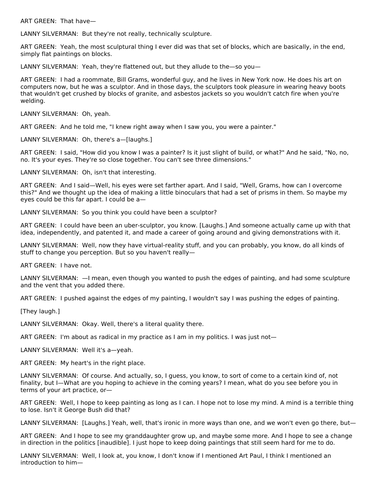ART GREEN: That have—

LANNY SILVERMAN: But they're not really, technically sculpture.

ART GREEN: Yeah, the most sculptural thing I ever did was that set of blocks, which are basically, in the end, simply flat paintings on blocks.

LANNY SILVERMAN: Yeah, they're flattened out, but they allude to the—so you—

ART GREEN: I had a roommate, Bill Grams, wonderful guy, and he lives in New York now. He does his art on computers now, but he was a sculptor. And in those days, the sculptors took pleasure in wearing heavy boots that wouldn't get crushed by blocks of granite, and asbestos jackets so you wouldn't catch fire when you're welding.

LANNY SILVERMAN: Oh, yeah.

ART GREEN: And he told me, "I knew right away when I saw you, you were a painter."

LANNY SILVERMAN: Oh, there's a—[laughs.]

ART GREEN: I said, "How did you know I was a painter? Is it just slight of build, or what?" And he said, "No, no, no. It's your eyes. They're so close together. You can't see three dimensions."

LANNY SILVERMAN: Oh, isn't that interesting.

ART GREEN: And I said—Well, his eyes were set farther apart. And I said, "Well, Grams, how can I overcome this?" And we thought up the idea of making a little binoculars that had a set of prisms in them. So maybe my eyes could be this far apart. I could be a—

LANNY SILVERMAN: So you think you could have been a sculptor?

ART GREEN: I could have been an uber-sculptor, you know. [Laughs.] And someone actually came up with that idea, independently, and patented it, and made a career of going around and giving demonstrations with it.

LANNY SILVERMAN: Well, now they have virtual-reality stuff, and you can probably, you know, do all kinds of stuff to change you perception. But so you haven't really—

ART GREEN: I have not.

LANNY SILVERMAN: —I mean, even though you wanted to push the edges of painting, and had some sculpture and the vent that you added there.

ART GREEN: I pushed against the edges of my painting, I wouldn't say I was pushing the edges of painting.

[They laugh.]

LANNY SILVERMAN: Okay. Well, there's a literal quality there.

ART GREEN: I'm about as radical in my practice as I am in my politics. I was just not—

LANNY SILVERMAN: Well it's a—yeah.

ART GREEN: My heart's in the right place.

LANNY SILVERMAN: Of course. And actually, so, I guess, you know, to sort of come to a certain kind of, not finality, but I—What are you hoping to achieve in the coming years? I mean, what do you see before you in terms of your art practice, or—

ART GREEN: Well, I hope to keep painting as long as I can. I hope not to lose my mind. A mind is a terrible thing to lose. Isn't it George Bush did that?

LANNY SILVERMAN: [Laughs.] Yeah, well, that's ironic in more ways than one, and we won't even go there, but—

ART GREEN: And I hope to see my granddaughter grow up, and maybe some more. And I hope to see a change in direction in the politics [inaudible]. I just hope to keep doing paintings that still seem hard for me to do.

LANNY SILVERMAN: Well, I look at, you know, I don't know if I mentioned Art Paul, I think I mentioned an introduction to him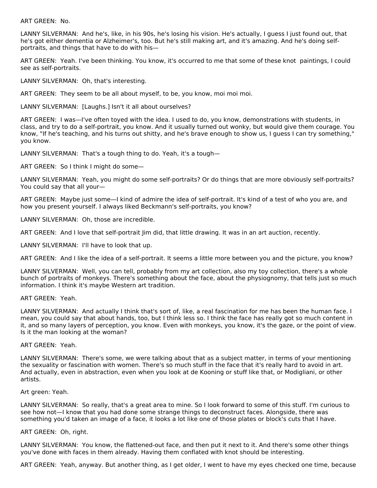ART GREEN: No.

LANNY SILVERMAN: And he's, like, in his 90s, he's losing his vision. He's actually, I guess I just found out, that he's got either dementia or Alzheimer's, too. But he's still making art, and it's amazing. And he's doing selfportraits, and things that have to do with his—

ART GREEN: Yeah. I've been thinking. You know, it's occurred to me that some of these knot paintings, I could see as self-portraits.

LANNY SILVERMAN: Oh, that's interesting.

ART GREEN: They seem to be all about myself, to be, you know, moi moi moi.

LANNY SILVERMAN: [Laughs.] Isn't it all about ourselves?

ART GREEN: I was—I've often toyed with the idea. I used to do, you know, demonstrations with students, in class, and try to do a self-portrait, you know. And it usually turned out wonky, but would give them courage. You know, "If he's teaching, and his turns out shitty, and he's brave enough to show us, I guess I can try something," you know.

LANNY SILVERMAN: That's a tough thing to do. Yeah, it's a tough—

ART GREEN: So I think I might do some—

LANNY SILVERMAN: Yeah, you might do some self-portraits? Or do things that are more obviously self-portraits? You could say that all your—

ART GREEN: Maybe just some—I kind of admire the idea of self-portrait. It's kind of a test of who you are, and how you present yourself. I always liked Beckmann's self-portraits, you know?

LANNY SILVERMAN: Oh, those are incredible.

ART GREEN: And I love that self-portrait Jim did, that little drawing. It was in an art auction, recently.

LANNY SILVERMAN: I'll have to look that up.

ART GREEN: And I like the idea of a self-portrait. It seems a little more between you and the picture, you know?

LANNY SILVERMAN: Well, you can tell, probably from my art collection, also my toy collection, there's a whole bunch of portraits of monkeys. There's something about the face, about the physiognomy, that tells just so much information. I think it's maybe Western art tradition.

ART GREEN: Yeah.

LANNY SILVERMAN: And actually I think that's sort of, like, a real fascination for me has been the human face. I mean, you could say that about hands, too, but I think less so. I think the face has really got so much content in it, and so many layers of perception, you know. Even with monkeys, you know, it's the gaze, or the point of view. Is it the man looking at the woman?

ART GREEN: Yeah.

LANNY SILVERMAN: There's some, we were talking about that as a subject matter, in terms of your mentioning the sexuality or fascination with women. There's so much stuff in the face that it's really hard to avoid in art. And actually, even in abstraction, even when you look at de Kooning or stuff like that, or Modigliani, or other artists.

Art green: Yeah.

LANNY SILVERMAN: So really, that's a great area to mine. So I look forward to some of this stuff. I'm curious to see how not—I know that you had done some strange things to deconstruct faces. Alongside, there was something you'd taken an image of a face, it looks a lot like one of those plates or block's cuts that I have.

#### ART GREEN: Oh, right.

LANNY SILVERMAN: You know, the flattened-out face, and then put it next to it. And there's some other things you've done with faces in them already. Having them conflated with knot should be interesting.

ART GREEN: Yeah, anyway. But another thing, as I get older, I went to have my eyes checked one time, because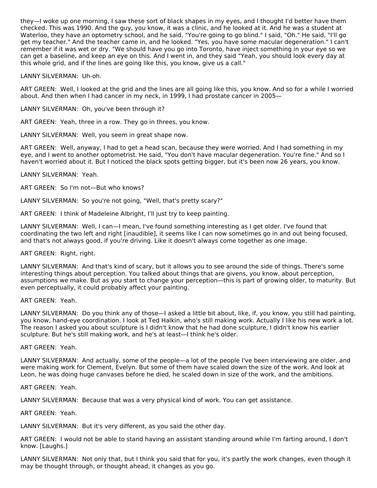they—I woke up one morning, I saw these sort of black shapes in my eyes, and I thought I'd better have them checked. This was 1990. And the guy, you know, it was a clinic, and he looked at it. And he was a student at Waterloo, they have an optometry school, and he said, "You're going to go blind." I said, "Oh." He said, "I'll go get my teacher." And the teacher came in, and he looked. "Yes, you have some macular degeneration." I can't remember if it was wet or dry. "We should have you go into Toronto, have inject something in your eye so we can get a baseline, and keep an eye on this. And I went in, and they said "Yeah, you should look every day at this whole grid, and if the lines are going like this, you know, give us a call."

# LANNY SILVERMAN: Uh-oh.

ART GREEN: Well, I looked at the grid and the lines are all going like this, you know. And so for a while I worried about. And then when I had cancer in my neck, in 1999, I had prostate cancer in 2005—

#### LANNY SILVERMAN: Oh, you've been through it?

ART GREEN: Yeah, three in a row. They go in threes, you know.

LANNY SILVERMAN: Well, you seem in great shape now.

ART GREEN: Well, anyway, I had to get a head scan, because they were worried. And I had something in my eye, and I went to another optometrist. He said, "You don't have macular degeneration. You're fine." And so I haven't worried about it. But I noticed the black spots getting bigger, but it's been now 26 years, you know.

LANNY SILVERMAN: Yeah.

ART GREEN: So I'm not—But who knows?

LANNY SILVERMAN: So you're not going, "Well, that's pretty scary?"

ART GREEN: I think of Madeleine Albright, I'll just try to keep painting.

LANNY SILVERMAN: Well, I can—I mean, I've found something interesting as I get older. I've found that coordinating the two left and right [inaudible], it seems like I can now sometimes go in and out being focused, and that's not always good, if you're driving. Like it doesn't always come together as one image.

# ART GREEN: Right, right.

LANNY SILVERMAN: And that's kind of scary, but it allows you to see around the side of things. There's some interesting things about perception. You talked about things that are givens, you know, about perception, assumptions we make. But as you start to change your perception—this is part of growing older, to maturity. But even perceptually, it could probably affect your painting.

# ART GREEN: Yeah.

LANNY SILVERMAN: Do you think any of those—I asked a little bit about, like, if, you know, you still had painting, you know, hand-eye coordination. I look at Ted Halkin, who's still making work. Actually I like his new work a lot. The reason I asked you about sculpture is I didn't know that he had done sculpture, I didn't know his earlier sculpture. But he's still making work, and he's at least—I think he's older.

# ART GREEN: Yeah.

LANNY SILVERMAN: And actually, some of the people—a lot of the people I've been interviewing are older, and were making work for Clement, Evelyn. But some of them have scaled down the size of the work. And look at Leon, he was doing huge canvases before he died, he scaled down in size of the work, and the ambitions.

ART GREEN: Yeah.

LANNY SILVERMAN: Because that was a very physical kind of work. You can get assistance.

#### ART GREEN: Yeah.

LANNY SILVERMAN: But it's very different, as you said the other day.

ART GREEN: I would not be able to stand having an assistant standing around while I'm farting around, I don't know. [Laughs.]

LANNY SILVERMAN: Not only that, but I think you said that for you, it's partly the work changes, even though it may be thought through, or thought ahead, it changes as you go.